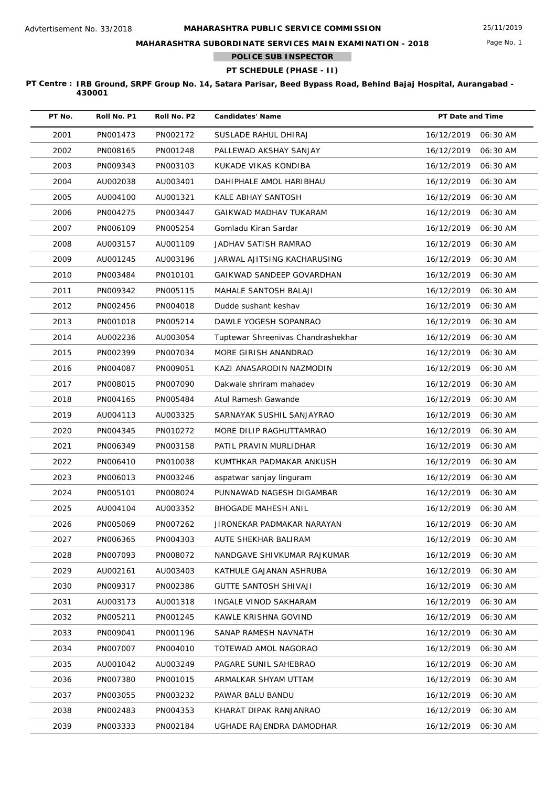Page No. 1

**MAHARASHTRA SUBORDINATE SERVICES MAIN EXAMINATION - 2018**

**POLICE SUB INSPECTOR**

# **PT SCHEDULE (PHASE - II)**

| PT No. | Roll No. P1 | Roll No. P2 | <b>Candidates' Name</b>            | PT Date and Time       |
|--------|-------------|-------------|------------------------------------|------------------------|
| 2001   | PN001473    | PN002172    | SUSLADE RAHUL DHIRAJ               | 16/12/2019<br>06:30 AM |
| 2002   | PN008165    | PN001248    | PALLEWAD AKSHAY SANJAY             | 16/12/2019<br>06:30 AM |
| 2003   | PN009343    | PN003103    | KUKADE VIKAS KONDIBA               | 16/12/2019<br>06:30 AM |
| 2004   | AU002038    | AU003401    | DAHIPHALE AMOL HARIBHAU            | 16/12/2019<br>06:30 AM |
| 2005   | AU004100    | AU001321    | KALE ABHAY SANTOSH                 | 16/12/2019<br>06:30 AM |
| 2006   | PN004275    | PN003447    | GAIKWAD MADHAV TUKARAM             | 16/12/2019<br>06:30 AM |
| 2007   | PN006109    | PN005254    | Gomladu Kiran Sardar               | 16/12/2019<br>06:30 AM |
| 2008   | AU003157    | AU001109    | JADHAV SATISH RAMRAO               | 16/12/2019<br>06:30 AM |
| 2009   | AU001245    | AU003196    | JARWAL AJITSING KACHARUSING        | 16/12/2019<br>06:30 AM |
| 2010   | PN003484    | PN010101    | GAIKWAD SANDEEP GOVARDHAN          | 16/12/2019<br>06:30 AM |
| 2011   | PN009342    | PN005115    | MAHALE SANTOSH BALAJI              | 16/12/2019<br>06:30 AM |
| 2012   | PN002456    | PN004018    | Dudde sushant keshav               | 16/12/2019<br>06:30 AM |
| 2013   | PN001018    | PN005214    | DAWLE YOGESH SOPANRAO              | 16/12/2019<br>06:30 AM |
| 2014   | AU002236    | AU003054    | Tuptewar Shreenivas Chandrashekhar | 16/12/2019<br>06:30 AM |
| 2015   | PN002399    | PN007034    | MORE GIRISH ANANDRAO               | 16/12/2019<br>06:30 AM |
| 2016   | PN004087    | PN009051    | KAZI ANASARODIN NAZMODIN           | 16/12/2019<br>06:30 AM |
| 2017   | PN008015    | PN007090    | Dakwale shriram mahadev            | 16/12/2019<br>06:30 AM |
| 2018   | PN004165    | PN005484    | Atul Ramesh Gawande                | 16/12/2019<br>06:30 AM |
| 2019   | AU004113    | AU003325    | SARNAYAK SUSHIL SANJAYRAO          | 16/12/2019<br>06:30 AM |
| 2020   | PN004345    | PN010272    | MORE DILIP RAGHUTTAMRAO            | 16/12/2019<br>06:30 AM |
| 2021   | PN006349    | PN003158    | PATIL PRAVIN MURLIDHAR             | 16/12/2019<br>06:30 AM |
| 2022   | PN006410    | PN010038    | KUMTHKAR PADMAKAR ANKUSH           | 16/12/2019<br>06:30 AM |
| 2023   | PN006013    | PN003246    | aspatwar sanjay linguram           | 16/12/2019<br>06:30 AM |
| 2024   | PN005101    | PN008024    | PUNNAWAD NAGESH DIGAMBAR           | 16/12/2019<br>06:30 AM |
| 2025   | AU004104    | AU003352    | <b>BHOGADE MAHESH ANIL</b>         | 16/12/2019<br>06:30 AM |
| 2026   | PN005069    | PN007262    | JIRONEKAR PADMAKAR NARAYAN         | 16/12/2019<br>06:30 AM |
| 2027   | PN006365    | PN004303    | AUTE SHEKHAR BALIRAM               | 16/12/2019<br>06:30 AM |
| 2028   | PN007093    | PN008072    | NANDGAVE SHIVKUMAR RAJKUMAR        | 16/12/2019<br>06:30 AM |
| 2029   | AU002161    | AU003403    | KATHULE GAJANAN ASHRUBA            | 16/12/2019<br>06:30 AM |
| 2030   | PN009317    | PN002386    | GUTTE SANTOSH SHIVAJI              | 16/12/2019<br>06:30 AM |
| 2031   | AU003173    | AU001318    | INGALE VINOD SAKHARAM              | 16/12/2019<br>06:30 AM |
| 2032   | PN005211    | PN001245    | KAWLE KRISHNA GOVIND               | 16/12/2019<br>06:30 AM |
| 2033   | PN009041    | PN001196    | SANAP RAMESH NAVNATH               | 16/12/2019<br>06:30 AM |
| 2034   | PN007007    | PN004010    | TOTEWAD AMOL NAGORAO               | 16/12/2019<br>06:30 AM |
| 2035   | AU001042    | AU003249    | PAGARE SUNIL SAHEBRAO              | 16/12/2019<br>06:30 AM |
| 2036   | PN007380    | PN001015    | ARMALKAR SHYAM UTTAM               | 16/12/2019<br>06:30 AM |
| 2037   | PN003055    | PN003232    | PAWAR BALU BANDU                   | 16/12/2019<br>06:30 AM |
| 2038   | PN002483    | PN004353    | KHARAT DIPAK RANJANRAO             | 16/12/2019<br>06:30 AM |
| 2039   | PN003333    | PN002184    | UGHADE RAJENDRA DAMODHAR           | 16/12/2019<br>06:30 AM |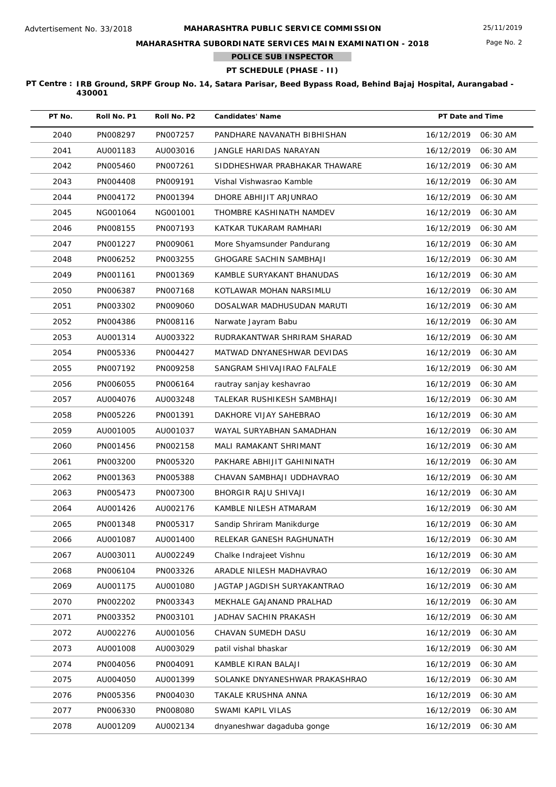## **MAHARASHTRA SUBORDINATE SERVICES MAIN EXAMINATION - 2018**

**POLICE SUB INSPECTOR**

## **PT SCHEDULE (PHASE - II)**

| PT No. | Roll No. P1 | Roll No. P2 | <b>Candidates' Name</b>        | PT Date and Time |          |
|--------|-------------|-------------|--------------------------------|------------------|----------|
| 2040   | PN008297    | PN007257    | PANDHARE NAVANATH BIBHISHAN    | 16/12/2019       | 06:30 AM |
| 2041   | AU001183    | AU003016    | JANGLE HARIDAS NARAYAN         | 16/12/2019       | 06:30 AM |
| 2042   | PN005460    | PN007261    | SIDDHESHWAR PRABHAKAR THAWARE  | 16/12/2019       | 06:30 AM |
| 2043   | PN004408    | PN009191    | Vishal Vishwasrao Kamble       | 16/12/2019       | 06:30 AM |
| 2044   | PN004172    | PN001394    | DHORE ABHIJIT ARJUNRAO         | 16/12/2019       | 06:30 AM |
| 2045   | NG001064    | NG001001    | THOMBRE KASHINATH NAMDEV       | 16/12/2019       | 06:30 AM |
| 2046   | PN008155    | PN007193    | KATKAR TUKARAM RAMHARI         | 16/12/2019       | 06:30 AM |
| 2047   | PN001227    | PN009061    | More Shyamsunder Pandurang     | 16/12/2019       | 06:30 AM |
| 2048   | PN006252    | PN003255    | <b>GHOGARE SACHIN SAMBHAJI</b> | 16/12/2019       | 06:30 AM |
| 2049   | PN001161    | PN001369    | KAMBLE SURYAKANT BHANUDAS      | 16/12/2019       | 06:30 AM |
| 2050   | PN006387    | PN007168    | KOTLAWAR MOHAN NARSIMLU        | 16/12/2019       | 06:30 AM |
| 2051   | PN003302    | PN009060    | DOSALWAR MADHUSUDAN MARUTI     | 16/12/2019       | 06:30 AM |
| 2052   | PN004386    | PN008116    | Narwate Jayram Babu            | 16/12/2019       | 06:30 AM |
| 2053   | AU001314    | AU003322    | RUDRAKANTWAR SHRIRAM SHARAD    | 16/12/2019       | 06:30 AM |
| 2054   | PN005336    | PN004427    | MATWAD DNYANESHWAR DEVIDAS     | 16/12/2019       | 06:30 AM |
| 2055   | PN007192    | PN009258    | SANGRAM SHIVAJIRAO FALFALE     | 16/12/2019       | 06:30 AM |
| 2056   | PN006055    | PN006164    | rautray sanjay keshavrao       | 16/12/2019       | 06:30 AM |
| 2057   | AU004076    | AU003248    | TALEKAR RUSHIKESH SAMBHAJI     | 16/12/2019       | 06:30 AM |
| 2058   | PN005226    | PN001391    | DAKHORE VIJAY SAHEBRAO         | 16/12/2019       | 06:30 AM |
| 2059   | AU001005    | AU001037    | WAYAL SURYABHAN SAMADHAN       | 16/12/2019       | 06:30 AM |
| 2060   | PN001456    | PN002158    | MALI RAMAKANT SHRIMANT         | 16/12/2019       | 06:30 AM |
| 2061   | PN003200    | PN005320    | PAKHARE ABHIJIT GAHININATH     | 16/12/2019       | 06:30 AM |
| 2062   | PN001363    | PN005388    | CHAVAN SAMBHAJI UDDHAVRAO      | 16/12/2019       | 06:30 AM |
| 2063   | PN005473    | PN007300    | BHORGIR RAJU SHIVAJI           | 16/12/2019       | 06:30 AM |
| 2064   | AU001426    | AU002176    | KAMBLE NILESH ATMARAM          | 16/12/2019       | 06:30 AM |
| 2065   | PN001348    | PN005317    | Sandip Shriram Manikdurge      | 16/12/2019       | 06:30 AM |
| 2066   | AU001087    | AU001400    | RELEKAR GANESH RAGHUNATH       | 16/12/2019       | 06:30 AM |
| 2067   | AU003011    | AU002249    | Chalke Indrajeet Vishnu        | 16/12/2019       | 06:30 AM |
| 2068   | PN006104    | PN003326    | ARADLE NILESH MADHAVRAO        | 16/12/2019       | 06:30 AM |
| 2069   | AU001175    | AU001080    | JAGTAP JAGDISH SURYAKANTRAO    | 16/12/2019       | 06:30 AM |
| 2070   | PN002202    | PN003343    | MEKHALE GAJANAND PRALHAD       | 16/12/2019       | 06:30 AM |
| 2071   | PN003352    | PN003101    | JADHAV SACHIN PRAKASH          | 16/12/2019       | 06:30 AM |
| 2072   | AU002276    | AU001056    | CHAVAN SUMEDH DASU             | 16/12/2019       | 06:30 AM |
| 2073   | AU001008    | AU003029    | patil vishal bhaskar           | 16/12/2019       | 06:30 AM |
| 2074   | PN004056    | PN004091    | KAMBLE KIRAN BALAJI            | 16/12/2019       | 06:30 AM |
| 2075   | AU004050    | AU001399    | SOLANKE DNYANESHWAR PRAKASHRAO | 16/12/2019       | 06:30 AM |
| 2076   | PN005356    | PN004030    | TAKALE KRUSHNA ANNA            | 16/12/2019       | 06:30 AM |
| 2077   | PN006330    | PN008080    | SWAMI KAPIL VILAS              | 16/12/2019       | 06:30 AM |
| 2078   | AU001209    | AU002134    | dnyaneshwar dagaduba gonge     | 16/12/2019       | 06:30 AM |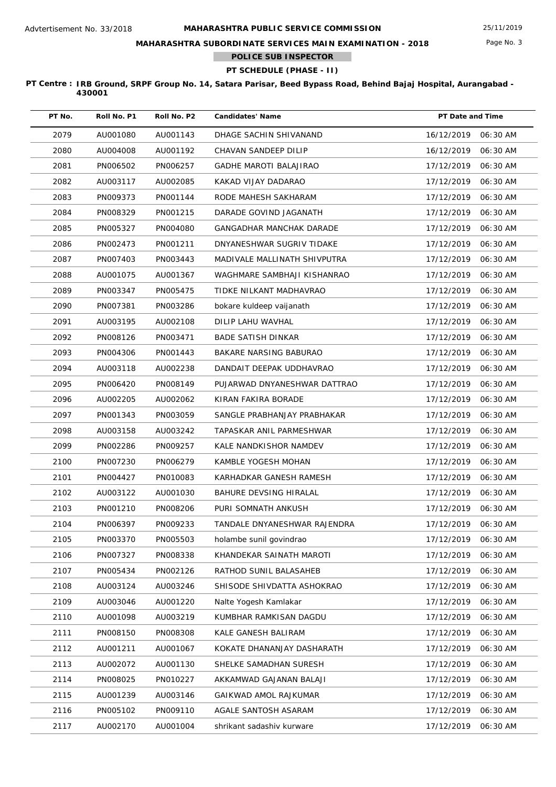## **MAHARASHTRA SUBORDINATE SERVICES MAIN EXAMINATION - 2018**

**POLICE SUB INSPECTOR**

# **PT SCHEDULE (PHASE - II)**

| PT No. | Roll No. P1 | Roll No. P2 | <b>Candidates' Name</b>         | PT Date and Time       |
|--------|-------------|-------------|---------------------------------|------------------------|
| 2079   | AU001080    | AU001143    | DHAGE SACHIN SHIVANAND          | 16/12/2019<br>06:30 AM |
| 2080   | AU004008    | AU001192    | CHAVAN SANDEEP DILIP            | 16/12/2019<br>06:30 AM |
| 2081   | PN006502    | PN006257    | <b>GADHE MAROTI BALAJIRAO</b>   | 17/12/2019<br>06:30 AM |
| 2082   | AU003117    | AU002085    | KAKAD VIJAY DADARAO             | 17/12/2019<br>06:30 AM |
| 2083   | PN009373    | PN001144    | RODE MAHESH SAKHARAM            | 17/12/2019<br>06:30 AM |
| 2084   | PN008329    | PN001215    | DARADE GOVIND JAGANATH          | 17/12/2019<br>06:30 AM |
| 2085   | PN005327    | PN004080    | <b>GANGADHAR MANCHAK DARADE</b> | 17/12/2019<br>06:30 AM |
| 2086   | PN002473    | PN001211    | DNYANESHWAR SUGRIV TIDAKE       | 17/12/2019<br>06:30 AM |
| 2087   | PN007403    | PN003443    | MADIVALE MALLINATH SHIVPUTRA    | 17/12/2019<br>06:30 AM |
| 2088   | AU001075    | AU001367    | WAGHMARE SAMBHAJI KISHANRAO     | 17/12/2019<br>06:30 AM |
| 2089   | PN003347    | PN005475    | TIDKE NILKANT MADHAVRAO         | 17/12/2019<br>06:30 AM |
| 2090   | PN007381    | PN003286    | bokare kuldeep vaijanath        | 17/12/2019<br>06:30 AM |
| 2091   | AU003195    | AU002108    | DILIP LAHU WAVHAL               | 17/12/2019<br>06:30 AM |
| 2092   | PN008126    | PN003471    | <b>BADE SATISH DINKAR</b>       | 17/12/2019<br>06:30 AM |
| 2093   | PN004306    | PN001443    | BAKARE NARSING BABURAO          | 17/12/2019<br>06:30 AM |
| 2094   | AU003118    | AU002238    | DANDAIT DEEPAK UDDHAVRAO        | 17/12/2019<br>06:30 AM |
| 2095   | PN006420    | PN008149    | PUJARWAD DNYANESHWAR DATTRAO    | 17/12/2019<br>06:30 AM |
| 2096   | AU002205    | AU002062    | KIRAN FAKIRA BORADE             | 17/12/2019<br>06:30 AM |
| 2097   | PN001343    | PN003059    | SANGLE PRABHANJAY PRABHAKAR     | 17/12/2019<br>06:30 AM |
| 2098   | AU003158    | AU003242    | TAPASKAR ANIL PARMESHWAR        | 17/12/2019<br>06:30 AM |
| 2099   | PN002286    | PN009257    | KALE NANDKISHOR NAMDEV          | 17/12/2019<br>06:30 AM |
| 2100   | PN007230    | PN006279    | KAMBLE YOGESH MOHAN             | 17/12/2019<br>06:30 AM |
| 2101   | PN004427    | PN010083    | KARHADKAR GANESH RAMESH         | 17/12/2019<br>06:30 AM |
| 2102   | AU003122    | AU001030    | BAHURE DEVSING HIRALAL          | 17/12/2019<br>06:30 AM |
| 2103   | PN001210    | PN008206    | PURI SOMNATH ANKUSH             | 17/12/2019<br>06:30 AM |
| 2104   | PN006397    | PN009233    | TANDALE DNYANESHWAR RAJENDRA    | 17/12/2019<br>06:30 AM |
| 2105   | PN003370    | PN005503    | holambe sunil govindrao         | 06:30 AM<br>17/12/2019 |
| 2106   | PN007327    | PN008338    | KHANDEKAR SAINATH MAROTI        | 17/12/2019<br>06:30 AM |
| 2107   | PN005434    | PN002126    | RATHOD SUNIL BALASAHEB          | 17/12/2019<br>06:30 AM |
| 2108   | AU003124    | AU003246    | SHISODE SHIVDATTA ASHOKRAO      | 17/12/2019<br>06:30 AM |
| 2109   | AU003046    | AU001220    | Nalte Yogesh Kamlakar           | 17/12/2019<br>06:30 AM |
| 2110   | AU001098    | AU003219    | KUMBHAR RAMKISAN DAGDU          | 17/12/2019<br>06:30 AM |
| 2111   | PN008150    | PN008308    | KALE GANESH BALIRAM             | 17/12/2019<br>06:30 AM |
| 2112   | AU001211    | AU001067    | KOKATE DHANANJAY DASHARATH      | 17/12/2019<br>06:30 AM |
| 2113   | AU002072    | AU001130    | SHELKE SAMADHAN SURESH          | 17/12/2019<br>06:30 AM |
| 2114   | PN008025    | PN010227    | AKKAMWAD GAJANAN BALAJI         | 17/12/2019<br>06:30 AM |
| 2115   | AU001239    | AU003146    | GAIKWAD AMOL RAJKUMAR           | 17/12/2019<br>06:30 AM |
| 2116   | PN005102    | PN009110    | AGALE SANTOSH ASARAM            | 17/12/2019<br>06:30 AM |
| 2117   | AU002170    | AU001004    | shrikant sadashiv kurware       | 17/12/2019<br>06:30 AM |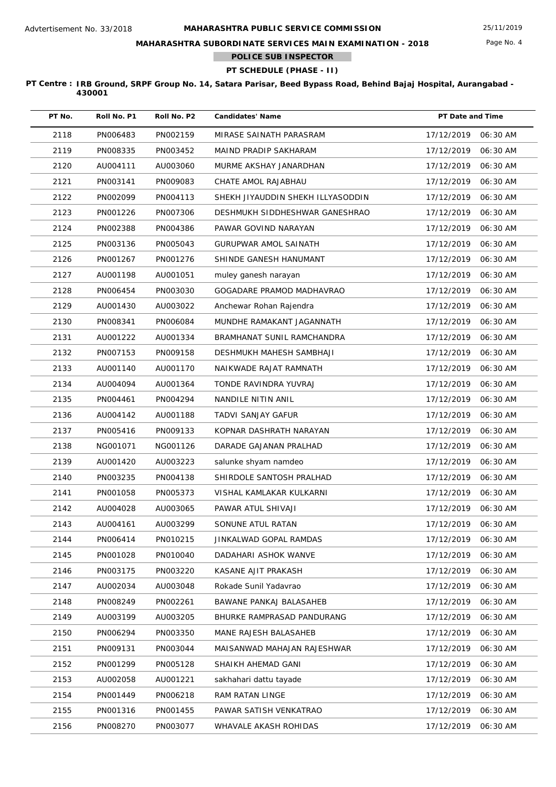Page No. 4

**MAHARASHTRA SUBORDINATE SERVICES MAIN EXAMINATION - 2018**

**POLICE SUB INSPECTOR**

## **PT SCHEDULE (PHASE - II)**

| PT No. | Roll No. P1 | Roll No. P2 | <b>Candidates' Name</b>           | PT Date and Time       |
|--------|-------------|-------------|-----------------------------------|------------------------|
| 2118   | PN006483    | PN002159    | MIRASE SAINATH PARASRAM           | 17/12/2019<br>06:30 AM |
| 2119   | PN008335    | PN003452    | MAIND PRADIP SAKHARAM             | 17/12/2019<br>06:30 AM |
| 2120   | AU004111    | AU003060    | MURME AKSHAY JANARDHAN            | 17/12/2019<br>06:30 AM |
| 2121   | PN003141    | PN009083    | CHATE AMOL RAJABHAU               | 17/12/2019<br>06:30 AM |
| 2122   | PN002099    | PN004113    | SHEKH JIYAUDDIN SHEKH ILLYASODDIN | 17/12/2019<br>06:30 AM |
| 2123   | PN001226    | PN007306    | DESHMUKH SIDDHESHWAR GANESHRAO    | 17/12/2019<br>06:30 AM |
| 2124   | PN002388    | PN004386    | PAWAR GOVIND NARAYAN              | 17/12/2019<br>06:30 AM |
| 2125   | PN003136    | PN005043    | GURUPWAR AMOL SAINATH             | 17/12/2019<br>06:30 AM |
| 2126   | PN001267    | PN001276    | SHINDE GANESH HANUMANT            | 17/12/2019<br>06:30 AM |
| 2127   | AU001198    | AU001051    | muley ganesh narayan              | 17/12/2019<br>06:30 AM |
| 2128   | PN006454    | PN003030    | GOGADARE PRAMOD MADHAVRAO         | 17/12/2019<br>06:30 AM |
| 2129   | AU001430    | AU003022    | Anchewar Rohan Rajendra           | 17/12/2019<br>06:30 AM |
| 2130   | PN008341    | PN006084    | MUNDHE RAMAKANT JAGANNATH         | 17/12/2019<br>06:30 AM |
| 2131   | AU001222    | AU001334    | BRAMHANAT SUNIL RAMCHANDRA        | 17/12/2019<br>06:30 AM |
| 2132   | PN007153    | PN009158    | DESHMUKH MAHESH SAMBHAJI          | 17/12/2019<br>06:30 AM |
| 2133   | AU001140    | AU001170    | NAIKWADE RAJAT RAMNATH            | 17/12/2019<br>06:30 AM |
| 2134   | AU004094    | AU001364    | TONDE RAVINDRA YUVRAJ             | 17/12/2019<br>06:30 AM |
| 2135   | PN004461    | PN004294    | NANDILE NITIN ANIL                | 17/12/2019<br>06:30 AM |
| 2136   | AU004142    | AU001188    | TADVI SANJAY GAFUR                | 17/12/2019<br>06:30 AM |
| 2137   | PN005416    | PN009133    | KOPNAR DASHRATH NARAYAN           | 17/12/2019<br>06:30 AM |
| 2138   | NG001071    | NG001126    | DARADE GAJANAN PRALHAD            | 17/12/2019<br>06:30 AM |
| 2139   | AU001420    | AU003223    | salunke shyam namdeo              | 17/12/2019<br>06:30 AM |
| 2140   | PN003235    | PN004138    | SHIRDOLE SANTOSH PRALHAD          | 17/12/2019<br>06:30 AM |
| 2141   | PN001058    | PN005373    | VISHAL KAMLAKAR KULKARNI          | 17/12/2019<br>06:30 AM |
| 2142   | AU004028    | AU003065    | PAWAR ATUL SHIVAJI                | 17/12/2019<br>06:30 AM |
| 2143   | AU004161    | AU003299    | SONUNE ATUL RATAN                 | 17/12/2019<br>06:30 AM |
| 2144   | PN006414    | PN010215    | JINKALWAD GOPAL RAMDAS            | 06:30 AM<br>17/12/2019 |
| 2145   | PN001028    | PN010040    | DADAHARI ASHOK WANVE              | 17/12/2019<br>06:30 AM |
| 2146   | PN003175    | PN003220    | KASANE AJIT PRAKASH               | 06:30 AM<br>17/12/2019 |
| 2147   | AU002034    | AU003048    | Rokade Sunil Yadavrao             | 17/12/2019<br>06:30 AM |
| 2148   | PN008249    | PN002261    | BAWANE PANKAJ BALASAHEB           | 17/12/2019<br>06:30 AM |
| 2149   | AU003199    | AU003205    | BHURKE RAMPRASAD PANDURANG        | 17/12/2019<br>06:30 AM |
| 2150   | PN006294    | PN003350    | MANE RAJESH BALASAHEB             | 17/12/2019<br>06:30 AM |
| 2151   | PN009131    | PN003044    | MAISANWAD MAHAJAN RAJESHWAR       | 17/12/2019<br>06:30 AM |
| 2152   | PN001299    | PN005128    | SHAIKH AHEMAD GANI                | 17/12/2019<br>06:30 AM |
| 2153   | AU002058    | AU001221    | sakhahari dattu tayade            | 17/12/2019<br>06:30 AM |
| 2154   | PN001449    | PN006218    | RAM RATAN LINGE                   | 17/12/2019<br>06:30 AM |
| 2155   | PN001316    | PN001455    | PAWAR SATISH VENKATRAO            | 17/12/2019<br>06:30 AM |
| 2156   | PN008270    | PN003077    | WHAVALE AKASH ROHIDAS             | 17/12/2019<br>06:30 AM |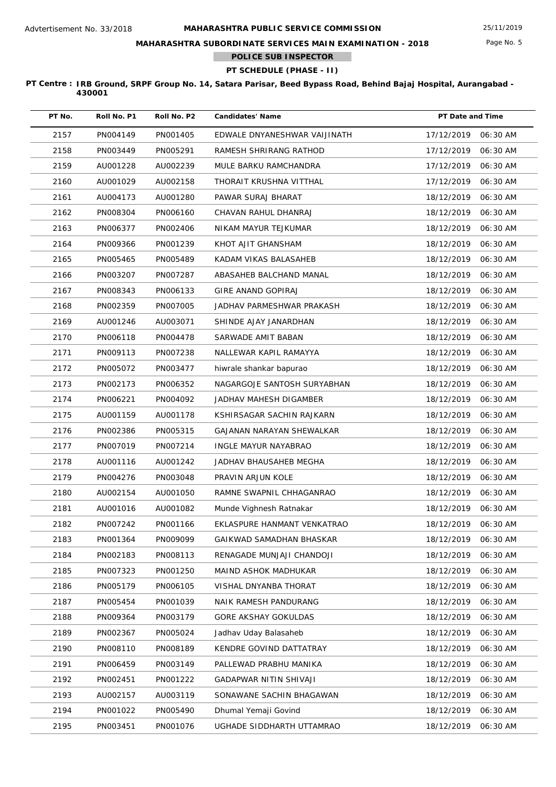## **MAHARASHTRA SUBORDINATE SERVICES MAIN EXAMINATION - 2018**

**POLICE SUB INSPECTOR**

# **PT SCHEDULE (PHASE - II)**

| PT No. | Roll No. P1 | Roll No. P2 | <b>Candidates' Name</b>      | PT Date and Time |          |
|--------|-------------|-------------|------------------------------|------------------|----------|
| 2157   | PN004149    | PN001405    | EDWALE DNYANESHWAR VAIJINATH | 17/12/2019       | 06:30 AM |
| 2158   | PN003449    | PN005291    | RAMESH SHRIRANG RATHOD       | 17/12/2019       | 06:30 AM |
| 2159   | AU001228    | AU002239    | MULE BARKU RAMCHANDRA        | 17/12/2019       | 06:30 AM |
| 2160   | AU001029    | AU002158    | THORAIT KRUSHNA VITTHAL      | 17/12/2019       | 06:30 AM |
| 2161   | AU004173    | AU001280    | PAWAR SURAJ BHARAT           | 18/12/2019       | 06:30 AM |
| 2162   | PN008304    | PN006160    | CHAVAN RAHUL DHANRAJ         | 18/12/2019       | 06:30 AM |
| 2163   | PN006377    | PN002406    | NIKAM MAYUR TEJKUMAR         | 18/12/2019       | 06:30 AM |
| 2164   | PN009366    | PN001239    | KHOT AJIT GHANSHAM           | 18/12/2019       | 06:30 AM |
| 2165   | PN005465    | PN005489    | KADAM VIKAS BALASAHEB        | 18/12/2019       | 06:30 AM |
| 2166   | PN003207    | PN007287    | ABASAHEB BALCHAND MANAL      | 18/12/2019       | 06:30 AM |
| 2167   | PN008343    | PN006133    | GIRE ANAND GOPIRAJ           | 18/12/2019       | 06:30 AM |
| 2168   | PN002359    | PN007005    | JADHAV PARMESHWAR PRAKASH    | 18/12/2019       | 06:30 AM |
| 2169   | AU001246    | AU003071    | SHINDE AJAY JANARDHAN        | 18/12/2019       | 06:30 AM |
| 2170   | PN006118    | PN004478    | SARWADE AMIT BABAN           | 18/12/2019       | 06:30 AM |
| 2171   | PN009113    | PN007238    | NALLEWAR KAPIL RAMAYYA       | 18/12/2019       | 06:30 AM |
| 2172   | PN005072    | PN003477    | hiwrale shankar bapurao      | 18/12/2019       | 06:30 AM |
| 2173   | PN002173    | PN006352    | NAGARGOJE SANTOSH SURYABHAN  | 18/12/2019       | 06:30 AM |
| 2174   | PN006221    | PN004092    | JADHAV MAHESH DIGAMBER       | 18/12/2019       | 06:30 AM |
| 2175   | AU001159    | AU001178    | KSHIRSAGAR SACHIN RAJKARN    | 18/12/2019       | 06:30 AM |
| 2176   | PN002386    | PN005315    | GAJANAN NARAYAN SHEWALKAR    | 18/12/2019       | 06:30 AM |
| 2177   | PN007019    | PN007214    | INGLE MAYUR NAYABRAO         | 18/12/2019       | 06:30 AM |
| 2178   | AU001116    | AU001242    | JADHAV BHAUSAHEB MEGHA       | 18/12/2019       | 06:30 AM |
| 2179   | PN004276    | PN003048    | PRAVIN ARJUN KOLE            | 18/12/2019       | 06:30 AM |
| 2180   | AU002154    | AU001050    | RAMNE SWAPNIL CHHAGANRAO     | 18/12/2019       | 06:30 AM |
| 2181   | AU001016    | AU001082    | Munde Vighnesh Ratnakar      | 18/12/2019       | 06:30 AM |
| 2182   | PN007242    | PN001166    | EKLASPURE HANMANT VENKATRAO  | 18/12/2019       | 06:30 AM |
| 2183   | PN001364    | PN009099    | GAIKWAD SAMADHAN BHASKAR     | 18/12/2019       | 06:30 AM |
| 2184   | PN002183    | PN008113    | RENAGADE MUNJAJI CHANDOJI    | 18/12/2019       | 06:30 AM |
| 2185   | PN007323    | PN001250    | MAIND ASHOK MADHUKAR         | 18/12/2019       | 06:30 AM |
| 2186   | PN005179    | PN006105    | VISHAL DNYANBA THORAT        | 18/12/2019       | 06:30 AM |
| 2187   | PN005454    | PN001039    | NAIK RAMESH PANDURANG        | 18/12/2019       | 06:30 AM |
| 2188   | PN009364    | PN003179    | <b>GORE AKSHAY GOKULDAS</b>  | 18/12/2019       | 06:30 AM |
| 2189   | PN002367    | PN005024    | Jadhav Uday Balasaheb        | 18/12/2019       | 06:30 AM |
| 2190   | PN008110    | PN008189    | KENDRE GOVIND DATTATRAY      | 18/12/2019       | 06:30 AM |
| 2191   | PN006459    | PN003149    | PALLEWAD PRABHU MANIKA       | 18/12/2019       | 06:30 AM |
| 2192   | PN002451    | PN001222    | GADAPWAR NITIN SHIVAJI       | 18/12/2019       | 06:30 AM |
| 2193   | AU002157    | AU003119    | SONAWANE SACHIN BHAGAWAN     | 18/12/2019       | 06:30 AM |
| 2194   | PN001022    | PN005490    | Dhumal Yemaji Govind         | 18/12/2019       | 06:30 AM |
| 2195   | PN003451    | PN001076    | UGHADE SIDDHARTH UTTAMRAO    | 18/12/2019       | 06:30 AM |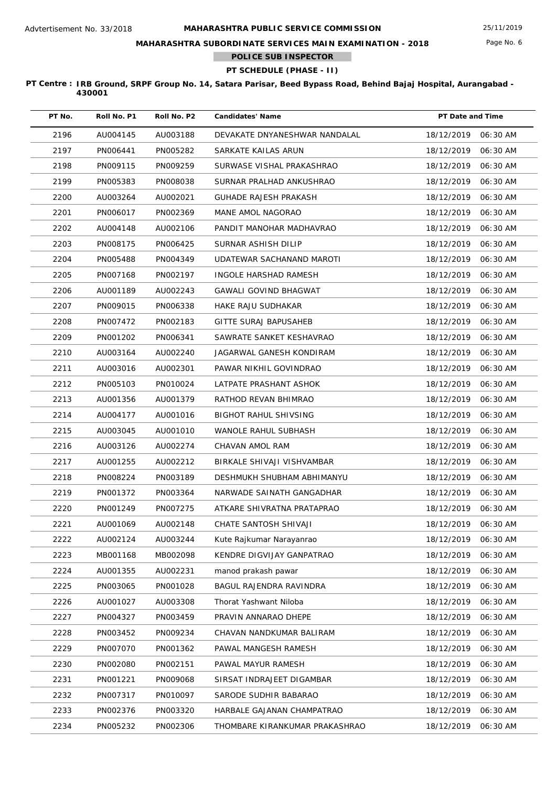**MAHARASHTRA SUBORDINATE SERVICES MAIN EXAMINATION - 2018**

**POLICE SUB INSPECTOR**

# **PT SCHEDULE (PHASE - II)**

| PT No. | Roll No. P1 | Roll No. P2 | <b>Candidates' Name</b>        | PT Date and Time       |
|--------|-------------|-------------|--------------------------------|------------------------|
| 2196   | AU004145    | AU003188    | DEVAKATE DNYANESHWAR NANDALAL  | 18/12/2019<br>06:30 AM |
| 2197   | PN006441    | PN005282    | SARKATE KAILAS ARUN            | 18/12/2019<br>06:30 AM |
| 2198   | PN009115    | PN009259    | SURWASE VISHAL PRAKASHRAO      | 18/12/2019<br>06:30 AM |
| 2199   | PN005383    | PN008038    | SURNAR PRALHAD ANKUSHRAO       | 18/12/2019<br>06:30 AM |
| 2200   | AU003264    | AU002021    | <b>GUHADE RAJESH PRAKASH</b>   | 18/12/2019<br>06:30 AM |
| 2201   | PN006017    | PN002369    | MANE AMOL NAGORAO              | 18/12/2019<br>06:30 AM |
| 2202   | AU004148    | AU002106    | PANDIT MANOHAR MADHAVRAO       | 18/12/2019<br>06:30 AM |
| 2203   | PN008175    | PN006425    | SURNAR ASHISH DILIP            | 18/12/2019<br>06:30 AM |
| 2204   | PN005488    | PN004349    | UDATEWAR SACHANAND MAROTI      | 18/12/2019<br>06:30 AM |
| 2205   | PN007168    | PN002197    | INGOLE HARSHAD RAMESH          | 18/12/2019<br>06:30 AM |
| 2206   | AU001189    | AU002243    | GAWALI GOVIND BHAGWAT          | 18/12/2019<br>06:30 AM |
| 2207   | PN009015    | PN006338    | HAKE RAJU SUDHAKAR             | 18/12/2019<br>06:30 AM |
| 2208   | PN007472    | PN002183    | GITTE SURAJ BAPUSAHEB          | 18/12/2019<br>06:30 AM |
| 2209   | PN001202    | PN006341    | SAWRATE SANKET KESHAVRAO       | 18/12/2019<br>06:30 AM |
| 2210   | AU003164    | AU002240    | JAGARWAL GANESH KONDIRAM       | 18/12/2019<br>06:30 AM |
| 2211   | AU003016    | AU002301    | PAWAR NIKHIL GOVINDRAO         | 18/12/2019<br>06:30 AM |
| 2212   | PN005103    | PN010024    | LATPATE PRASHANT ASHOK         | 18/12/2019<br>06:30 AM |
| 2213   | AU001356    | AU001379    | RATHOD REVAN BHIMRAO           | 18/12/2019<br>06:30 AM |
| 2214   | AU004177    | AU001016    | <b>BIGHOT RAHUL SHIVSING</b>   | 18/12/2019<br>06:30 AM |
| 2215   | AU003045    | AU001010    | WANOLE RAHUL SUBHASH           | 18/12/2019<br>06:30 AM |
| 2216   | AU003126    | AU002274    | CHAVAN AMOL RAM                | 18/12/2019<br>06:30 AM |
| 2217   | AU001255    | AU002212    | BIRKALE SHIVAJI VISHVAMBAR     | 18/12/2019<br>06:30 AM |
| 2218   | PN008224    | PN003189    | DESHMUKH SHUBHAM ABHIMANYU     | 18/12/2019<br>06:30 AM |
| 2219   | PN001372    | PN003364    | NARWADE SAINATH GANGADHAR      | 18/12/2019<br>06:30 AM |
| 2220   | PN001249    | PN007275    | ATKARE SHIVRATNA PRATAPRAO     | 18/12/2019<br>06:30 AM |
| 2221   | AU001069    | AU002148    | CHATE SANTOSH SHIVAJI          | 18/12/2019 06:30 AM    |
| 2222   | AU002124    | AU003244    | Kute Rajkumar Narayanrao       | 18/12/2019<br>06:30 AM |
| 2223   | MB001168    | MB002098    | KENDRE DIGVIJAY GANPATRAO      | 18/12/2019<br>06:30 AM |
| 2224   | AU001355    | AU002231    | manod prakash pawar            | 18/12/2019<br>06:30 AM |
| 2225   | PN003065    | PN001028    | BAGUL RAJENDRA RAVINDRA        | 18/12/2019<br>06:30 AM |
| 2226   | AU001027    | AU003308    | Thorat Yashwant Niloba         | 18/12/2019<br>06:30 AM |
| 2227   | PN004327    | PN003459    | PRAVIN ANNARAO DHEPE           | 18/12/2019<br>06:30 AM |
| 2228   | PN003452    | PN009234    | CHAVAN NANDKUMAR BALIRAM       | 18/12/2019<br>06:30 AM |
| 2229   | PN007070    | PN001362    | PAWAL MANGESH RAMESH           | 18/12/2019<br>06:30 AM |
| 2230   | PN002080    | PN002151    | PAWAL MAYUR RAMESH             | 18/12/2019<br>06:30 AM |
| 2231   | PN001221    | PN009068    | SIRSAT INDRAJEET DIGAMBAR      | 18/12/2019<br>06:30 AM |
| 2232   | PN007317    | PN010097    | SARODE SUDHIR BABARAO          | 18/12/2019<br>06:30 AM |
| 2233   | PN002376    | PN003320    | HARBALE GAJANAN CHAMPATRAO     | 18/12/2019<br>06:30 AM |
| 2234   | PN005232    | PN002306    | THOMBARE KIRANKUMAR PRAKASHRAO | 06:30 AM<br>18/12/2019 |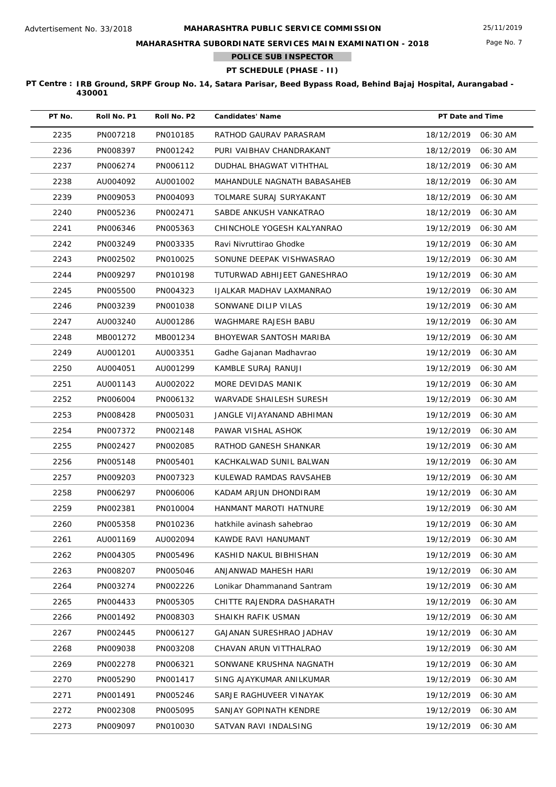## **MAHARASHTRA SUBORDINATE SERVICES MAIN EXAMINATION - 2018**

**POLICE SUB INSPECTOR**

## **PT SCHEDULE (PHASE - II)**

| PT No. | Roll No. P1 | Roll No. P2 | <b>Candidates' Name</b>     | PT Date and Time    |          |
|--------|-------------|-------------|-----------------------------|---------------------|----------|
| 2235   | PN007218    | PN010185    | RATHOD GAURAV PARASRAM      | 18/12/2019          | 06:30 AM |
| 2236   | PN008397    | PN001242    | PURI VAIBHAV CHANDRAKANT    | 18/12/2019          | 06:30 AM |
| 2237   | PN006274    | PN006112    | DUDHAL BHAGWAT VITHTHAL     | 18/12/2019          | 06:30 AM |
| 2238   | AU004092    | AU001002    | MAHANDULE NAGNATH BABASAHEB | 18/12/2019          | 06:30 AM |
| 2239   | PN009053    | PN004093    | TOLMARE SURAJ SURYAKANT     | 18/12/2019          | 06:30 AM |
| 2240   | PN005236    | PN002471    | SABDE ANKUSH VANKATRAO      | 18/12/2019          | 06:30 AM |
| 2241   | PN006346    | PN005363    | CHINCHOLE YOGESH KALYANRAO  | 19/12/2019          | 06:30 AM |
| 2242   | PN003249    | PN003335    | Ravi Nivruttirao Ghodke     | 19/12/2019          | 06:30 AM |
| 2243   | PN002502    | PN010025    | SONUNE DEEPAK VISHWASRAO    | 19/12/2019          | 06:30 AM |
| 2244   | PN009297    | PN010198    | TUTURWAD ABHIJEET GANESHRAO | 19/12/2019          | 06:30 AM |
| 2245   | PN005500    | PN004323    | IJALKAR MADHAV LAXMANRAO    | 19/12/2019          | 06:30 AM |
| 2246   | PN003239    | PN001038    | SONWANE DILIP VILAS         | 19/12/2019          | 06:30 AM |
| 2247   | AU003240    | AU001286    | WAGHMARE RAJESH BABU        | 19/12/2019          | 06:30 AM |
| 2248   | MB001272    | MB001234    | BHOYEWAR SANTOSH MARIBA     | 19/12/2019          | 06:30 AM |
| 2249   | AU001201    | AU003351    | Gadhe Gajanan Madhavrao     | 19/12/2019          | 06:30 AM |
| 2250   | AU004051    | AU001299    | KAMBLE SURAJ RANUJI         | 19/12/2019          | 06:30 AM |
| 2251   | AU001143    | AU002022    | MORE DEVIDAS MANIK          | 19/12/2019          | 06:30 AM |
| 2252   | PN006004    | PN006132    | WARVADE SHAILESH SURESH     | 19/12/2019          | 06:30 AM |
| 2253   | PN008428    | PN005031    | JANGLE VIJAYANAND ABHIMAN   | 19/12/2019          | 06:30 AM |
| 2254   | PN007372    | PN002148    | PAWAR VISHAL ASHOK          | 19/12/2019          | 06:30 AM |
| 2255   | PN002427    | PN002085    | RATHOD GANESH SHANKAR       | 19/12/2019          | 06:30 AM |
| 2256   | PN005148    | PN005401    | KACHKALWAD SUNIL BALWAN     | 19/12/2019          | 06:30 AM |
| 2257   | PN009203    | PN007323    | KULEWAD RAMDAS RAVSAHEB     | 19/12/2019          | 06:30 AM |
| 2258   | PN006297    | PN006006    | KADAM ARJUN DHONDIRAM       | 19/12/2019          | 06:30 AM |
| 2259   | PN002381    | PN010004    | HANMANT MAROTI HATNURE      | 19/12/2019          | 06:30 AM |
| 2260   | PN005358    | PN010236    | hatkhile avinash sahebrao   | 19/12/2019 06:30 AM |          |
| 2261   | AU001169    | AU002094    | KAWDE RAVI HANUMANT         | 19/12/2019          | 06:30 AM |
| 2262   | PN004305    | PN005496    | KASHID NAKUL BIBHISHAN      | 19/12/2019          | 06:30 AM |
| 2263   | PN008207    | PN005046    | ANJANWAD MAHESH HARI        | 19/12/2019          | 06:30 AM |
| 2264   | PN003274    | PN002226    | Lonikar Dhammanand Santram  | 19/12/2019          | 06:30 AM |
| 2265   | PN004433    | PN005305    | CHITTE RAJENDRA DASHARATH   | 19/12/2019          | 06:30 AM |
| 2266   | PN001492    | PN008303    | SHAIKH RAFIK USMAN          | 19/12/2019          | 06:30 AM |
| 2267   | PN002445    | PN006127    | GAJANAN SURESHRAO JADHAV    | 19/12/2019          | 06:30 AM |
| 2268   | PN009038    | PN003208    | CHAVAN ARUN VITTHALRAO      | 19/12/2019          | 06:30 AM |
| 2269   | PN002278    | PN006321    | SONWANE KRUSHNA NAGNATH     | 19/12/2019          | 06:30 AM |
| 2270   | PN005290    | PN001417    | SING AJAYKUMAR ANILKUMAR    | 19/12/2019          | 06:30 AM |
| 2271   | PN001491    | PN005246    | SARJE RAGHUVEER VINAYAK     | 19/12/2019          | 06:30 AM |
| 2272   | PN002308    | PN005095    | SANJAY GOPINATH KENDRE      | 19/12/2019          | 06:30 AM |
| 2273   | PN009097    | PN010030    | SATVAN RAVI INDALSING       | 19/12/2019          | 06:30 AM |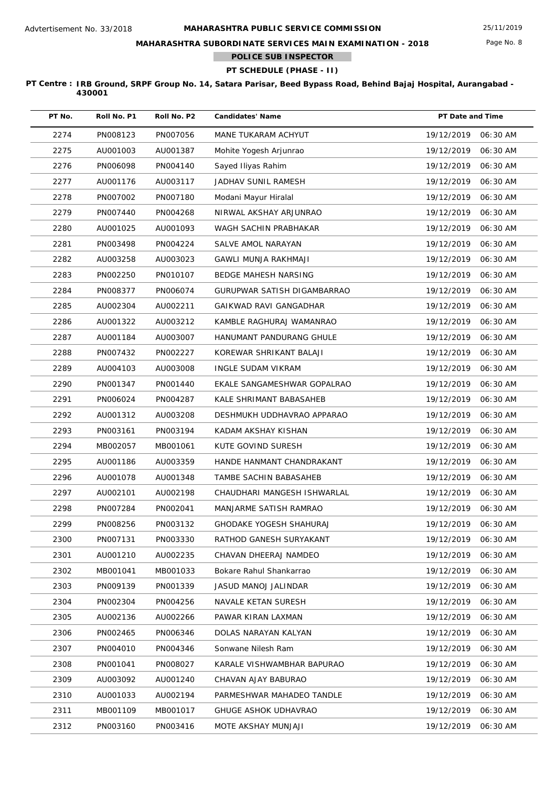**MAHARASHTRA SUBORDINATE SERVICES MAIN EXAMINATION - 2018**

**POLICE SUB INSPECTOR**

# **PT SCHEDULE (PHASE - II)**

| PT No. | Roll No. P1 | Roll No. P2 | <b>Candidates' Name</b>     | PT Date and Time       |
|--------|-------------|-------------|-----------------------------|------------------------|
| 2274   | PN008123    | PN007056    | MANE TUKARAM ACHYUT         | 19/12/2019<br>06:30 AM |
| 2275   | AU001003    | AU001387    | Mohite Yogesh Arjunrao      | 19/12/2019<br>06:30 AM |
| 2276   | PN006098    | PN004140    | Sayed Iliyas Rahim          | 19/12/2019<br>06:30 AM |
| 2277   | AU001176    | AU003117    | JADHAV SUNIL RAMESH         | 19/12/2019<br>06:30 AM |
| 2278   | PN007002    | PN007180    | Modani Mayur Hiralal        | 19/12/2019<br>06:30 AM |
| 2279   | PN007440    | PN004268    | NIRWAL AKSHAY ARJUNRAO      | 19/12/2019<br>06:30 AM |
| 2280   | AU001025    | AU001093    | WAGH SACHIN PRABHAKAR       | 19/12/2019<br>06:30 AM |
| 2281   | PN003498    | PN004224    | SALVE AMOL NARAYAN          | 19/12/2019<br>06:30 AM |
| 2282   | AU003258    | AU003023    | GAWLI MUNJA RAKHMAJI        | 19/12/2019<br>06:30 AM |
| 2283   | PN002250    | PN010107    | BEDGE MAHESH NARSING        | 19/12/2019<br>06:30 AM |
| 2284   | PN008377    | PN006074    | GURUPWAR SATISH DIGAMBARRAO | 19/12/2019<br>06:30 AM |
| 2285   | AU002304    | AU002211    | GAIKWAD RAVI GANGADHAR      | 19/12/2019<br>06:30 AM |
| 2286   | AU001322    | AU003212    | KAMBLE RAGHURAJ WAMANRAO    | 19/12/2019<br>06:30 AM |
| 2287   | AU001184    | AU003007    | HANUMANT PANDURANG GHULE    | 19/12/2019<br>06:30 AM |
| 2288   | PN007432    | PN002227    | KOREWAR SHRIKANT BALAJI     | 19/12/2019<br>06:30 AM |
| 2289   | AU004103    | AU003008    | <b>INGLE SUDAM VIKRAM</b>   | 19/12/2019<br>06:30 AM |
| 2290   | PN001347    | PN001440    | EKALE SANGAMESHWAR GOPALRAO | 19/12/2019<br>06:30 AM |
| 2291   | PN006024    | PN004287    | KALE SHRIMANT BABASAHEB     | 19/12/2019<br>06:30 AM |
| 2292   | AU001312    | AU003208    | DESHMUKH UDDHAVRAO APPARAO  | 19/12/2019<br>06:30 AM |
| 2293   | PN003161    | PN003194    | KADAM AKSHAY KISHAN         | 19/12/2019<br>06:30 AM |
| 2294   | MB002057    | MB001061    | KUTE GOVIND SURESH          | 19/12/2019<br>06:30 AM |
| 2295   | AU001186    | AU003359    | HANDE HANMANT CHANDRAKANT   | 19/12/2019<br>06:30 AM |
| 2296   | AU001078    | AU001348    | TAMBE SACHIN BABASAHEB      | 19/12/2019<br>06:30 AM |
| 2297   | AU002101    | AU002198    | CHAUDHARI MANGESH ISHWARLAL | 19/12/2019<br>06:30 AM |
| 2298   | PN007284    | PN002041    | MANJARME SATISH RAMRAO      | 19/12/2019<br>06:30 AM |
| 2299   | PN008256    | PN003132    | GHODAKE YOGESH SHAHURAJ     | 19/12/2019<br>06:30 AM |
| 2300   | PN007131    | PN003330    | RATHOD GANESH SURYAKANT     | 19/12/2019<br>06:30 AM |
| 2301   | AU001210    | AU002235    | CHAVAN DHEERAJ NAMDEO       | 19/12/2019<br>06:30 AM |
| 2302   | MB001041    | MB001033    | Bokare Rahul Shankarrao     | 19/12/2019<br>06:30 AM |
| 2303   | PN009139    | PN001339    | <b>JASUD MANOJ JALINDAR</b> | 19/12/2019<br>06:30 AM |
| 2304   | PN002304    | PN004256    | NAVALE KETAN SURESH         | 19/12/2019<br>06:30 AM |
| 2305   | AU002136    | AU002266    | PAWAR KIRAN LAXMAN          | 19/12/2019<br>06:30 AM |
| 2306   | PN002465    | PN006346    | DOLAS NARAYAN KALYAN        | 19/12/2019<br>06:30 AM |
| 2307   | PN004010    | PN004346    | Sonwane Nilesh Ram          | 19/12/2019<br>06:30 AM |
| 2308   | PN001041    | PN008027    | KARALE VISHWAMBHAR BAPURAO  | 19/12/2019<br>06:30 AM |
| 2309   | AU003092    | AU001240    | CHAVAN AJAY BABURAO         | 19/12/2019<br>06:30 AM |
| 2310   | AU001033    | AU002194    | PARMESHWAR MAHADEO TANDLE   | 19/12/2019<br>06:30 AM |
| 2311   | MB001109    | MB001017    | GHUGE ASHOK UDHAVRAO        | 19/12/2019<br>06:30 AM |
| 2312   | PN003160    | PN003416    | MOTE AKSHAY MUNJAJI         | 19/12/2019<br>06:30 AM |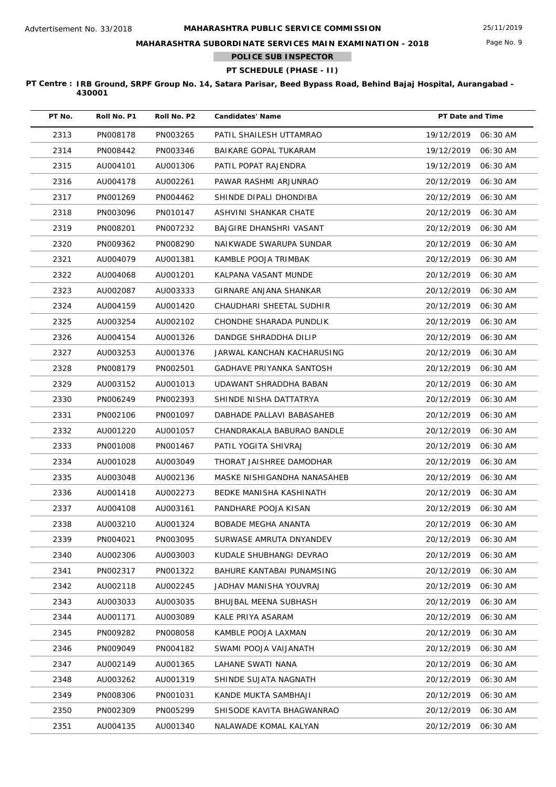## **MAHARASHTRA SUBORDINATE SERVICES MAIN EXAMINATION - 2018**

**POLICE SUB INSPECTOR**

## **PT SCHEDULE (PHASE - II)**

| PT No. | Roll No. P1 | Roll No. P2 | <b>Candidates' Name</b>         | PT Date and Time       |
|--------|-------------|-------------|---------------------------------|------------------------|
| 2313   | PN008178    | PN003265    | PATIL SHAILESH UTTAMRAO         | 19/12/2019<br>06:30 AM |
| 2314   | PN008442    | PN003346    | BAIKARE GOPAL TUKARAM           | 19/12/2019<br>06:30 AM |
| 2315   | AU004101    | AU001306    | PATIL POPAT RAJENDRA            | 19/12/2019<br>06:30 AM |
| 2316   | AU004178    | AU002261    | PAWAR RASHMI ARJUNRAO           | 20/12/2019<br>06:30 AM |
| 2317   | PN001269    | PN004462    | SHINDE DIPALI DHONDIBA          | 20/12/2019<br>06:30 AM |
| 2318   | PN003096    | PN010147    | ASHVINI SHANKAR CHATE           | 20/12/2019<br>06:30 AM |
| 2319   | PN008201    | PN007232    | BAJGIRE DHANSHRI VASANT         | 20/12/2019<br>06:30 AM |
| 2320   | PN009362    | PN008290    | NAIKWADE SWARUPA SUNDAR         | 20/12/2019<br>06:30 AM |
| 2321   | AU004079    | AU001381    | KAMBLE POOJA TRIMBAK            | 20/12/2019<br>06:30 AM |
| 2322   | AU004068    | AU001201    | KALPANA VASANT MUNDE            | 20/12/2019<br>06:30 AM |
| 2323   | AU002087    | AU003333    | <b>GIRNARE ANJANA SHANKAR</b>   | 20/12/2019<br>06:30 AM |
| 2324   | AU004159    | AU001420    | CHAUDHARI SHEETAL SUDHIR        | 20/12/2019<br>06:30 AM |
| 2325   | AU003254    | AU002102    | CHONDHE SHARADA PUNDLIK         | 20/12/2019<br>06:30 AM |
| 2326   | AU004154    | AU001326    | DANDGE SHRADDHA DILIP           | 20/12/2019<br>06:30 AM |
| 2327   | AU003253    | AU001376    | JARWAL KANCHAN KACHARUSING      | 20/12/2019<br>06:30 AM |
| 2328   | PN008179    | PN002501    | <b>GADHAVE PRIYANKA SANTOSH</b> | 20/12/2019<br>06:30 AM |
| 2329   | AU003152    | AU001013    | UDAWANT SHRADDHA BABAN          | 20/12/2019<br>06:30 AM |
| 2330   | PN006249    | PN002393    | SHINDE NISHA DATTATRYA          | 20/12/2019<br>06:30 AM |
| 2331   | PN002106    | PN001097    | DABHADE PALLAVI BABASAHEB       | 20/12/2019<br>06:30 AM |
| 2332   | AU001220    | AU001057    | CHANDRAKALA BABURAO BANDLE      | 20/12/2019<br>06:30 AM |
| 2333   | PN001008    | PN001467    | PATIL YOGITA SHIVRAJ            | 20/12/2019<br>06:30 AM |
| 2334   | AU001028    | AU003049    | THORAT JAISHREE DAMODHAR        | 20/12/2019<br>06:30 AM |
| 2335   | AU003048    | AU002136    | MASKE NISHIGANDHA NANASAHEB     | 20/12/2019<br>06:30 AM |
| 2336   | AU001418    | AU002273    | BEDKE MANISHA KASHINATH         | 20/12/2019<br>06:30 AM |
| 2337   | AU004108    | AU003161    | PANDHARE POOJA KISAN            | 20/12/2019<br>06:30 AM |
| 2338   | AU003210    | AU001324    | BOBADE MEGHA ANANTA             | 20/12/2019 06:30 AM    |
| 2339   | PN004021    | PN003095    | SURWASE AMRUTA DNYANDEV         | 20/12/2019<br>06:30 AM |
| 2340   | AU002306    | AU003003    | KUDALE SHUBHANGI DEVRAO         | 20/12/2019<br>06:30 AM |
| 2341   | PN002317    | PN001322    | BAHURE KANTABAI PUNAMSING       | 20/12/2019<br>06:30 AM |
| 2342   | AU002118    | AU002245    | JADHAV MANISHA YOUVRAJ          | 20/12/2019<br>06:30 AM |
| 2343   | AU003033    | AU003035    | <b>BHUJBAL MEENA SUBHASH</b>    | 20/12/2019<br>06:30 AM |
| 2344   | AU001171    | AU003089    | KALE PRIYA ASARAM               | 20/12/2019<br>06:30 AM |
| 2345   | PN009282    | PN008058    | KAMBLE POOJA LAXMAN             | 20/12/2019<br>06:30 AM |
| 2346   | PN009049    | PN004182    | SWAMI POOJA VAIJANATH           | 20/12/2019<br>06:30 AM |
| 2347   | AU002149    | AU001365    | LAHANE SWATI NANA               | 20/12/2019<br>06:30 AM |
| 2348   | AU003262    | AU001319    | SHINDE SUJATA NAGNATH           | 20/12/2019<br>06:30 AM |
| 2349   | PN008306    | PN001031    | KANDE MUKTA SAMBHAJI            | 20/12/2019<br>06:30 AM |
| 2350   | PN002309    | PN005299    | SHISODE KAVITA BHAGWANRAO       | 20/12/2019<br>06:30 AM |
| 2351   | AU004135    | AU001340    | NALAWADE KOMAL KALYAN           | 06:30 AM<br>20/12/2019 |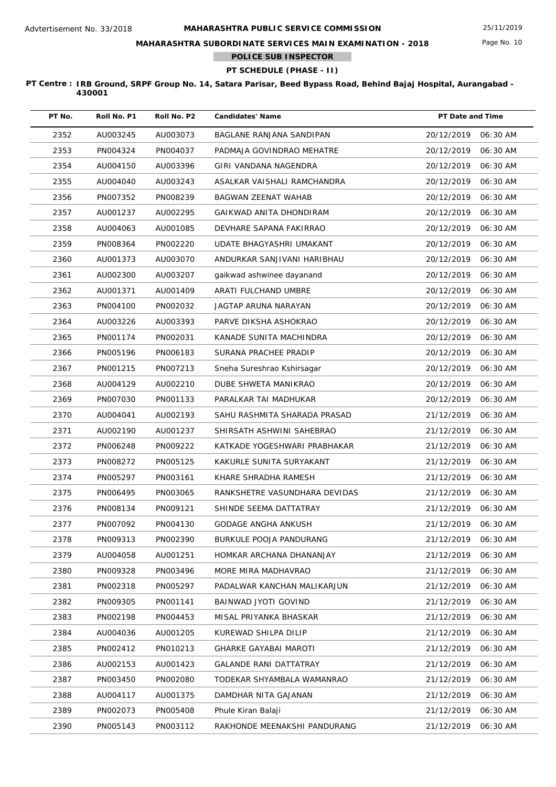## **MAHARASHTRA SUBORDINATE SERVICES MAIN EXAMINATION - 2018**

**POLICE SUB INSPECTOR**

## **PT SCHEDULE (PHASE - II)**

| PT No. | Roll No. P1 | Roll No. P2 | <b>Candidates' Name</b>        | PT Date and Time |          |
|--------|-------------|-------------|--------------------------------|------------------|----------|
| 2352   | AU003245    | AU003073    | BAGLANE RANJANA SANDIPAN       | 20/12/2019       | 06:30 AM |
| 2353   | PN004324    | PN004037    | PADMAJA GOVINDRAO MEHATRE      | 20/12/2019       | 06:30 AM |
| 2354   | AU004150    | AU003396    | GIRI VANDANA NAGENDRA          | 20/12/2019       | 06:30 AM |
| 2355   | AU004040    | AU003243    | ASALKAR VAISHALI RAMCHANDRA    | 20/12/2019       | 06:30 AM |
| 2356   | PN007352    | PN008239    | BAGWAN ZEENAT WAHAB            | 20/12/2019       | 06:30 AM |
| 2357   | AU001237    | AU002295    | GAIKWAD ANITA DHONDIRAM        | 20/12/2019       | 06:30 AM |
| 2358   | AU004063    | AU001085    | DEVHARE SAPANA FAKIRRAO        | 20/12/2019       | 06:30 AM |
| 2359   | PN008364    | PN002220    | UDATE BHAGYASHRI UMAKANT       | 20/12/2019       | 06:30 AM |
| 2360   | AU001373    | AU003070    | ANDURKAR SANJIVANI HARIBHAU    | 20/12/2019       | 06:30 AM |
| 2361   | AU002300    | AU003207    | gaikwad ashwinee dayanand      | 20/12/2019       | 06:30 AM |
| 2362   | AU001371    | AU001409    | ARATI FULCHAND UMBRE           | 20/12/2019       | 06:30 AM |
| 2363   | PN004100    | PN002032    | <b>JAGTAP ARUNA NARAYAN</b>    | 20/12/2019       | 06:30 AM |
| 2364   | AU003226    | AU003393    | PARVE DIKSHA ASHOKRAO          | 20/12/2019       | 06:30 AM |
| 2365   | PN001174    | PN002031    | KANADE SUNITA MACHINDRA        | 20/12/2019       | 06:30 AM |
| 2366   | PN005196    | PN006183    | SURANA PRACHEE PRADIP          | 20/12/2019       | 06:30 AM |
| 2367   | PN001215    | PN007213    | Sneha Sureshrao Kshirsagar     | 20/12/2019       | 06:30 AM |
| 2368   | AU004129    | AU002210    | DUBE SHWETA MANIKRAO           | 20/12/2019       | 06:30 AM |
| 2369   | PN007030    | PN001133    | PARALKAR TAI MADHUKAR          | 20/12/2019       | 06:30 AM |
| 2370   | AU004041    | AU002193    | SAHU RASHMITA SHARADA PRASAD   | 21/12/2019       | 06:30 AM |
| 2371   | AU002190    | AU001237    | SHIRSATH ASHWINI SAHEBRAO      | 21/12/2019       | 06:30 AM |
| 2372   | PN006248    | PN009222    | KATKADE YOGESHWARI PRABHAKAR   | 21/12/2019       | 06:30 AM |
| 2373   | PN008272    | PN005125    | KAKURLE SUNITA SURYAKANT       | 21/12/2019       | 06:30 AM |
| 2374   | PN005297    | PN003161    | KHARE SHRADHA RAMESH           | 21/12/2019       | 06:30 AM |
| 2375   | PN006495    | PN003065    | RANKSHETRE VASUNDHARA DEVIDAS  | 21/12/2019       | 06:30 AM |
| 2376   | PN008134    | PN009121    | SHINDE SEEMA DATTATRAY         | 21/12/2019       | 06:30 AM |
| 2377   | PN007092    | PN004130    | GODAGE ANGHA ANKUSH            | 21/12/2019       | 06:30 AM |
| 2378   | PN009313    | PN002390    | <b>BURKULE POOJA PANDURANG</b> | 21/12/2019       | 06:30 AM |
| 2379   | AU004058    | AU001251    | HOMKAR ARCHANA DHANANJAY       | 21/12/2019       | 06:30 AM |
| 2380   | PN009328    | PN003496    | MORE MIRA MADHAVRAO            | 21/12/2019       | 06:30 AM |
| 2381   | PN002318    | PN005297    | PADALWAR KANCHAN MALIKARJUN    | 21/12/2019       | 06:30 AM |
| 2382   | PN009305    | PN001141    | BAINWAD JYOTI GOVIND           | 21/12/2019       | 06:30 AM |
| 2383   | PN002198    | PN004453    | MISAL PRIYANKA BHASKAR         | 21/12/2019       | 06:30 AM |
| 2384   | AU004036    | AU001205    | KUREWAD SHILPA DILIP           | 21/12/2019       | 06:30 AM |
| 2385   | PN002412    | PN010213    | <b>GHARKE GAYABAI MAROTI</b>   | 21/12/2019       | 06:30 AM |
| 2386   | AU002153    | AU001423    | GALANDE RANI DATTATRAY         | 21/12/2019       | 06:30 AM |
| 2387   | PN003450    | PN002080    | TODEKAR SHYAMBALA WAMANRAO     | 21/12/2019       | 06:30 AM |
| 2388   | AU004117    | AU001375    | DAMDHAR NITA GAJANAN           | 21/12/2019       | 06:30 AM |
| 2389   | PN002073    | PN005408    | Phule Kiran Balaji             | 21/12/2019       | 06:30 AM |
| 2390   | PN005143    | PN003112    | RAKHONDE MEENAKSHI PANDURANG   | 21/12/2019       | 06:30 AM |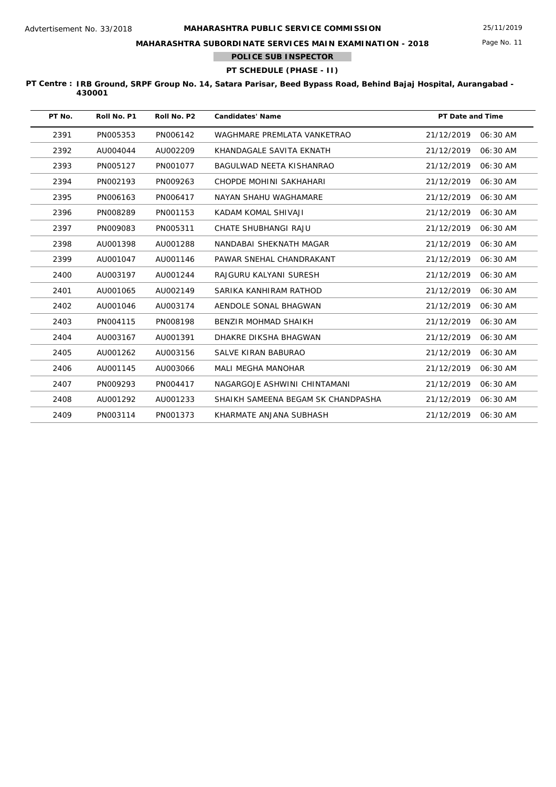Page No. 11

## **MAHARASHTRA SUBORDINATE SERVICES MAIN EXAMINATION - 2018**

**POLICE SUB INSPECTOR**

## **PT SCHEDULE (PHASE - II)**

| PT No. | Roll No. P1 | Roll No. P2 | <b>Candidates' Name</b>            | <b>PT Date and Time</b> |
|--------|-------------|-------------|------------------------------------|-------------------------|
| 2391   | PN005353    | PN006142    | WAGHMARE PREMLATA VANKETRAO        | 21/12/2019<br>06:30 AM  |
| 2392   | AU004044    | AU002209    | KHANDAGALE SAVITA EKNATH           | 21/12/2019<br>06:30 AM  |
| 2393   | PN005127    | PN001077    | BAGULWAD NEETA KISHANRAO           | 21/12/2019<br>06:30 AM  |
| 2394   | PN002193    | PN009263    | CHOPDE MOHINI SAKHAHARI            | 21/12/2019<br>06:30 AM  |
| 2395   | PN006163    | PN006417    | NAYAN SHAHU WAGHAMARE              | 21/12/2019<br>06:30 AM  |
| 2396   | PN008289    | PN001153    | KADAM KOMAL SHIVAJI                | 21/12/2019<br>06:30 AM  |
| 2397   | PN009083    | PN005311    | CHATE SHUBHANGI RAJU               | 21/12/2019<br>06:30 AM  |
| 2398   | AU001398    | AU001288    | NANDABAI SHEKNATH MAGAR            | 21/12/2019<br>06:30 AM  |
| 2399   | AU001047    | AU001146    | PAWAR SNEHAL CHANDRAKANT           | 21/12/2019<br>06:30 AM  |
| 2400   | AU003197    | AU001244    | RAJGURU KALYANI SURESH             | 21/12/2019<br>06:30 AM  |
| 2401   | AU001065    | AU002149    | SARIKA KANHIRAM RATHOD             | 21/12/2019<br>06:30 AM  |
| 2402   | AU001046    | AU003174    | AENDOLE SONAL BHAGWAN              | 21/12/2019<br>06:30 AM  |
| 2403   | PN004115    | PN008198    | BENZIR MOHMAD SHAIKH               | 21/12/2019<br>06:30 AM  |
| 2404   | AU003167    | AU001391    | DHAKRE DIKSHA BHAGWAN              | 21/12/2019<br>06:30 AM  |
| 2405   | AU001262    | AU003156    | <b>SALVE KIRAN BABURAO</b>         | 21/12/2019<br>06:30 AM  |
| 2406   | AU001145    | AU003066    | <b>MALI MEGHA MANOHAR</b>          | 21/12/2019<br>06:30 AM  |
| 2407   | PN009293    | PN004417    | NAGARGOJE ASHWINI CHINTAMANI       | 21/12/2019<br>06:30 AM  |
| 2408   | AU001292    | AU001233    | SHAIKH SAMEENA BEGAM SK CHANDPASHA | 21/12/2019<br>06:30 AM  |
| 2409   | PN003114    | PN001373    | KHARMATE ANJANA SUBHASH            | 21/12/2019<br>06:30 AM  |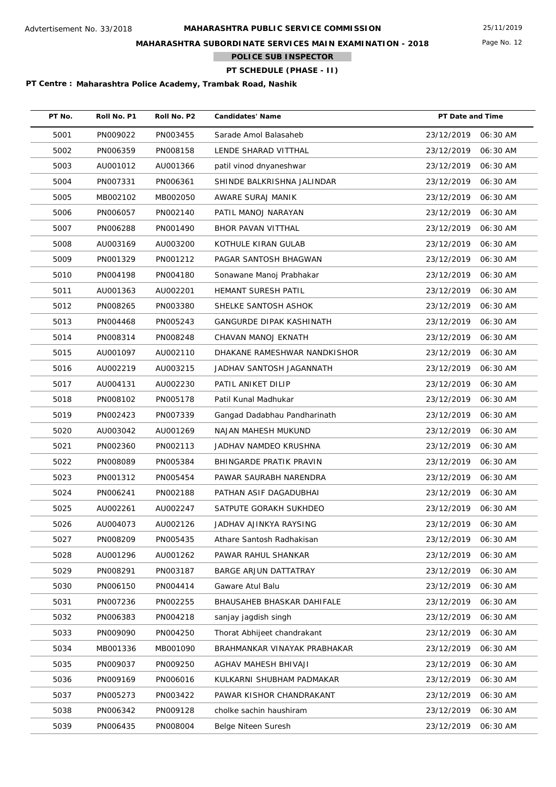Page No. 12

## **MAHARASHTRA SUBORDINATE SERVICES MAIN EXAMINATION - 2018**

**POLICE SUB INSPECTOR**

# **PT SCHEDULE (PHASE - II)**

| PT No. | Roll No. P1 | Roll No. P2 | <b>Candidates' Name</b>         | PT Date and Time       |
|--------|-------------|-------------|---------------------------------|------------------------|
| 5001   | PN009022    | PN003455    | Sarade Amol Balasaheb           | 23/12/2019<br>06:30 AM |
| 5002   | PN006359    | PN008158    | LENDE SHARAD VITTHAL            | 23/12/2019<br>06:30 AM |
| 5003   | AU001012    | AU001366    | patil vinod dnyaneshwar         | 23/12/2019<br>06:30 AM |
| 5004   | PN007331    | PN006361    | SHINDE BALKRISHNA JALINDAR      | 23/12/2019<br>06:30 AM |
| 5005   | MB002102    | MB002050    | AWARE SURAJ MANIK               | 23/12/2019<br>06:30 AM |
| 5006   | PN006057    | PN002140    | PATIL MANOJ NARAYAN             | 23/12/2019<br>06:30 AM |
| 5007   | PN006288    | PN001490    | BHOR PAVAN VITTHAL              | 23/12/2019<br>06:30 AM |
| 5008   | AU003169    | AU003200    | KOTHULE KIRAN GULAB             | 23/12/2019<br>06:30 AM |
| 5009   | PN001329    | PN001212    | PAGAR SANTOSH BHAGWAN           | 23/12/2019<br>06:30 AM |
| 5010   | PN004198    | PN004180    | Sonawane Manoj Prabhakar        | 23/12/2019<br>06:30 AM |
| 5011   | AU001363    | AU002201    | HEMANT SURESH PATIL             | 23/12/2019<br>06:30 AM |
| 5012   | PN008265    | PN003380    | SHELKE SANTOSH ASHOK            | 23/12/2019<br>06:30 AM |
| 5013   | PN004468    | PN005243    | <b>GANGURDE DIPAK KASHINATH</b> | 23/12/2019<br>06:30 AM |
| 5014   | PN008314    | PN008248    | CHAVAN MANOJ EKNATH             | 23/12/2019<br>06:30 AM |
| 5015   | AU001097    | AU002110    | DHAKANE RAMESHWAR NANDKISHOR    | 23/12/2019<br>06:30 AM |
| 5016   | AU002219    | AU003215    | JADHAV SANTOSH JAGANNATH        | 23/12/2019<br>06:30 AM |
| 5017   | AU004131    | AU002230    | PATIL ANIKET DILIP              | 23/12/2019<br>06:30 AM |
| 5018   | PN008102    | PN005178    | Patil Kunal Madhukar            | 23/12/2019<br>06:30 AM |
| 5019   | PN002423    | PN007339    | Gangad Dadabhau Pandharinath    | 23/12/2019<br>06:30 AM |
| 5020   | AU003042    | AU001269    | NAJAN MAHESH MUKUND             | 23/12/2019<br>06:30 AM |
| 5021   | PN002360    | PN002113    | JADHAV NAMDEO KRUSHNA           | 23/12/2019<br>06:30 AM |
| 5022   | PN008089    | PN005384    | BHINGARDE PRATIK PRAVIN         | 23/12/2019<br>06:30 AM |
| 5023   | PN001312    | PN005454    | PAWAR SAURABH NARENDRA          | 23/12/2019<br>06:30 AM |
| 5024   | PN006241    | PN002188    | PATHAN ASIF DAGADUBHAI          | 23/12/2019<br>06:30 AM |
| 5025   | AU002261    | AU002247    | SATPUTE GORAKH SUKHDEO          | 23/12/2019<br>06:30 AM |
| 5026   | AU004073    | AU002126    | JADHAV AJINKYA RAYSING          | 23/12/2019<br>06:30 AM |
| 5027   | PN008209    | PN005435    | Athare Santosh Radhakisan       | 06:30 AM<br>23/12/2019 |
| 5028   | AU001296    | AU001262    | PAWAR RAHUL SHANKAR             | 23/12/2019<br>06:30 AM |
| 5029   | PN008291    | PN003187    | BARGE ARJUN DATTATRAY           | 23/12/2019<br>06:30 AM |
| 5030   | PN006150    | PN004414    | Gaware Atul Balu                | 23/12/2019<br>06:30 AM |
| 5031   | PN007236    | PN002255    | BHAUSAHEB BHASKAR DAHIFALE      | 06:30 AM<br>23/12/2019 |
| 5032   | PN006383    | PN004218    | sanjay jagdish singh            | 23/12/2019<br>06:30 AM |
| 5033   | PN009090    | PN004250    | Thorat Abhijeet chandrakant     | 23/12/2019<br>06:30 AM |
| 5034   | MB001336    | MB001090    | BRAHMANKAR VINAYAK PRABHAKAR    | 06:30 AM<br>23/12/2019 |
| 5035   | PN009037    | PN009250    | AGHAV MAHESH BHIVAJI            | 23/12/2019<br>06:30 AM |
| 5036   | PN009169    | PN006016    | KULKARNI SHUBHAM PADMAKAR       | 23/12/2019<br>06:30 AM |
| 5037   | PN005273    | PN003422    | PAWAR KISHOR CHANDRAKANT        | 23/12/2019<br>06:30 AM |
| 5038   | PN006342    | PN009128    | cholke sachin haushiram         | 23/12/2019<br>06:30 AM |
| 5039   | PN006435    | PN008004    | Belge Niteen Suresh             | 23/12/2019<br>06:30 AM |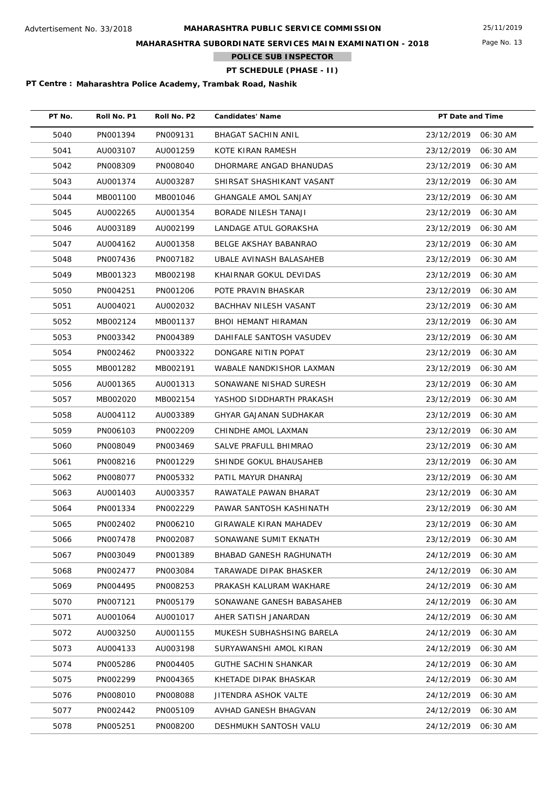**MAHARASHTRA SUBORDINATE SERVICES MAIN EXAMINATION - 2018**

**POLICE SUB INSPECTOR**

**PT SCHEDULE (PHASE - II)**

**PT Centre : Maharashtra Police Academy, Trambak Road, Nashik**

| PT No. | Roll No. P1 | Roll No. P2 | <b>Candidates' Name</b>     | PT Date and Time |          |
|--------|-------------|-------------|-----------------------------|------------------|----------|
| 5040   | PN001394    | PN009131    | BHAGAT SACHIN ANIL          | 23/12/2019       | 06:30 AM |
| 5041   | AU003107    | AU001259    | KOTE KIRAN RAMESH           | 23/12/2019       | 06:30 AM |
| 5042   | PN008309    | PN008040    | DHORMARE ANGAD BHANUDAS     | 23/12/2019       | 06:30 AM |
| 5043   | AU001374    | AU003287    | SHIRSAT SHASHIKANT VASANT   | 23/12/2019       | 06:30 AM |
| 5044   | MB001100    | MB001046    | <b>GHANGALE AMOL SANJAY</b> | 23/12/2019       | 06:30 AM |
| 5045   | AU002265    | AU001354    | BORADE NILESH TANAJI        | 23/12/2019       | 06:30 AM |
| 5046   | AU003189    | AU002199    | LANDAGE ATUL GORAKSHA       | 23/12/2019       | 06:30 AM |
| 5047   | AU004162    | AU001358    | BELGE AKSHAY BABANRAO       | 23/12/2019       | 06:30 AM |
| 5048   | PN007436    | PN007182    | UBALE AVINASH BALASAHEB     | 23/12/2019       | 06:30 AM |
| 5049   | MB001323    | MB002198    | KHAIRNAR GOKUL DEVIDAS      | 23/12/2019       | 06:30 AM |
| 5050   | PN004251    | PN001206    | POTE PRAVIN BHASKAR         | 23/12/2019       | 06:30 AM |
| 5051   | AU004021    | AU002032    | BACHHAV NILESH VASANT       | 23/12/2019       | 06:30 AM |
| 5052   | MB002124    | MB001137    | <b>BHOI HEMANT HIRAMAN</b>  | 23/12/2019       | 06:30 AM |
| 5053   | PN003342    | PN004389    | DAHIFALE SANTOSH VASUDEV    | 23/12/2019       | 06:30 AM |
| 5054   | PN002462    | PN003322    | DONGARE NITIN POPAT         | 23/12/2019       | 06:30 AM |
| 5055   | MB001282    | MB002191    | WABALE NANDKISHOR LAXMAN    | 23/12/2019       | 06:30 AM |
| 5056   | AU001365    | AU001313    | SONAWANE NISHAD SURESH      | 23/12/2019       | 06:30 AM |
| 5057   | MB002020    | MB002154    | YASHOD SIDDHARTH PRAKASH    | 23/12/2019       | 06:30 AM |
| 5058   | AU004112    | AU003389    | GHYAR GAJANAN SUDHAKAR      | 23/12/2019       | 06:30 AM |
| 5059   | PN006103    | PN002209    | CHINDHE AMOL LAXMAN         | 23/12/2019       | 06:30 AM |
| 5060   | PN008049    | PN003469    | SALVE PRAFULL BHIMRAO       | 23/12/2019       | 06:30 AM |
| 5061   | PN008216    | PN001229    | SHINDE GOKUL BHAUSAHEB      | 23/12/2019       | 06:30 AM |
| 5062   | PN008077    | PN005332    | PATIL MAYUR DHANRAJ         | 23/12/2019       | 06:30 AM |
| 5063   | AU001403    | AU003357    | RAWATALE PAWAN BHARAT       | 23/12/2019       | 06:30 AM |
| 5064   | PN001334    | PN002229    | PAWAR SANTOSH KASHINATH     | 23/12/2019       | 06:30 AM |
| 5065   | PN002402    | PN006210    | GIRAWALE KIRAN MAHADEV      | 23/12/2019       | 06:30 AM |
| 5066   | PN007478    | PN002087    | SONAWANE SUMIT EKNATH       | 23/12/2019       | 06:30 AM |
| 5067   | PN003049    | PN001389    | BHABAD GANESH RAGHUNATH     | 24/12/2019       | 06:30 AM |
| 5068   | PN002477    | PN003084    | TARAWADE DIPAK BHASKER      | 24/12/2019       | 06:30 AM |
| 5069   | PN004495    | PN008253    | PRAKASH KALURAM WAKHARE     | 24/12/2019       | 06:30 AM |
| 5070   | PN007121    | PN005179    | SONAWANE GANESH BABASAHEB   | 24/12/2019       | 06:30 AM |
| 5071   | AU001064    | AU001017    | AHER SATISH JANARDAN        | 24/12/2019       | 06:30 AM |
| 5072   | AU003250    | AU001155    | MUKESH SUBHASHSING BARELA   | 24/12/2019       | 06:30 AM |
| 5073   | AU004133    | AU003198    | SURYAWANSHI AMOL KIRAN      | 24/12/2019       | 06:30 AM |
| 5074   | PN005286    | PN004405    | <b>GUTHE SACHIN SHANKAR</b> | 24/12/2019       | 06:30 AM |
| 5075   | PN002299    | PN004365    | KHETADE DIPAK BHASKAR       | 24/12/2019       | 06:30 AM |
| 5076   | PN008010    | PN008088    | JITENDRA ASHOK VALTE        | 24/12/2019       | 06:30 AM |
| 5077   | PN002442    | PN005109    | AVHAD GANESH BHAGVAN        | 24/12/2019       | 06:30 AM |
| 5078   | PN005251    | PN008200    | DESHMUKH SANTOSH VALU       | 24/12/2019       | 06:30 AM |

Page No. 13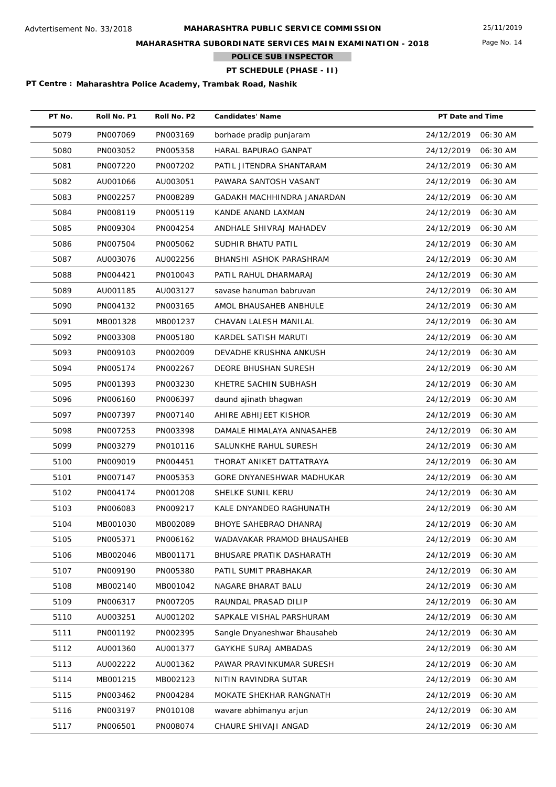**MAHARASHTRA SUBORDINATE SERVICES MAIN EXAMINATION - 2018**

**POLICE SUB INSPECTOR**

**PT SCHEDULE (PHASE - II)**

| PT No. | Roll No. P1 | Roll No. P2 | <b>Candidates' Name</b>      | PT Date and Time       |
|--------|-------------|-------------|------------------------------|------------------------|
| 5079   | PN007069    | PN003169    | borhade pradip punjaram      | 24/12/2019<br>06:30 AM |
| 5080   | PN003052    | PN005358    | HARAL BAPURAO GANPAT         | 24/12/2019<br>06:30 AM |
| 5081   | PN007220    | PN007202    | PATIL JITENDRA SHANTARAM     | 24/12/2019<br>06:30 AM |
| 5082   | AU001066    | AU003051    | PAWARA SANTOSH VASANT        | 24/12/2019<br>06:30 AM |
| 5083   | PN002257    | PN008289    | GADAKH MACHHINDRA JANARDAN   | 24/12/2019<br>06:30 AM |
| 5084   | PN008119    | PN005119    | KANDE ANAND LAXMAN           | 24/12/2019<br>06:30 AM |
| 5085   | PN009304    | PN004254    | ANDHALE SHIVRAJ MAHADEV      | 24/12/2019<br>06:30 AM |
| 5086   | PN007504    | PN005062    | SUDHIR BHATU PATIL           | 24/12/2019<br>06:30 AM |
| 5087   | AU003076    | AU002256    | BHANSHI ASHOK PARASHRAM      | 24/12/2019<br>06:30 AM |
| 5088   | PN004421    | PN010043    | PATIL RAHUL DHARMARAJ        | 24/12/2019<br>06:30 AM |
| 5089   | AU001185    | AU003127    | savase hanuman babruvan      | 24/12/2019<br>06:30 AM |
| 5090   | PN004132    | PN003165    | AMOL BHAUSAHEB ANBHULE       | 24/12/2019<br>06:30 AM |
| 5091   | MB001328    | MB001237    | CHAVAN LALESH MANILAL        | 24/12/2019<br>06:30 AM |
| 5092   | PN003308    | PN005180    | KARDEL SATISH MARUTI         | 24/12/2019<br>06:30 AM |
| 5093   | PN009103    | PN002009    | DEVADHE KRUSHNA ANKUSH       | 24/12/2019<br>06:30 AM |
| 5094   | PN005174    | PN002267    | DEORE BHUSHAN SURESH         | 24/12/2019<br>06:30 AM |
| 5095   | PN001393    | PN003230    | KHETRE SACHIN SUBHASH        | 24/12/2019<br>06:30 AM |
| 5096   | PN006160    | PN006397    | daund ajinath bhagwan        | 24/12/2019<br>06:30 AM |
| 5097   | PN007397    | PN007140    | AHIRE ABHIJEET KISHOR        | 24/12/2019<br>06:30 AM |
| 5098   | PN007253    | PN003398    | DAMALE HIMALAYA ANNASAHEB    | 24/12/2019<br>06:30 AM |
| 5099   | PN003279    | PN010116    | SALUNKHE RAHUL SURESH        | 24/12/2019<br>06:30 AM |
| 5100   | PN009019    | PN004451    | THORAT ANIKET DATTATRAYA     | 24/12/2019<br>06:30 AM |
| 5101   | PN007147    | PN005353    | GORE DNYANESHWAR MADHUKAR    | 24/12/2019<br>06:30 AM |
| 5102   | PN004174    | PN001208    | SHELKE SUNIL KERU            | 24/12/2019<br>06:30 AM |
| 5103   | PN006083    | PN009217    | KALE DNYANDEO RAGHUNATH      | 24/12/2019<br>06:30 AM |
| 5104   | MB001030    | MB002089    | BHOYE SAHEBRAO DHANRAJ       | 24/12/2019<br>06:30 AM |
| 5105   | PN005371    | PN006162    | WADAVAKAR PRAMOD BHAUSAHEB   | 24/12/2019<br>06:30 AM |
| 5106   | MB002046    | MB001171    | BHUSARE PRATIK DASHARATH     | 24/12/2019<br>06:30 AM |
| 5107   | PN009190    | PN005380    | PATIL SUMIT PRABHAKAR        | 24/12/2019<br>06:30 AM |
| 5108   | MB002140    | MB001042    | NAGARE BHARAT BALU           | 24/12/2019<br>06:30 AM |
| 5109   | PN006317    | PN007205    | RAUNDAL PRASAD DILIP         | 24/12/2019<br>06:30 AM |
| 5110   | AU003251    | AU001202    | SAPKALE VISHAL PARSHURAM     | 24/12/2019<br>06:30 AM |
| 5111   | PN001192    | PN002395    | Sangle Dnyaneshwar Bhausaheb | 24/12/2019<br>06:30 AM |
| 5112   | AU001360    | AU001377    | <b>GAYKHE SURAJ AMBADAS</b>  | 24/12/2019<br>06:30 AM |
| 5113   | AU002222    | AU001362    | PAWAR PRAVINKUMAR SURESH     | 24/12/2019<br>06:30 AM |
| 5114   | MB001215    | MB002123    | NITIN RAVINDRA SUTAR         | 24/12/2019<br>06:30 AM |
| 5115   | PN003462    | PN004284    | MOKATE SHEKHAR RANGNATH      | 24/12/2019<br>06:30 AM |
| 5116   | PN003197    | PN010108    | wavare abhimanyu arjun       | 24/12/2019<br>06:30 AM |
| 5117   | PN006501    | PN008074    | CHAURE SHIVAJI ANGAD         | 24/12/2019<br>06:30 AM |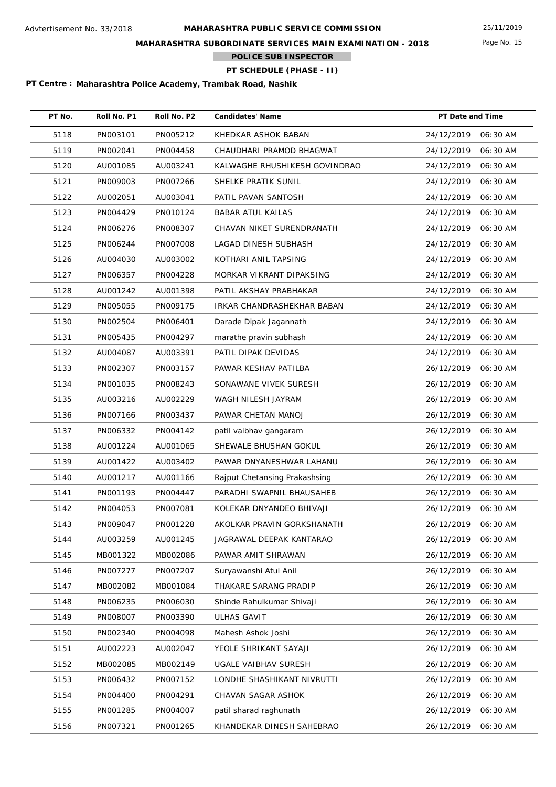Page No. 15

## **MAHARASHTRA SUBORDINATE SERVICES MAIN EXAMINATION - 2018**

**POLICE SUB INSPECTOR**

# **PT SCHEDULE (PHASE - II)**

| PT No. | Roll No. P1 | Roll No. P2 | <b>Candidates' Name</b>       | PT Date and Time |          |
|--------|-------------|-------------|-------------------------------|------------------|----------|
| 5118   | PN003101    | PN005212    | KHEDKAR ASHOK BABAN           | 24/12/2019       | 06:30 AM |
| 5119   | PN002041    | PN004458    | CHAUDHARI PRAMOD BHAGWAT      | 24/12/2019       | 06:30 AM |
| 5120   | AU001085    | AU003241    | KALWAGHE RHUSHIKESH GOVINDRAO | 24/12/2019       | 06:30 AM |
| 5121   | PN009003    | PN007266    | SHELKE PRATIK SUNIL           | 24/12/2019       | 06:30 AM |
| 5122   | AU002051    | AU003041    | PATIL PAVAN SANTOSH           | 24/12/2019       | 06:30 AM |
| 5123   | PN004429    | PN010124    | <b>BABAR ATUL KAILAS</b>      | 24/12/2019       | 06:30 AM |
| 5124   | PN006276    | PN008307    | CHAVAN NIKET SURENDRANATH     | 24/12/2019       | 06:30 AM |
| 5125   | PN006244    | PN007008    | LAGAD DINESH SUBHASH          | 24/12/2019       | 06:30 AM |
| 5126   | AU004030    | AU003002    | KOTHARI ANIL TAPSING          | 24/12/2019       | 06:30 AM |
| 5127   | PN006357    | PN004228    | MORKAR VIKRANT DIPAKSING      | 24/12/2019       | 06:30 AM |
| 5128   | AU001242    | AU001398    | PATIL AKSHAY PRABHAKAR        | 24/12/2019       | 06:30 AM |
| 5129   | PN005055    | PN009175    | IRKAR CHANDRASHEKHAR BABAN    | 24/12/2019       | 06:30 AM |
| 5130   | PN002504    | PN006401    | Darade Dipak Jagannath        | 24/12/2019       | 06:30 AM |
| 5131   | PN005435    | PN004297    | marathe pravin subhash        | 24/12/2019       | 06:30 AM |
| 5132   | AU004087    | AU003391    | PATIL DIPAK DEVIDAS           | 24/12/2019       | 06:30 AM |
| 5133   | PN002307    | PN003157    | PAWAR KESHAV PATILBA          | 26/12/2019       | 06:30 AM |
| 5134   | PN001035    | PN008243    | SONAWANE VIVEK SURESH         | 26/12/2019       | 06:30 AM |
| 5135   | AU003216    | AU002229    | WAGH NILESH JAYRAM            | 26/12/2019       | 06:30 AM |
| 5136   | PN007166    | PN003437    | PAWAR CHETAN MANOJ            | 26/12/2019       | 06:30 AM |
| 5137   | PN006332    | PN004142    | patil vaibhav gangaram        | 26/12/2019       | 06:30 AM |
| 5138   | AU001224    | AU001065    | SHEWALE BHUSHAN GOKUL         | 26/12/2019       | 06:30 AM |
| 5139   | AU001422    | AU003402    | PAWAR DNYANESHWAR LAHANU      | 26/12/2019       | 06:30 AM |
| 5140   | AU001217    | AU001166    | Rajput Chetansing Prakashsing | 26/12/2019       | 06:30 AM |
| 5141   | PN001193    | PN004447    | PARADHI SWAPNIL BHAUSAHEB     | 26/12/2019       | 06:30 AM |
| 5142   | PN004053    | PN007081    | KOLEKAR DNYANDEO BHIVAJI      | 26/12/2019       | 06:30 AM |
| 5143   | PN009047    | PN001228    | AKOLKAR PRAVIN GORKSHANATH    | 26/12/2019       | 06:30 AM |
| 5144   | AU003259    | AU001245    | JAGRAWAL DEEPAK KANTARAO      | 26/12/2019       | 06:30 AM |
| 5145   | MB001322    | MB002086    | PAWAR AMIT SHRAWAN            | 26/12/2019       | 06:30 AM |
| 5146   | PN007277    | PN007207    | Suryawanshi Atul Anil         | 26/12/2019       | 06:30 AM |
| 5147   | MB002082    | MB001084    | THAKARE SARANG PRADIP         | 26/12/2019       | 06:30 AM |
| 5148   | PN006235    | PN006030    | Shinde Rahulkumar Shivaji     | 26/12/2019       | 06:30 AM |
| 5149   | PN008007    | PN003390    | <b>ULHAS GAVIT</b>            | 26/12/2019       | 06:30 AM |
| 5150   | PN002340    | PN004098    | Mahesh Ashok Joshi            | 26/12/2019       | 06:30 AM |
| 5151   | AU002223    | AU002047    | YEOLE SHRIKANT SAYAJI         | 26/12/2019       | 06:30 AM |
| 5152   | MB002085    | MB002149    | UGALE VAIBHAV SURESH          | 26/12/2019       | 06:30 AM |
| 5153   | PN006432    | PN007152    | LONDHE SHASHIKANT NIVRUTTI    | 26/12/2019       | 06:30 AM |
| 5154   | PN004400    | PN004291    | CHAVAN SAGAR ASHOK            | 26/12/2019       | 06:30 AM |
| 5155   | PN001285    | PN004007    | patil sharad raghunath        | 26/12/2019       | 06:30 AM |
| 5156   | PN007321    | PN001265    | KHANDEKAR DINESH SAHEBRAO     | 26/12/2019       | 06:30 AM |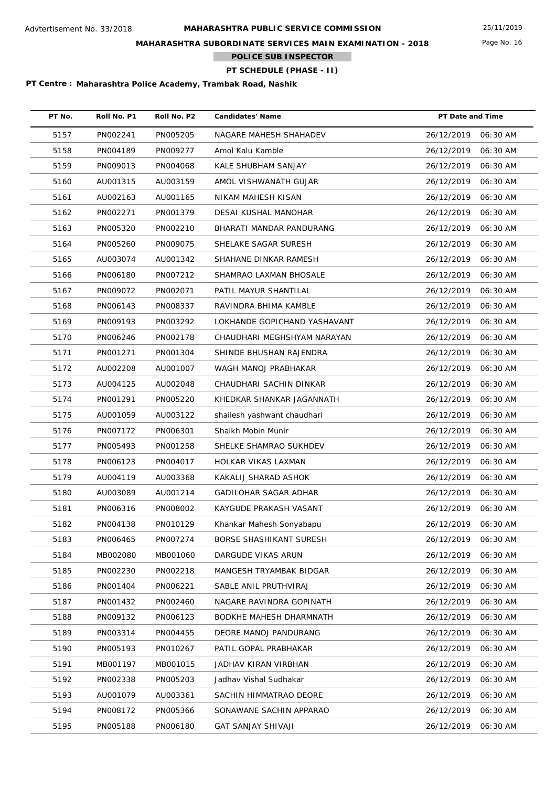**MAHARASHTRA SUBORDINATE SERVICES MAIN EXAMINATION - 2018**

**POLICE SUB INSPECTOR**

# **PT SCHEDULE (PHASE - II)**

| PT No. | Roll No. P1 | Roll No. P2 | <b>Candidates' Name</b>      | PT Date and Time       |
|--------|-------------|-------------|------------------------------|------------------------|
| 5157   | PN002241    | PN005205    | NAGARE MAHESH SHAHADEV       | 26/12/2019<br>06:30 AM |
| 5158   | PN004189    | PN009277    | Amol Kalu Kamble             | 26/12/2019<br>06:30 AM |
| 5159   | PN009013    | PN004068    | KALE SHUBHAM SANJAY          | 26/12/2019<br>06:30 AM |
| 5160   | AU001315    | AU003159    | AMOL VISHWANATH GUJAR        | 26/12/2019<br>06:30 AM |
| 5161   | AU002163    | AU001165    | NIKAM MAHESH KISAN           | 26/12/2019<br>06:30 AM |
| 5162   | PN002271    | PN001379    | <b>DESAI KUSHAL MANOHAR</b>  | 26/12/2019<br>06:30 AM |
| 5163   | PN005320    | PN002210    | BHARATI MANDAR PANDURANG     | 26/12/2019<br>06:30 AM |
| 5164   | PN005260    | PN009075    | SHELAKE SAGAR SURESH         | 26/12/2019<br>06:30 AM |
| 5165   | AU003074    | AU001342    | SHAHANE DINKAR RAMESH        | 26/12/2019<br>06:30 AM |
| 5166   | PN006180    | PN007212    | SHAMRAO LAXMAN BHOSALE       | 26/12/2019<br>06:30 AM |
| 5167   | PN009072    | PN002071    | PATIL MAYUR SHANTILAL        | 26/12/2019<br>06:30 AM |
| 5168   | PN006143    | PN008337    | RAVINDRA BHIMA KAMBLE        | 26/12/2019<br>06:30 AM |
| 5169   | PN009193    | PN003292    | LOKHANDE GOPICHAND YASHAVANT | 26/12/2019<br>06:30 AM |
| 5170   | PN006246    | PN002178    | CHAUDHARI MEGHSHYAM NARAYAN  | 26/12/2019<br>06:30 AM |
| 5171   | PN001271    | PN001304    | SHINDE BHUSHAN RAJENDRA      | 26/12/2019<br>06:30 AM |
| 5172   | AU002208    | AU001007    | WAGH MANOJ PRABHAKAR         | 26/12/2019<br>06:30 AM |
| 5173   | AU004125    | AU002048    | CHAUDHARI SACHIN DINKAR      | 26/12/2019<br>06:30 AM |
| 5174   | PN001291    | PN005220    | KHEDKAR SHANKAR JAGANNATH    | 26/12/2019<br>06:30 AM |
| 5175   | AU001059    | AU003122    | shailesh yashwant chaudhari  | 26/12/2019<br>06:30 AM |
| 5176   | PN007172    | PN006301    | Shaikh Mobin Munir           | 26/12/2019<br>06:30 AM |
| 5177   | PN005493    | PN001258    | SHELKE SHAMRAO SUKHDEV       | 26/12/2019<br>06:30 AM |
| 5178   | PN006123    | PN004017    | HOLKAR VIKAS LAXMAN          | 26/12/2019<br>06:30 AM |
| 5179   | AU004119    | AU003368    | KAKALIJ SHARAD ASHOK         | 26/12/2019<br>06:30 AM |
| 5180   | AU003089    | AU001214    | GADILOHAR SAGAR ADHAR        | 26/12/2019<br>06:30 AM |
| 5181   | PN006316    | PN008002    | KAYGUDE PRAKASH VASANT       | 26/12/2019<br>06:30 AM |
| 5182   | PN004138    | PN010129    | Khankar Mahesh Sonyabapu     | 26/12/2019<br>06:30 AM |
| 5183   | PN006465    | PN007274    | BORSE SHASHIKANT SURESH      | 26/12/2019<br>06:30 AM |
| 5184   | MB002080    | MB001060    | DARGUDE VIKAS ARUN           | 26/12/2019<br>06:30 AM |
| 5185   | PN002230    | PN002218    | MANGESH TRYAMBAK BIDGAR      | 26/12/2019<br>06:30 AM |
| 5186   | PN001404    | PN006221    | SABLE ANIL PRUTHVIRAJ        | 26/12/2019<br>06:30 AM |
| 5187   | PN001432    | PN002460    | NAGARE RAVINDRA GOPINATH     | 26/12/2019<br>06:30 AM |
| 5188   | PN009132    | PN006123    | BODKHE MAHESH DHARMNATH      | 26/12/2019<br>06:30 AM |
| 5189   | PN003314    | PN004455    | DEORE MANOJ PANDURANG        | 26/12/2019<br>06:30 AM |
| 5190   | PN005193    | PN010267    | PATIL GOPAL PRABHAKAR        | 26/12/2019<br>06:30 AM |
| 5191   | MB001197    | MB001015    | JADHAV KIRAN VIRBHAN         | 26/12/2019<br>06:30 AM |
| 5192   | PN002338    | PN005203    | Jadhav Vishal Sudhakar       | 26/12/2019<br>06:30 AM |
| 5193   | AU001079    | AU003361    | SACHIN HIMMATRAO DEORE       | 26/12/2019<br>06:30 AM |
| 5194   | PN008172    | PN005366    | SONAWANE SACHIN APPARAO      | 26/12/2019<br>06:30 AM |
| 5195   | PN005188    | PN006180    | <b>GAT SANJAY SHIVAJI</b>    | 26/12/2019<br>06:30 AM |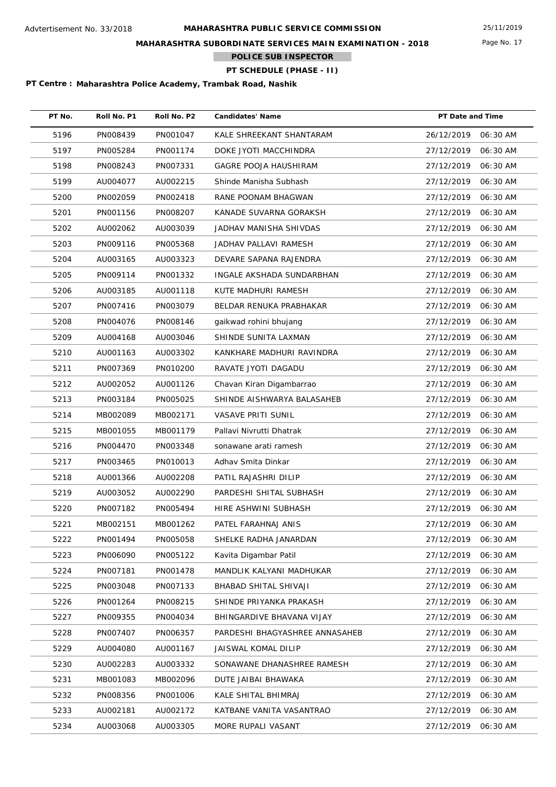**MAHARASHTRA SUBORDINATE SERVICES MAIN EXAMINATION - 2018**

**POLICE SUB INSPECTOR**

**PT SCHEDULE (PHASE - II)**

| PT No. | Roll No. P1 | Roll No. P2 | <b>Candidates' Name</b>        | PT Date and Time |          |
|--------|-------------|-------------|--------------------------------|------------------|----------|
| 5196   | PN008439    | PN001047    | KALE SHREEKANT SHANTARAM       | 26/12/2019       | 06:30 AM |
| 5197   | PN005284    | PN001174    | DOKE JYOTI MACCHINDRA          | 27/12/2019       | 06:30 AM |
| 5198   | PN008243    | PN007331    | <b>GAGRE POOJA HAUSHIRAM</b>   | 27/12/2019       | 06:30 AM |
| 5199   | AU004077    | AU002215    | Shinde Manisha Subhash         | 27/12/2019       | 06:30 AM |
| 5200   | PN002059    | PN002418    | RANE POONAM BHAGWAN            | 27/12/2019       | 06:30 AM |
| 5201   | PN001156    | PN008207    | KANADE SUVARNA GORAKSH         | 27/12/2019       | 06:30 AM |
| 5202   | AU002062    | AU003039    | JADHAV MANISHA SHIVDAS         | 27/12/2019       | 06:30 AM |
| 5203   | PN009116    | PN005368    | JADHAV PALLAVI RAMESH          | 27/12/2019       | 06:30 AM |
| 5204   | AU003165    | AU003323    | DEVARE SAPANA RAJENDRA         | 27/12/2019       | 06:30 AM |
| 5205   | PN009114    | PN001332    | INGALE AKSHADA SUNDARBHAN      | 27/12/2019       | 06:30 AM |
| 5206   | AU003185    | AU001118    | KUTE MADHURI RAMESH            | 27/12/2019       | 06:30 AM |
| 5207   | PN007416    | PN003079    | BELDAR RENUKA PRABHAKAR        | 27/12/2019       | 06:30 AM |
| 5208   | PN004076    | PN008146    | gaikwad rohini bhujang         | 27/12/2019       | 06:30 AM |
| 5209   | AU004168    | AU003046    | SHINDE SUNITA LAXMAN           | 27/12/2019       | 06:30 AM |
| 5210   | AU001163    | AU003302    | KANKHARE MADHURI RAVINDRA      | 27/12/2019       | 06:30 AM |
| 5211   | PN007369    | PN010200    | RAVATE JYOTI DAGADU            | 27/12/2019       | 06:30 AM |
| 5212   | AU002052    | AU001126    | Chavan Kiran Digambarrao       | 27/12/2019       | 06:30 AM |
| 5213   | PN003184    | PN005025    | SHINDE AISHWARYA BALASAHEB     | 27/12/2019       | 06:30 AM |
| 5214   | MB002089    | MB002171    | <b>VASAVE PRITI SUNIL</b>      | 27/12/2019       | 06:30 AM |
| 5215   | MB001055    | MB001179    | Pallavi Nivrutti Dhatrak       | 27/12/2019       | 06:30 AM |
| 5216   | PN004470    | PN003348    | sonawane arati ramesh          | 27/12/2019       | 06:30 AM |
| 5217   | PN003465    | PN010013    | Adhav Smita Dinkar             | 27/12/2019       | 06:30 AM |
| 5218   | AU001366    | AU002208    | PATIL RAJASHRI DILIP           | 27/12/2019       | 06:30 AM |
| 5219   | AU003052    | AU002290    | PARDESHI SHITAL SUBHASH        | 27/12/2019       | 06:30 AM |
| 5220   | PN007182    | PN005494    | HIRE ASHWINI SUBHASH           | 27/12/2019       | 06:30 AM |
| 5221   | MB002151    | MB001262    | PATEL FARAHNAJ ANIS            | 27/12/2019       | 06:30 AM |
| 5222   | PN001494    | PN005058    | SHELKE RADHA JANARDAN          | 27/12/2019       | 06:30 AM |
| 5223   | PN006090    | PN005122    | Kavita Digambar Patil          | 27/12/2019       | 06:30 AM |
| 5224   | PN007181    | PN001478    | MANDLIK KALYANI MADHUKAR       | 27/12/2019       | 06:30 AM |
| 5225   | PN003048    | PN007133    | BHABAD SHITAL SHIVAJI          | 27/12/2019       | 06:30 AM |
| 5226   | PN001264    | PN008215    | SHINDE PRIYANKA PRAKASH        | 27/12/2019       | 06:30 AM |
| 5227   | PN009355    | PN004034    | BHINGARDIVE BHAVANA VIJAY      | 27/12/2019       | 06:30 AM |
| 5228   | PN007407    | PN006357    | PARDESHI BHAGYASHREE ANNASAHEB | 27/12/2019       | 06:30 AM |
| 5229   | AU004080    | AU001167    | JAISWAL KOMAL DILIP            | 27/12/2019       | 06:30 AM |
| 5230   | AU002283    | AU003332    | SONAWANE DHANASHREE RAMESH     | 27/12/2019       | 06:30 AM |
| 5231   | MB001083    | MB002096    | DUTE JAIBAI BHAWAKA            | 27/12/2019       | 06:30 AM |
| 5232   | PN008356    | PN001006    | KALE SHITAL BHIMRAJ            | 27/12/2019       | 06:30 AM |
| 5233   | AU002181    | AU002172    | KATBANE VANITA VASANTRAO       | 27/12/2019       | 06:30 AM |
| 5234   | AU003068    | AU003305    | MORE RUPALI VASANT             | 27/12/2019       | 06:30 AM |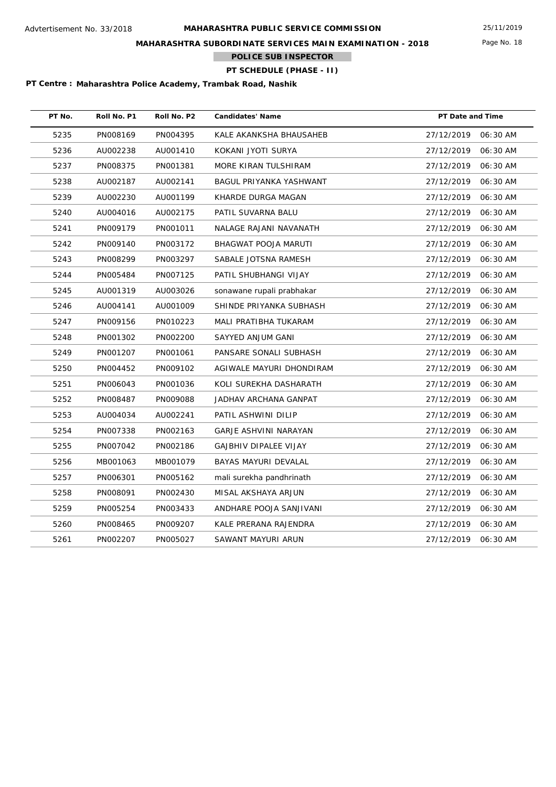Page No. 18

## **MAHARASHTRA SUBORDINATE SERVICES MAIN EXAMINATION - 2018**

**POLICE SUB INSPECTOR**

# **PT SCHEDULE (PHASE - II)**

| PT No. | Roll No. P1 | Roll No. P2 | <b>Candidates' Name</b>      | PT Date and Time |          |
|--------|-------------|-------------|------------------------------|------------------|----------|
| 5235   | PN008169    | PN004395    | KALE AKANKSHA BHAUSAHEB      | 27/12/2019       | 06:30 AM |
| 5236   | AU002238    | AU001410    | KOKANI JYOTI SURYA           | 27/12/2019       | 06:30 AM |
| 5237   | PN008375    | PN001381    | MORE KIRAN TULSHIRAM         | 27/12/2019       | 06:30 AM |
| 5238   | AU002187    | AU002141    | BAGUL PRIYANKA YASHWANT      | 27/12/2019       | 06:30 AM |
| 5239   | AU002230    | AU001199    | KHARDE DURGA MAGAN           | 27/12/2019       | 06:30 AM |
| 5240   | AU004016    | AU002175    | PATIL SUVARNA BALU           | 27/12/2019       | 06:30 AM |
| 5241   | PN009179    | PN001011    | NALAGE RAJANI NAVANATH       | 27/12/2019       | 06:30 AM |
| 5242   | PN009140    | PN003172    | BHAGWAT POOJA MARUTI         | 27/12/2019       | 06:30 AM |
| 5243   | PN008299    | PN003297    | SABALE JOTSNA RAMESH         | 27/12/2019       | 06:30 AM |
| 5244   | PN005484    | PN007125    | PATIL SHUBHANGI VIJAY        | 27/12/2019       | 06:30 AM |
| 5245   | AU001319    | AU003026    | sonawane rupali prabhakar    | 27/12/2019       | 06:30 AM |
| 5246   | AU004141    | AU001009    | SHINDE PRIYANKA SUBHASH      | 27/12/2019       | 06:30 AM |
| 5247   | PN009156    | PN010223    | MALI PRATIBHA TUKARAM        | 27/12/2019       | 06:30 AM |
| 5248   | PN001302    | PN002200    | SAYYED ANJUM GANI            | 27/12/2019       | 06:30 AM |
| 5249   | PN001207    | PN001061    | PANSARE SONALI SUBHASH       | 27/12/2019       | 06:30 AM |
| 5250   | PN004452    | PN009102    | AGIWALE MAYURI DHONDIRAM     | 27/12/2019       | 06:30 AM |
| 5251   | PN006043    | PN001036    | KOLI SUREKHA DASHARATH       | 27/12/2019       | 06:30 AM |
| 5252   | PN008487    | PN009088    | JADHAV ARCHANA GANPAT        | 27/12/2019       | 06:30 AM |
| 5253   | AU004034    | AU002241    | PATIL ASHWINI DILIP          | 27/12/2019       | 06:30 AM |
| 5254   | PN007338    | PN002163    | GARJE ASHVINI NARAYAN        | 27/12/2019       | 06:30 AM |
| 5255   | PN007042    | PN002186    | <b>GAJBHIV DIPALEE VIJAY</b> | 27/12/2019       | 06:30 AM |
| 5256   | MB001063    | MB001079    | <b>BAYAS MAYURI DEVALAL</b>  | 27/12/2019       | 06:30 AM |
| 5257   | PN006301    | PN005162    | mali surekha pandhrinath     | 27/12/2019       | 06:30 AM |
| 5258   | PN008091    | PN002430    | MISAL AKSHAYA ARJUN          | 27/12/2019       | 06:30 AM |
| 5259   | PN005254    | PN003433    | ANDHARE POOJA SANJIVANI      | 27/12/2019       | 06:30 AM |
| 5260   | PN008465    | PN009207    | KALE PRERANA RAJENDRA        | 27/12/2019       | 06:30 AM |
| 5261   | PN002207    | PN005027    | SAWANT MAYURI ARUN           | 27/12/2019       | 06:30 AM |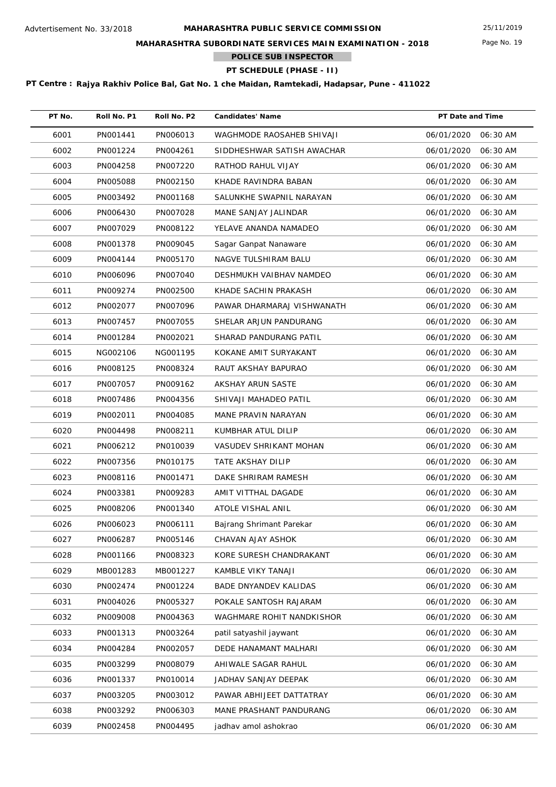## **MAHARASHTRA SUBORDINATE SERVICES MAIN EXAMINATION - 2018**

**POLICE SUB INSPECTOR**

# **PT SCHEDULE (PHASE - II)**

| PT No. | Roll No. P1 | Roll No. P2 | <b>Candidates' Name</b>      | PT Date and Time       |
|--------|-------------|-------------|------------------------------|------------------------|
| 6001   | PN001441    | PN006013    | WAGHMODE RAOSAHEB SHIVAJI    | 06/01/2020<br>06:30 AM |
| 6002   | PN001224    | PN004261    | SIDDHESHWAR SATISH AWACHAR   | 06/01/2020<br>06:30 AM |
| 6003   | PN004258    | PN007220    | RATHOD RAHUL VIJAY           | 06/01/2020<br>06:30 AM |
| 6004   | PN005088    | PN002150    | KHADE RAVINDRA BABAN         | 06/01/2020<br>06:30 AM |
| 6005   | PN003492    | PN001168    | SALUNKHE SWAPNIL NARAYAN     | 06/01/2020<br>06:30 AM |
| 6006   | PN006430    | PN007028    | MANE SANJAY JALINDAR         | 06/01/2020<br>06:30 AM |
| 6007   | PN007029    | PN008122    | YELAVE ANANDA NAMADEO        | 06/01/2020<br>06:30 AM |
| 6008   | PN001378    | PN009045    | Sagar Ganpat Nanaware        | 06/01/2020<br>06:30 AM |
| 6009   | PN004144    | PN005170    | NAGVE TULSHIRAM BALU         | 06/01/2020<br>06:30 AM |
| 6010   | PN006096    | PN007040    | DESHMUKH VAIBHAV NAMDEO      | 06/01/2020<br>06:30 AM |
| 6011   | PN009274    | PN002500    | KHADE SACHIN PRAKASH         | 06/01/2020<br>06:30 AM |
| 6012   | PN002077    | PN007096    | PAWAR DHARMARAJ VISHWANATH   | 06/01/2020<br>06:30 AM |
| 6013   | PN007457    | PN007055    | SHELAR ARJUN PANDURANG       | 06/01/2020<br>06:30 AM |
| 6014   | PN001284    | PN002021    | SHARAD PANDURANG PATIL       | 06/01/2020<br>06:30 AM |
| 6015   | NG002106    | NG001195    | KOKANE AMIT SURYAKANT        | 06/01/2020<br>06:30 AM |
| 6016   | PN008125    | PN008324    | RAUT AKSHAY BAPURAO          | 06/01/2020<br>06:30 AM |
| 6017   | PN007057    | PN009162    | AKSHAY ARUN SASTE            | 06/01/2020<br>06:30 AM |
| 6018   | PN007486    | PN004356    | SHIVAJI MAHADEO PATIL        | 06/01/2020<br>06:30 AM |
| 6019   | PN002011    | PN004085    | MANE PRAVIN NARAYAN          | 06/01/2020<br>06:30 AM |
| 6020   | PN004498    | PN008211    | KUMBHAR ATUL DILIP           | 06/01/2020<br>06:30 AM |
| 6021   | PN006212    | PN010039    | VASUDEV SHRIKANT MOHAN       | 06/01/2020<br>06:30 AM |
| 6022   | PN007356    | PN010175    | TATE AKSHAY DILIP            | 06/01/2020<br>06:30 AM |
| 6023   | PN008116    | PN001471    | DAKE SHRIRAM RAMESH          | 06/01/2020<br>06:30 AM |
| 6024   | PN003381    | PN009283    | AMIT VITTHAL DAGADE          | 06/01/2020<br>06:30 AM |
| 6025   | PN008206    | PN001340    | ATOLE VISHAL ANIL            | 06/01/2020<br>06:30 AM |
| 6026   | PN006023    | PN006111    | Bajrang Shrimant Parekar     | 06/01/2020 06:30 AM    |
| 6027   | PN006287    | PN005146    | CHAVAN AJAY ASHOK            | 06/01/2020<br>06:30 AM |
| 6028   | PN001166    | PN008323    | KORE SURESH CHANDRAKANT      | 06/01/2020<br>06:30 AM |
| 6029   | MB001283    | MB001227    | KAMBLE VIKY TANAJI           | 06/01/2020<br>06:30 AM |
| 6030   | PN002474    | PN001224    | <b>BADE DNYANDEV KALIDAS</b> | 06/01/2020<br>06:30 AM |
| 6031   | PN004026    | PN005327    | POKALE SANTOSH RAJARAM       | 06/01/2020<br>06:30 AM |
| 6032   | PN009008    | PN004363    | WAGHMARE ROHIT NANDKISHOR    | 06/01/2020<br>06:30 AM |
| 6033   | PN001313    | PN003264    | patil satyashil jaywant      | 06/01/2020<br>06:30 AM |
| 6034   | PN004284    | PN002057    | DEDE HANAMANT MALHARI        | 06/01/2020<br>06:30 AM |
| 6035   | PN003299    | PN008079    | AHIWALE SAGAR RAHUL          | 06/01/2020<br>06:30 AM |
| 6036   | PN001337    | PN010014    | JADHAV SANJAY DEEPAK         | 06/01/2020<br>06:30 AM |
| 6037   | PN003205    | PN003012    | PAWAR ABHIJEET DATTATRAY     | 06/01/2020<br>06:30 AM |
| 6038   | PN003292    | PN006303    | MANE PRASHANT PANDURANG      | 06/01/2020<br>06:30 AM |
| 6039   | PN002458    | PN004495    | jadhav amol ashokrao         | 06/01/2020<br>06:30 AM |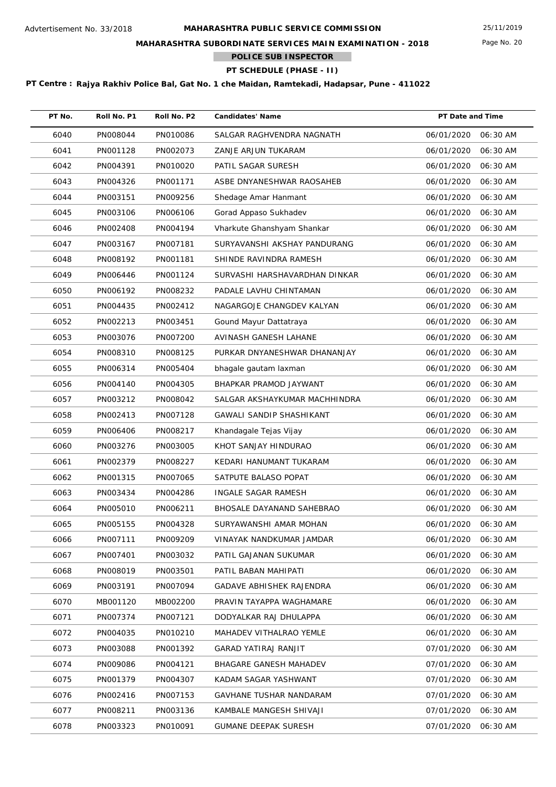## **MAHARASHTRA SUBORDINATE SERVICES MAIN EXAMINATION - 2018**

**POLICE SUB INSPECTOR**

# **PT SCHEDULE (PHASE - II)**

| PT No. | Roll No. P1 | Roll No. P2 | <b>Candidates' Name</b>         | PT Date and Time    |          |
|--------|-------------|-------------|---------------------------------|---------------------|----------|
| 6040   | PN008044    | PN010086    | SALGAR RAGHVENDRA NAGNATH       | 06/01/2020          | 06:30 AM |
| 6041   | PN001128    | PN002073    | ZANJE ARJUN TUKARAM             | 06/01/2020          | 06:30 AM |
| 6042   | PN004391    | PN010020    | PATIL SAGAR SURESH              | 06/01/2020          | 06:30 AM |
| 6043   | PN004326    | PN001171    | ASBE DNYANESHWAR RAOSAHEB       | 06/01/2020          | 06:30 AM |
| 6044   | PN003151    | PN009256    | Shedage Amar Hanmant            | 06/01/2020          | 06:30 AM |
| 6045   | PN003106    | PN006106    | Gorad Appaso Sukhadev           | 06/01/2020          | 06:30 AM |
| 6046   | PN002408    | PN004194    | Vharkute Ghanshyam Shankar      | 06/01/2020          | 06:30 AM |
| 6047   | PN003167    | PN007181    | SURYAVANSHI AKSHAY PANDURANG    | 06/01/2020          | 06:30 AM |
| 6048   | PN008192    | PN001181    | SHINDE RAVINDRA RAMESH          | 06/01/2020          | 06:30 AM |
| 6049   | PN006446    | PN001124    | SURVASHI HARSHAVARDHAN DINKAR   | 06/01/2020          | 06:30 AM |
| 6050   | PN006192    | PN008232    | PADALE LAVHU CHINTAMAN          | 06/01/2020          | 06:30 AM |
| 6051   | PN004435    | PN002412    | NAGARGOJE CHANGDEV KALYAN       | 06/01/2020          | 06:30 AM |
| 6052   | PN002213    | PN003451    | Gound Mayur Dattatraya          | 06/01/2020          | 06:30 AM |
| 6053   | PN003076    | PN007200    | AVINASH GANESH LAHANE           | 06/01/2020          | 06:30 AM |
| 6054   | PN008310    | PN008125    | PURKAR DNYANESHWAR DHANANJAY    | 06/01/2020          | 06:30 AM |
| 6055   | PN006314    | PN005404    | bhagale gautam laxman           | 06/01/2020          | 06:30 AM |
| 6056   | PN004140    | PN004305    | BHAPKAR PRAMOD JAYWANT          | 06/01/2020          | 06:30 AM |
| 6057   | PN003212    | PN008042    | SALGAR AKSHAYKUMAR MACHHINDRA   | 06/01/2020          | 06:30 AM |
| 6058   | PN002413    | PN007128    | GAWALI SANDIP SHASHIKANT        | 06/01/2020          | 06:30 AM |
| 6059   | PN006406    | PN008217    | Khandagale Tejas Vijay          | 06/01/2020          | 06:30 AM |
| 6060   | PN003276    | PN003005    | KHOT SANJAY HINDURAO            | 06/01/2020          | 06:30 AM |
| 6061   | PN002379    | PN008227    | KEDARI HANUMANT TUKARAM         | 06/01/2020          | 06:30 AM |
| 6062   | PN001315    | PN007065    | SATPUTE BALASO POPAT            | 06/01/2020          | 06:30 AM |
| 6063   | PN003434    | PN004286    | INGALE SAGAR RAMESH             | 06/01/2020          | 06:30 AM |
| 6064   | PN005010    | PN006211    | BHOSALE DAYANAND SAHEBRAO       | 06/01/2020          | 06:30 AM |
| 6065   | PN005155    | PN004328    | SURYAWANSHI AMAR MOHAN          | 06/01/2020 06:30 AM |          |
| 6066   | PN007111    | PN009209    | VINAYAK NANDKUMAR JAMDAR        | 06/01/2020          | 06:30 AM |
| 6067   | PN007401    | PN003032    | PATIL GAJANAN SUKUMAR           | 06/01/2020          | 06:30 AM |
| 6068   | PN008019    | PN003501    | PATIL BABAN MAHIPATI            | 06/01/2020          | 06:30 AM |
| 6069   | PN003191    | PN007094    | <b>GADAVE ABHISHEK RAJENDRA</b> | 06/01/2020          | 06:30 AM |
| 6070   | MB001120    | MB002200    | PRAVIN TAYAPPA WAGHAMARE        | 06/01/2020          | 06:30 AM |
| 6071   | PN007374    | PN007121    | DODYALKAR RAJ DHULAPPA          | 06/01/2020          | 06:30 AM |
| 6072   | PN004035    | PN010210    | MAHADEV VITHALRAO YEMLE         | 06/01/2020          | 06:30 AM |
| 6073   | PN003088    | PN001392    | GARAD YATIRAJ RANJIT            | 07/01/2020          | 06:30 AM |
| 6074   | PN009086    | PN004121    | <b>BHAGARE GANESH MAHADEV</b>   | 07/01/2020          | 06:30 AM |
| 6075   | PN001379    | PN004307    | KADAM SAGAR YASHWANT            | 07/01/2020          | 06:30 AM |
| 6076   | PN002416    | PN007153    | GAVHANE TUSHAR NANDARAM         | 07/01/2020          | 06:30 AM |
| 6077   | PN008211    | PN003136    | KAMBALE MANGESH SHIVAJI         | 07/01/2020          | 06:30 AM |
| 6078   | PN003323    | PN010091    | <b>GUMANE DEEPAK SURESH</b>     | 07/01/2020          | 06:30 AM |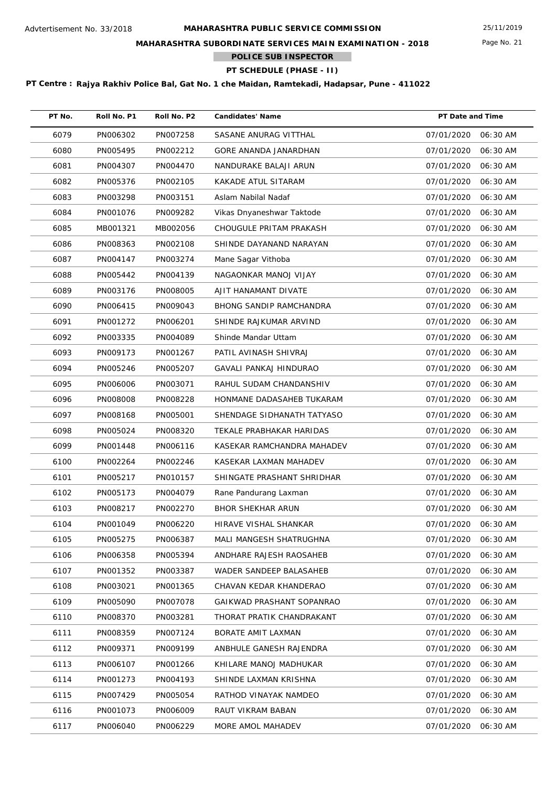## **MAHARASHTRA SUBORDINATE SERVICES MAIN EXAMINATION - 2018**

**POLICE SUB INSPECTOR**

# **PT SCHEDULE (PHASE - II)**

| PT No. | Roll No. P1 | Roll No. P2 | <b>Candidates' Name</b>        | PT Date and Time    |          |
|--------|-------------|-------------|--------------------------------|---------------------|----------|
| 6079   | PN006302    | PN007258    | SASANE ANURAG VITTHAL          | 07/01/2020          | 06:30 AM |
| 6080   | PN005495    | PN002212    | GORE ANANDA JANARDHAN          | 07/01/2020          | 06:30 AM |
| 6081   | PN004307    | PN004470    | NANDURAKE BALAJI ARUN          | 07/01/2020          | 06:30 AM |
| 6082   | PN005376    | PN002105    | KAKADE ATUL SITARAM            | 07/01/2020          | 06:30 AM |
| 6083   | PN003298    | PN003151    | Aslam Nabilal Nadaf            | 07/01/2020          | 06:30 AM |
| 6084   | PN001076    | PN009282    | Vikas Dnyaneshwar Taktode      | 07/01/2020          | 06:30 AM |
| 6085   | MB001321    | MB002056    | CHOUGULE PRITAM PRAKASH        | 07/01/2020          | 06:30 AM |
| 6086   | PN008363    | PN002108    | SHINDE DAYANAND NARAYAN        | 07/01/2020          | 06:30 AM |
| 6087   | PN004147    | PN003274    | Mane Sagar Vithoba             | 07/01/2020          | 06:30 AM |
| 6088   | PN005442    | PN004139    | NAGAONKAR MANOJ VIJAY          | 07/01/2020          | 06:30 AM |
| 6089   | PN003176    | PN008005    | AJIT HANAMANT DIVATE           | 07/01/2020          | 06:30 AM |
| 6090   | PN006415    | PN009043    | <b>BHONG SANDIP RAMCHANDRA</b> | 07/01/2020          | 06:30 AM |
| 6091   | PN001272    | PN006201    | SHINDE RAJKUMAR ARVIND         | 07/01/2020          | 06:30 AM |
| 6092   | PN003335    | PN004089    | Shinde Mandar Uttam            | 07/01/2020          | 06:30 AM |
| 6093   | PN009173    | PN001267    | PATIL AVINASH SHIVRAJ          | 07/01/2020          | 06:30 AM |
| 6094   | PN005246    | PN005207    | GAVALI PANKAJ HINDURAO         | 07/01/2020          | 06:30 AM |
| 6095   | PN006006    | PN003071    | RAHUL SUDAM CHANDANSHIV        | 07/01/2020          | 06:30 AM |
| 6096   | PN008008    | PN008228    | HONMANE DADASAHEB TUKARAM      | 07/01/2020          | 06:30 AM |
| 6097   | PN008168    | PN005001    | SHENDAGE SIDHANATH TATYASO     | 07/01/2020          | 06:30 AM |
| 6098   | PN005024    | PN008320    | TEKALE PRABHAKAR HARIDAS       | 07/01/2020          | 06:30 AM |
| 6099   | PN001448    | PN006116    | KASEKAR RAMCHANDRA MAHADEV     | 07/01/2020          | 06:30 AM |
| 6100   | PN002264    | PN002246    | KASEKAR LAXMAN MAHADEV         | 07/01/2020          | 06:30 AM |
| 6101   | PN005217    | PN010157    | SHINGATE PRASHANT SHRIDHAR     | 07/01/2020          | 06:30 AM |
| 6102   | PN005173    | PN004079    | Rane Pandurang Laxman          | 07/01/2020          | 06:30 AM |
| 6103   | PN008217    | PN002270    | <b>BHOR SHEKHAR ARUN</b>       | 07/01/2020          | 06:30 AM |
| 6104   | PN001049    | PN006220    | HIRAVE VISHAL SHANKAR          | 07/01/2020 06:30 AM |          |
| 6105   | PN005275    | PN006387    | MALI MANGESH SHATRUGHNA        | 07/01/2020          | 06:30 AM |
| 6106   | PN006358    | PN005394    | ANDHARE RAJESH RAOSAHEB        | 07/01/2020          | 06:30 AM |
| 6107   | PN001352    | PN003387    | WADER SANDEEP BALASAHEB        | 07/01/2020          | 06:30 AM |
| 6108   | PN003021    | PN001365    | CHAVAN KEDAR KHANDERAO         | 07/01/2020          | 06:30 AM |
| 6109   | PN005090    | PN007078    | GAIKWAD PRASHANT SOPANRAO      | 07/01/2020          | 06:30 AM |
| 6110   | PN008370    | PN003281    | THORAT PRATIK CHANDRAKANT      | 07/01/2020          | 06:30 AM |
| 6111   | PN008359    | PN007124    | BORATE AMIT LAXMAN             | 07/01/2020          | 06:30 AM |
| 6112   | PN009371    | PN009199    | ANBHULE GANESH RAJENDRA        | 07/01/2020          | 06:30 AM |
| 6113   | PN006107    | PN001266    | KHILARE MANOJ MADHUKAR         | 07/01/2020          | 06:30 AM |
| 6114   | PN001273    | PN004193    | SHINDE LAXMAN KRISHNA          | 07/01/2020          | 06:30 AM |
| 6115   | PN007429    | PN005054    | RATHOD VINAYAK NAMDEO          | 07/01/2020          | 06:30 AM |
| 6116   | PN001073    | PN006009    | RAUT VIKRAM BABAN              | 07/01/2020          | 06:30 AM |
| 6117   | PN006040    | PN006229    | MORE AMOL MAHADEV              | 07/01/2020          | 06:30 AM |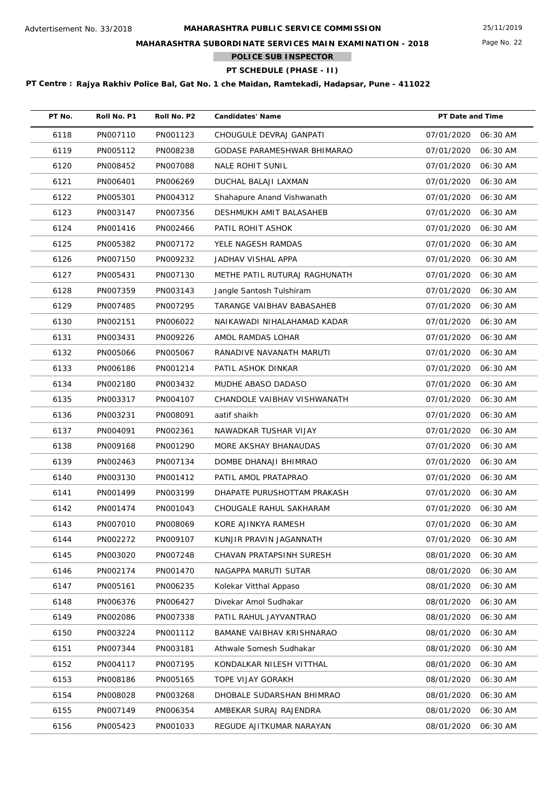## **MAHARASHTRA SUBORDINATE SERVICES MAIN EXAMINATION - 2018**

**POLICE SUB INSPECTOR**

# **PT SCHEDULE (PHASE - II)**

| PT No. | Roll No. P1 | Roll No. P2 | <b>Candidates' Name</b>       | PT Date and Time    |          |
|--------|-------------|-------------|-------------------------------|---------------------|----------|
| 6118   | PN007110    | PN001123    | CHOUGULE DEVRAJ GANPATI       | 07/01/2020          | 06:30 AM |
| 6119   | PN005112    | PN008238    | GODASE PARAMESHWAR BHIMARAO   | 07/01/2020          | 06:30 AM |
| 6120   | PN008452    | PN007088    | <b>NALE ROHIT SUNIL</b>       | 07/01/2020          | 06:30 AM |
| 6121   | PN006401    | PN006269    | DUCHAL BALAJI LAXMAN          | 07/01/2020          | 06:30 AM |
| 6122   | PN005301    | PN004312    | Shahapure Anand Vishwanath    | 07/01/2020          | 06:30 AM |
| 6123   | PN003147    | PN007356    | DESHMUKH AMIT BALASAHEB       | 07/01/2020          | 06:30 AM |
| 6124   | PN001416    | PN002466    | PATIL ROHIT ASHOK             | 07/01/2020          | 06:30 AM |
| 6125   | PN005382    | PN007172    | YELE NAGESH RAMDAS            | 07/01/2020          | 06:30 AM |
| 6126   | PN007150    | PN009232    | JADHAV VISHAL APPA            | 07/01/2020          | 06:30 AM |
| 6127   | PN005431    | PN007130    | METHE PATIL RUTURAJ RAGHUNATH | 07/01/2020          | 06:30 AM |
| 6128   | PN007359    | PN003143    | Jangle Santosh Tulshiram      | 07/01/2020          | 06:30 AM |
| 6129   | PN007485    | PN007295    | TARANGE VAIBHAV BABASAHEB     | 07/01/2020          | 06:30 AM |
| 6130   | PN002151    | PN006022    | NAIKAWADI NIHALAHAMAD KADAR   | 07/01/2020          | 06:30 AM |
| 6131   | PN003431    | PN009226    | AMOL RAMDAS LOHAR             | 07/01/2020          | 06:30 AM |
| 6132   | PN005066    | PN005067    | RANADIVE NAVANATH MARUTI      | 07/01/2020          | 06:30 AM |
| 6133   | PN006186    | PN001214    | PATIL ASHOK DINKAR            | 07/01/2020          | 06:30 AM |
| 6134   | PN002180    | PN003432    | MUDHE ABASO DADASO            | 07/01/2020          | 06:30 AM |
| 6135   | PN003317    | PN004107    | CHANDOLE VAIBHAV VISHWANATH   | 07/01/2020          | 06:30 AM |
| 6136   | PN003231    | PN008091    | aatif shaikh                  | 07/01/2020          | 06:30 AM |
| 6137   | PN004091    | PN002361    | NAWADKAR TUSHAR VIJAY         | 07/01/2020          | 06:30 AM |
| 6138   | PN009168    | PN001290    | MORE AKSHAY BHANAUDAS         | 07/01/2020          | 06:30 AM |
| 6139   | PN002463    | PN007134    | DOMBE DHANAJI BHIMRAO         | 07/01/2020          | 06:30 AM |
| 6140   | PN003130    | PN001412    | PATIL AMOL PRATAPRAO          | 07/01/2020          | 06:30 AM |
| 6141   | PN001499    | PN003199    | DHAPATE PURUSHOTTAM PRAKASH   | 07/01/2020          | 06:30 AM |
| 6142   | PN001474    | PN001043    | CHOUGALE RAHUL SAKHARAM       | 07/01/2020          | 06:30 AM |
| 6143   | PN007010    | PN008069    | KORE AJINKYA RAMESH           | 07/01/2020 06:30 AM |          |
| 6144   | PN002272    | PN009107    | KUNJIR PRAVIN JAGANNATH       | 07/01/2020          | 06:30 AM |
| 6145   | PN003020    | PN007248    | CHAVAN PRATAPSINH SURESH      | 08/01/2020          | 06:30 AM |
| 6146   | PN002174    | PN001470    | NAGAPPA MARUTI SUTAR          | 08/01/2020          | 06:30 AM |
| 6147   | PN005161    | PN006235    | Kolekar Vitthal Appaso        | 08/01/2020          | 06:30 AM |
| 6148   | PN006376    | PN006427    | Divekar Amol Sudhakar         | 08/01/2020          | 06:30 AM |
| 6149   | PN002086    | PN007338    | PATIL RAHUL JAYVANTRAO        | 08/01/2020          | 06:30 AM |
| 6150   | PN003224    | PN001112    | BAMANE VAIBHAV KRISHNARAO     | 08/01/2020          | 06:30 AM |
| 6151   | PN007344    | PN003181    | Athwale Somesh Sudhakar       | 08/01/2020          | 06:30 AM |
| 6152   | PN004117    | PN007195    | KONDALKAR NILESH VITTHAL      | 08/01/2020          | 06:30 AM |
| 6153   | PN008186    | PN005165    | TOPE VIJAY GORAKH             | 08/01/2020          | 06:30 AM |
| 6154   | PN008028    | PN003268    | DHOBALE SUDARSHAN BHIMRAO     | 08/01/2020          | 06:30 AM |
| 6155   | PN007149    | PN006354    | AMBEKAR SURAJ RAJENDRA        | 08/01/2020          | 06:30 AM |
| 6156   | PN005423    | PN001033    | REGUDE AJITKUMAR NARAYAN      | 08/01/2020          | 06:30 AM |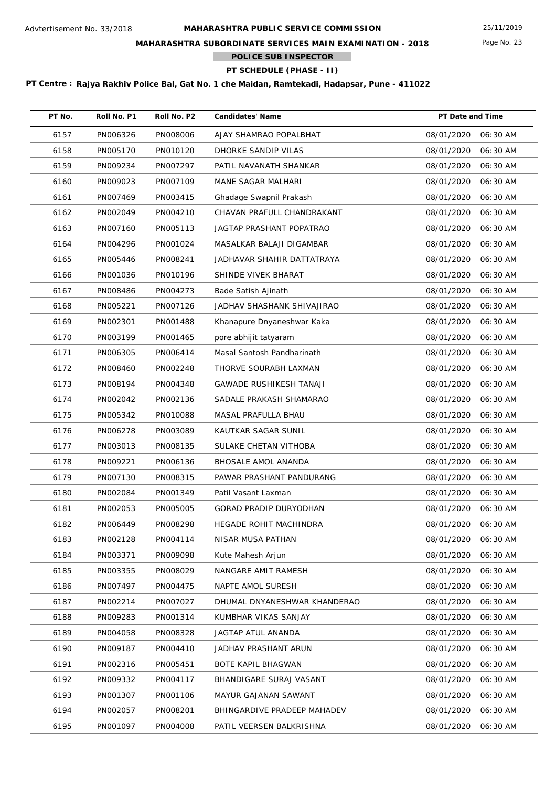## **MAHARASHTRA SUBORDINATE SERVICES MAIN EXAMINATION - 2018**

**POLICE SUB INSPECTOR**

# **PT SCHEDULE (PHASE - II)**

| PT No. | Roll No. P1 | Roll No. P2 | <b>Candidates' Name</b>        | PT Date and Time    |          |
|--------|-------------|-------------|--------------------------------|---------------------|----------|
| 6157   | PN006326    | PN008006    | AJAY SHAMRAO POPALBHAT         | 08/01/2020          | 06:30 AM |
| 6158   | PN005170    | PN010120    | DHORKE SANDIP VILAS            | 08/01/2020          | 06:30 AM |
| 6159   | PN009234    | PN007297    | PATIL NAVANATH SHANKAR         | 08/01/2020          | 06:30 AM |
| 6160   | PN009023    | PN007109    | MANE SAGAR MALHARI             | 08/01/2020          | 06:30 AM |
| 6161   | PN007469    | PN003415    | Ghadage Swapnil Prakash        | 08/01/2020          | 06:30 AM |
| 6162   | PN002049    | PN004210    | CHAVAN PRAFULL CHANDRAKANT     | 08/01/2020          | 06:30 AM |
| 6163   | PN007160    | PN005113    | JAGTAP PRASHANT POPATRAO       | 08/01/2020          | 06:30 AM |
| 6164   | PN004296    | PN001024    | MASALKAR BALAJI DIGAMBAR       | 08/01/2020          | 06:30 AM |
| 6165   | PN005446    | PN008241    | JADHAVAR SHAHIR DATTATRAYA     | 08/01/2020          | 06:30 AM |
| 6166   | PN001036    | PN010196    | SHINDE VIVEK BHARAT            | 08/01/2020          | 06:30 AM |
| 6167   | PN008486    | PN004273    | Bade Satish Ajinath            | 08/01/2020          | 06:30 AM |
| 6168   | PN005221    | PN007126    | JADHAV SHASHANK SHIVAJIRAO     | 08/01/2020          | 06:30 AM |
| 6169   | PN002301    | PN001488    | Khanapure Dnyaneshwar Kaka     | 08/01/2020          | 06:30 AM |
| 6170   | PN003199    | PN001465    | pore abhijit tatyaram          | 08/01/2020          | 06:30 AM |
| 6171   | PN006305    | PN006414    | Masal Santosh Pandharinath     | 08/01/2020          | 06:30 AM |
| 6172   | PN008460    | PN002248    | THORVE SOURABH LAXMAN          | 08/01/2020          | 06:30 AM |
| 6173   | PN008194    | PN004348    | <b>GAWADE RUSHIKESH TANAJI</b> | 08/01/2020          | 06:30 AM |
| 6174   | PN002042    | PN002136    | SADALE PRAKASH SHAMARAO        | 08/01/2020          | 06:30 AM |
| 6175   | PN005342    | PN010088    | MASAL PRAFULLA BHAU            | 08/01/2020          | 06:30 AM |
| 6176   | PN006278    | PN003089    | KAUTKAR SAGAR SUNIL            | 08/01/2020          | 06:30 AM |
| 6177   | PN003013    | PN008135    | SULAKE CHETAN VITHOBA          | 08/01/2020          | 06:30 AM |
| 6178   | PN009221    | PN006136    | <b>BHOSALE AMOL ANANDA</b>     | 08/01/2020          | 06:30 AM |
| 6179   | PN007130    | PN008315    | PAWAR PRASHANT PANDURANG       | 08/01/2020          | 06:30 AM |
| 6180   | PN002084    | PN001349    | Patil Vasant Laxman            | 08/01/2020          | 06:30 AM |
| 6181   | PN002053    | PN005005    | <b>GORAD PRADIP DURYODHAN</b>  | 08/01/2020          | 06:30 AM |
| 6182   | PN006449    | PN008298    | HEGADE ROHIT MACHINDRA         | 08/01/2020 06:30 AM |          |
| 6183   | PN002128    | PN004114    | NISAR MUSA PATHAN              | 08/01/2020          | 06:30 AM |
| 6184   | PN003371    | PN009098    | Kute Mahesh Arjun              | 08/01/2020          | 06:30 AM |
| 6185   | PN003355    | PN008029    | NANGARE AMIT RAMESH            | 08/01/2020          | 06:30 AM |
| 6186   | PN007497    | PN004475    | NAPTE AMOL SURESH              | 08/01/2020          | 06:30 AM |
| 6187   | PN002214    | PN007027    | DHUMAL DNYANESHWAR KHANDERAO   | 08/01/2020          | 06:30 AM |
| 6188   | PN009283    | PN001314    | KUMBHAR VIKAS SANJAY           | 08/01/2020          | 06:30 AM |
| 6189   | PN004058    | PN008328    | JAGTAP ATUL ANANDA             | 08/01/2020          | 06:30 AM |
| 6190   | PN009187    | PN004410    | JADHAV PRASHANT ARUN           | 08/01/2020          | 06:30 AM |
| 6191   | PN002316    | PN005451    | BOTE KAPIL BHAGWAN             | 08/01/2020          | 06:30 AM |
| 6192   | PN009332    | PN004117    | BHANDIGARE SURAJ VASANT        | 08/01/2020          | 06:30 AM |
| 6193   | PN001307    | PN001106    | MAYUR GAJANAN SAWANT           | 08/01/2020          | 06:30 AM |
| 6194   | PN002057    | PN008201    | BHINGARDIVE PRADEEP MAHADEV    | 08/01/2020          | 06:30 AM |
| 6195   | PN001097    | PN004008    | PATIL VEERSEN BALKRISHNA       | 08/01/2020          | 06:30 AM |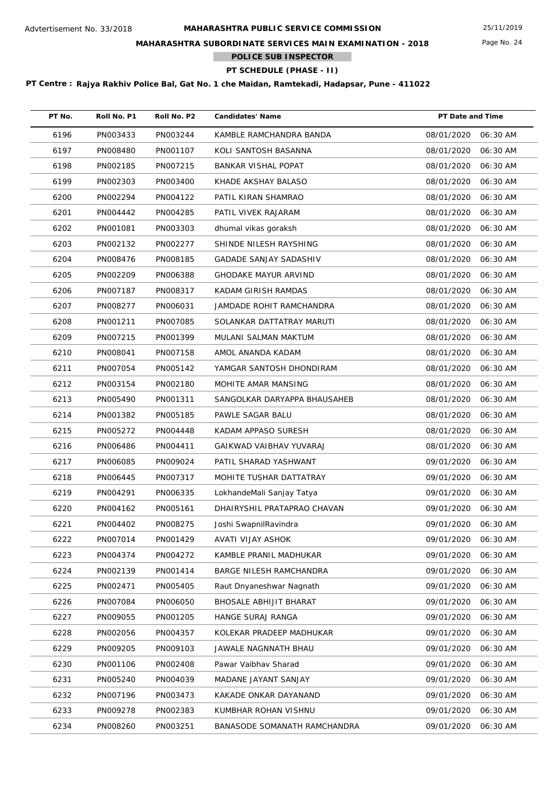## **MAHARASHTRA SUBORDINATE SERVICES MAIN EXAMINATION - 2018**

**POLICE SUB INSPECTOR**

# **PT SCHEDULE (PHASE - II)**

| PT No. | Roll No. P1 | Roll No. P2 | <b>Candidates' Name</b>       | PT Date and Time    |          |
|--------|-------------|-------------|-------------------------------|---------------------|----------|
| 6196   | PN003433    | PN003244    | KAMBLE RAMCHANDRA BANDA       | 08/01/2020          | 06:30 AM |
| 6197   | PN008480    | PN001107    | KOLI SANTOSH BASANNA          | 08/01/2020          | 06:30 AM |
| 6198   | PN002185    | PN007215    | <b>BANKAR VISHAL POPAT</b>    | 08/01/2020          | 06:30 AM |
| 6199   | PN002303    | PN003400    | KHADE AKSHAY BALASO           | 08/01/2020          | 06:30 AM |
| 6200   | PN002294    | PN004122    | PATIL KIRAN SHAMRAO           | 08/01/2020          | 06:30 AM |
| 6201   | PN004442    | PN004285    | PATIL VIVEK RAJARAM           | 08/01/2020          | 06:30 AM |
| 6202   | PN001081    | PN003303    | dhumal vikas goraksh          | 08/01/2020          | 06:30 AM |
| 6203   | PN002132    | PN002277    | SHINDE NILESH RAYSHING        | 08/01/2020          | 06:30 AM |
| 6204   | PN008476    | PN008185    | <b>GADADE SANJAY SADASHIV</b> | 08/01/2020          | 06:30 AM |
| 6205   | PN002209    | PN006388    | <b>GHODAKE MAYUR ARVIND</b>   | 08/01/2020          | 06:30 AM |
| 6206   | PN007187    | PN008317    | KADAM GIRISH RAMDAS           | 08/01/2020          | 06:30 AM |
| 6207   | PN008277    | PN006031    | JAMDADE ROHIT RAMCHANDRA      | 08/01/2020          | 06:30 AM |
| 6208   | PN001211    | PN007085    | SOLANKAR DATTATRAY MARUTI     | 08/01/2020          | 06:30 AM |
| 6209   | PN007215    | PN001399    | MULANI SALMAN MAKTUM          | 08/01/2020          | 06:30 AM |
| 6210   | PN008041    | PN007158    | AMOL ANANDA KADAM             | 08/01/2020          | 06:30 AM |
| 6211   | PN007054    | PN005142    | YAMGAR SANTOSH DHONDIRAM      | 08/01/2020          | 06:30 AM |
| 6212   | PN003154    | PN002180    | MOHITE AMAR MANSING           | 08/01/2020          | 06:30 AM |
| 6213   | PN005490    | PN001311    | SANGOLKAR DARYAPPA BHAUSAHEB  | 08/01/2020          | 06:30 AM |
| 6214   | PN001382    | PN005185    | PAWLE SAGAR BALU              | 08/01/2020          | 06:30 AM |
| 6215   | PN005272    | PN004448    | KADAM APPASO SURESH           | 08/01/2020          | 06:30 AM |
| 6216   | PN006486    | PN004411    | GAIKWAD VAIBHAV YUVARAJ       | 08/01/2020          | 06:30 AM |
| 6217   | PN006085    | PN009024    | PATIL SHARAD YASHWANT         | 09/01/2020          | 06:30 AM |
| 6218   | PN006445    | PN007317    | MOHITE TUSHAR DATTATRAY       | 09/01/2020          | 06:30 AM |
| 6219   | PN004291    | PN006335    | LokhandeMali Sanjay Tatya     | 09/01/2020          | 06:30 AM |
| 6220   | PN004162    | PN005161    | DHAIRYSHIL PRATAPRAO CHAVAN   | 09/01/2020          | 06:30 AM |
| 6221   | PN004402    | PN008275    | Joshi SwapnilRavindra         | 09/01/2020 06:30 AM |          |
| 6222   | PN007014    | PN001429    | AVATI VIJAY ASHOK             | 09/01/2020          | 06:30 AM |
| 6223   | PN004374    | PN004272    | KAMBLE PRANIL MADHUKAR        | 09/01/2020          | 06:30 AM |
| 6224   | PN002139    | PN001414    | BARGE NILESH RAMCHANDRA       | 09/01/2020          | 06:30 AM |
| 6225   | PN002471    | PN005405    | Raut Dnyaneshwar Nagnath      | 09/01/2020          | 06:30 AM |
| 6226   | PN007084    | PN006050    | BHOSALE ABHIJIT BHARAT        | 09/01/2020          | 06:30 AM |
| 6227   | PN009055    | PN001205    | HANGE SURAJ RANGA             | 09/01/2020          | 06:30 AM |
| 6228   | PN002056    | PN004357    | KOLEKAR PRADEEP MADHUKAR      | 09/01/2020          | 06:30 AM |
| 6229   | PN009205    | PN009103    | JAWALE NAGNNATH BHAU          | 09/01/2020          | 06:30 AM |
| 6230   | PN001106    | PN002408    | Pawar Vaibhav Sharad          | 09/01/2020          | 06:30 AM |
| 6231   | PN005240    | PN004039    | MADANE JAYANT SANJAY          | 09/01/2020          | 06:30 AM |
| 6232   | PN007196    | PN003473    | KAKADE ONKAR DAYANAND         | 09/01/2020          | 06:30 AM |
| 6233   | PN009278    | PN002383    | KUMBHAR ROHAN VISHNU          | 09/01/2020          | 06:30 AM |
| 6234   | PN008260    | PN003251    | BANASODE SOMANATH RAMCHANDRA  | 09/01/2020          | 06:30 AM |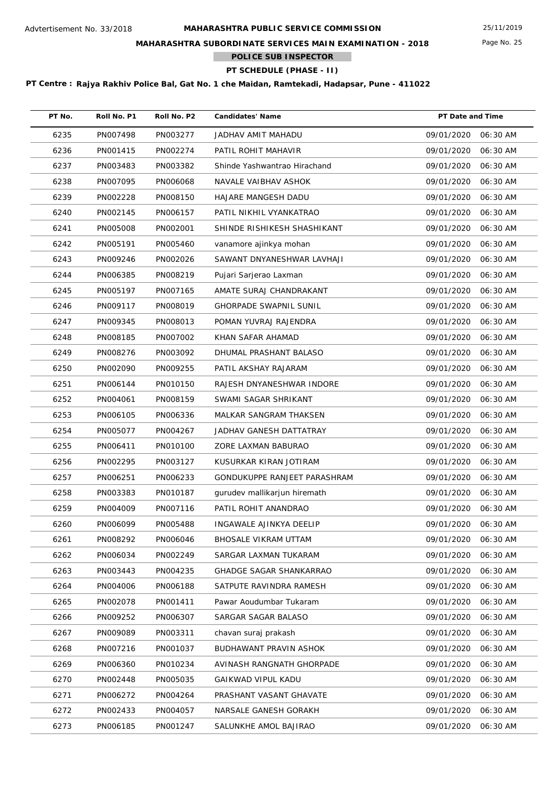## **MAHARASHTRA SUBORDINATE SERVICES MAIN EXAMINATION - 2018**

**POLICE SUB INSPECTOR**

# **PT SCHEDULE (PHASE - II)**

| PT No. | Roll No. P1 | Roll No. P2 | <b>Candidates' Name</b>        | PT Date and Time    |          |
|--------|-------------|-------------|--------------------------------|---------------------|----------|
| 6235   | PN007498    | PN003277    | JADHAV AMIT MAHADU             | 09/01/2020          | 06:30 AM |
| 6236   | PN001415    | PN002274    | PATIL ROHIT MAHAVIR            | 09/01/2020          | 06:30 AM |
| 6237   | PN003483    | PN003382    | Shinde Yashwantrao Hirachand   | 09/01/2020          | 06:30 AM |
| 6238   | PN007095    | PN006068    | NAVALE VAIBHAV ASHOK           | 09/01/2020          | 06:30 AM |
| 6239   | PN002228    | PN008150    | HAJARE MANGESH DADU            | 09/01/2020          | 06:30 AM |
| 6240   | PN002145    | PN006157    | PATIL NIKHIL VYANKATRAO        | 09/01/2020          | 06:30 AM |
| 6241   | PN005008    | PN002001    | SHINDE RISHIKESH SHASHIKANT    | 09/01/2020          | 06:30 AM |
| 6242   | PN005191    | PN005460    | vanamore ajinkya mohan         | 09/01/2020          | 06:30 AM |
| 6243   | PN009246    | PN002026    | SAWANT DNYANESHWAR LAVHAJI     | 09/01/2020          | 06:30 AM |
| 6244   | PN006385    | PN008219    | Pujari Sarjerao Laxman         | 09/01/2020          | 06:30 AM |
| 6245   | PN005197    | PN007165    | AMATE SURAJ CHANDRAKANT        | 09/01/2020          | 06:30 AM |
| 6246   | PN009117    | PN008019    | <b>GHORPADE SWAPNIL SUNIL</b>  | 09/01/2020          | 06:30 AM |
| 6247   | PN009345    | PN008013    | POMAN YUVRAJ RAJENDRA          | 09/01/2020          | 06:30 AM |
| 6248   | PN008185    | PN007002    | KHAN SAFAR AHAMAD              | 09/01/2020          | 06:30 AM |
| 6249   | PN008276    | PN003092    | DHUMAL PRASHANT BALASO         | 09/01/2020          | 06:30 AM |
| 6250   | PN002090    | PN009255    | PATIL AKSHAY RAJARAM           | 09/01/2020          | 06:30 AM |
| 6251   | PN006144    | PN010150    | RAJESH DNYANESHWAR INDORE      | 09/01/2020          | 06:30 AM |
| 6252   | PN004061    | PN008159    | SWAMI SAGAR SHRIKANT           | 09/01/2020          | 06:30 AM |
| 6253   | PN006105    | PN006336    | MALKAR SANGRAM THAKSEN         | 09/01/2020          | 06:30 AM |
| 6254   | PN005077    | PN004267    | JADHAV GANESH DATTATRAY        | 09/01/2020          | 06:30 AM |
| 6255   | PN006411    | PN010100    | ZORE LAXMAN BABURAO            | 09/01/2020          | 06:30 AM |
| 6256   | PN002295    | PN003127    | KUSURKAR KIRAN JOTIRAM         | 09/01/2020          | 06:30 AM |
| 6257   | PN006251    | PN006233    | GONDUKUPPE RANJEET PARASHRAM   | 09/01/2020          | 06:30 AM |
| 6258   | PN003383    | PN010187    | gurudev mallikarjun hiremath   | 09/01/2020          | 06:30 AM |
| 6259   | PN004009    | PN007116    | PATIL ROHIT ANANDRAO           | 09/01/2020          | 06:30 AM |
| 6260   | PN006099    | PN005488    | INGAWALE AJINKYA DEELIP        | 09/01/2020 06:30 AM |          |
| 6261   | PN008292    | PN006046    | BHOSALE VIKRAM UTTAM           | 09/01/2020          | 06:30 AM |
| 6262   | PN006034    | PN002249    | SARGAR LAXMAN TUKARAM          | 09/01/2020          | 06:30 AM |
| 6263   | PN003443    | PN004235    | <b>GHADGE SAGAR SHANKARRAO</b> | 09/01/2020          | 06:30 AM |
| 6264   | PN004006    | PN006188    | SATPUTE RAVINDRA RAMESH        | 09/01/2020          | 06:30 AM |
| 6265   | PN002078    | PN001411    | Pawar Aoudumbar Tukaram        | 09/01/2020          | 06:30 AM |
| 6266   | PN009252    | PN006307    | SARGAR SAGAR BALASO            | 09/01/2020          | 06:30 AM |
| 6267   | PN009089    | PN003311    | chavan suraj prakash           | 09/01/2020          | 06:30 AM |
| 6268   | PN007216    | PN001037    | <b>BUDHAWANT PRAVIN ASHOK</b>  | 09/01/2020          | 06:30 AM |
| 6269   | PN006360    | PN010234    | AVINASH RANGNATH GHORPADE      | 09/01/2020          | 06:30 AM |
| 6270   | PN002448    | PN005035    | GAIKWAD VIPUL KADU             | 09/01/2020          | 06:30 AM |
| 6271   | PN006272    | PN004264    | PRASHANT VASANT GHAVATE        | 09/01/2020          | 06:30 AM |
| 6272   | PN002433    | PN004057    | NARSALE GANESH GORAKH          | 09/01/2020          | 06:30 AM |
| 6273   | PN006185    | PN001247    | SALUNKHE AMOL BAJIRAO          | 09/01/2020          | 06:30 AM |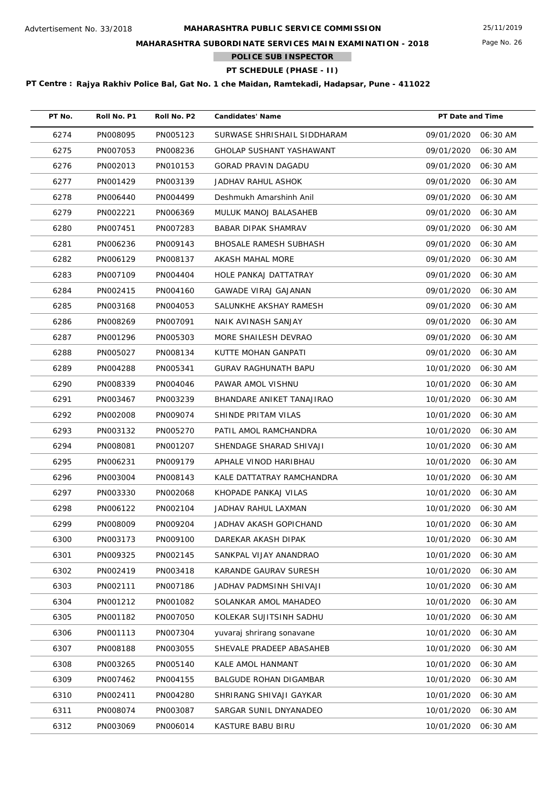## **MAHARASHTRA SUBORDINATE SERVICES MAIN EXAMINATION - 2018**

**POLICE SUB INSPECTOR**

# **PT SCHEDULE (PHASE - II)**

| PT No. | Roll No. P1 | Roll No. P2 | <b>Candidates' Name</b>      | PT Date and Time    |          |
|--------|-------------|-------------|------------------------------|---------------------|----------|
| 6274   | PN008095    | PN005123    | SURWASE SHRISHAIL SIDDHARAM  | 09/01/2020 06:30 AM |          |
| 6275   | PN007053    | PN008236    | GHOLAP SUSHANT YASHAWANT     | 09/01/2020          | 06:30 AM |
| 6276   | PN002013    | PN010153    | <b>GORAD PRAVIN DAGADU</b>   | 09/01/2020          | 06:30 AM |
| 6277   | PN001429    | PN003139    | JADHAV RAHUL ASHOK           | 09/01/2020          | 06:30 AM |
| 6278   | PN006440    | PN004499    | Deshmukh Amarshinh Anil      | 09/01/2020          | 06:30 AM |
| 6279   | PN002221    | PN006369    | <b>MULUK MANOJ BALASAHEB</b> | 09/01/2020          | 06:30 AM |
| 6280   | PN007451    | PN007283    | <b>BABAR DIPAK SHAMRAV</b>   | 09/01/2020          | 06:30 AM |
| 6281   | PN006236    | PN009143    | BHOSALE RAMESH SUBHASH       | 09/01/2020          | 06:30 AM |
| 6282   | PN006129    | PN008137    | AKASH MAHAL MORE             | 09/01/2020          | 06:30 AM |
| 6283   | PN007109    | PN004404    | HOLE PANKAJ DATTATRAY        | 09/01/2020          | 06:30 AM |
| 6284   | PN002415    | PN004160    | GAWADE VIRAJ GAJANAN         | 09/01/2020          | 06:30 AM |
| 6285   | PN003168    | PN004053    | SALUNKHE AKSHAY RAMESH       | 09/01/2020          | 06:30 AM |
| 6286   | PN008269    | PN007091    | NAIK AVINASH SANJAY          | 09/01/2020          | 06:30 AM |
| 6287   | PN001296    | PN005303    | MORE SHAILESH DEVRAO         | 09/01/2020          | 06:30 AM |
| 6288   | PN005027    | PN008134    | KUTTE MOHAN GANPATI          | 09/01/2020          | 06:30 AM |
| 6289   | PN004288    | PN005341    | <b>GURAV RAGHUNATH BAPU</b>  | 10/01/2020          | 06:30 AM |
| 6290   | PN008339    | PN004046    | PAWAR AMOL VISHNU            | 10/01/2020          | 06:30 AM |
| 6291   | PN003467    | PN003239    | BHANDARE ANIKET TANAJIRAO    | 10/01/2020          | 06:30 AM |
| 6292   | PN002008    | PN009074    | SHINDE PRITAM VILAS          | 10/01/2020          | 06:30 AM |
| 6293   | PN003132    | PN005270    | PATIL AMOL RAMCHANDRA        | 10/01/2020          | 06:30 AM |
| 6294   | PN008081    | PN001207    | SHENDAGE SHARAD SHIVAJI      | 10/01/2020          | 06:30 AM |
| 6295   | PN006231    | PN009179    | APHALE VINOD HARIBHAU        | 10/01/2020          | 06:30 AM |
| 6296   | PN003004    | PN008143    | KALE DATTATRAY RAMCHANDRA    | 10/01/2020          | 06:30 AM |
| 6297   | PN003330    | PN002068    | KHOPADE PANKAJ VILAS         | 10/01/2020          | 06:30 AM |
| 6298   | PN006122    | PN002104    | JADHAV RAHUL LAXMAN          | 10/01/2020          | 06:30 AM |
| 6299   | PN008009    | PN009204    | JADHAV AKASH GOPICHAND       | 10/01/2020 06:30 AM |          |
| 6300   | PN003173    | PN009100    | DAREKAR AKASH DIPAK          | 10/01/2020          | 06:30 AM |
| 6301   | PN009325    | PN002145    | SANKPAL VIJAY ANANDRAO       | 10/01/2020          | 06:30 AM |
| 6302   | PN002419    | PN003418    | KARANDE GAURAV SURESH        | 10/01/2020          | 06:30 AM |
| 6303   | PN002111    | PN007186    | JADHAV PADMSINH SHIVAJI      | 10/01/2020          | 06:30 AM |
| 6304   | PN001212    | PN001082    | SOLANKAR AMOL MAHADEO        | 10/01/2020          | 06:30 AM |
| 6305   | PN001182    | PN007050    | KOLEKAR SUJITSINH SADHU      | 10/01/2020          | 06:30 AM |
| 6306   | PN001113    | PN007304    | yuvaraj shrirang sonavane    | 10/01/2020          | 06:30 AM |
| 6307   | PN008188    | PN003055    | SHEVALE PRADEEP ABASAHEB     | 10/01/2020          | 06:30 AM |
| 6308   | PN003265    | PN005140    | KALE AMOL HANMANT            | 10/01/2020          | 06:30 AM |
| 6309   | PN007462    | PN004155    | BALGUDE ROHAN DIGAMBAR       | 10/01/2020          | 06:30 AM |
| 6310   | PN002411    | PN004280    | SHRIRANG SHIVAJI GAYKAR      | 10/01/2020          | 06:30 AM |
| 6311   | PN008074    | PN003087    | SARGAR SUNIL DNYANADEO       | 10/01/2020          | 06:30 AM |
| 6312   | PN003069    | PN006014    | KASTURE BABU BIRU            | 10/01/2020          | 06:30 AM |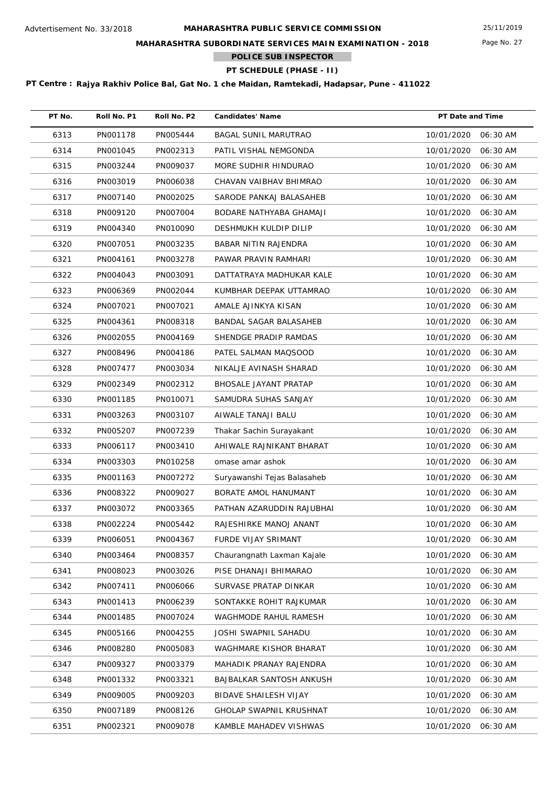## **MAHARASHTRA SUBORDINATE SERVICES MAIN EXAMINATION - 2018**

**POLICE SUB INSPECTOR**

# **PT SCHEDULE (PHASE - II)**

| PT No. | Roll No. P1 | Roll No. P2 | <b>Candidates' Name</b>        | PT Date and Time |          |
|--------|-------------|-------------|--------------------------------|------------------|----------|
| 6313   | PN001178    | PN005444    | <b>BAGAL SUNIL MARUTRAO</b>    | 10/01/2020       | 06:30 AM |
| 6314   | PN001045    | PN002313    | PATIL VISHAL NEMGONDA          | 10/01/2020       | 06:30 AM |
| 6315   | PN003244    | PN009037    | MORE SUDHIR HINDURAO           | 10/01/2020       | 06:30 AM |
| 6316   | PN003019    | PN006038    | CHAVAN VAIBHAV BHIMRAO         | 10/01/2020       | 06:30 AM |
| 6317   | PN007140    | PN002025    | SARODE PANKAJ BALASAHEB        | 10/01/2020       | 06:30 AM |
| 6318   | PN009120    | PN007004    | BODARE NATHYABA GHAMAJI        | 10/01/2020       | 06:30 AM |
| 6319   | PN004340    | PN010090    | DESHMUKH KULDIP DILIP          | 10/01/2020       | 06:30 AM |
| 6320   | PN007051    | PN003235    | BABAR NITIN RAJENDRA           | 10/01/2020       | 06:30 AM |
| 6321   | PN004161    | PN003278    | PAWAR PRAVIN RAMHARI           | 10/01/2020       | 06:30 AM |
| 6322   | PN004043    | PN003091    | DATTATRAYA MADHUKAR KALE       | 10/01/2020       | 06:30 AM |
| 6323   | PN006369    | PN002044    | KUMBHAR DEEPAK UTTAMRAO        | 10/01/2020       | 06:30 AM |
| 6324   | PN007021    | PN007021    | AMALE AJINKYA KISAN            | 10/01/2020       | 06:30 AM |
| 6325   | PN004361    | PN008318    | BANDAL SAGAR BALASAHEB         | 10/01/2020       | 06:30 AM |
| 6326   | PN002055    | PN004169    | SHENDGE PRADIP RAMDAS          | 10/01/2020       | 06:30 AM |
| 6327   | PN008496    | PN004186    | PATEL SALMAN MAQSOOD           | 10/01/2020       | 06:30 AM |
| 6328   | PN007477    | PN003034    | NIKALJE AVINASH SHARAD         | 10/01/2020       | 06:30 AM |
| 6329   | PN002349    | PN002312    | BHOSALE JAYANT PRATAP          | 10/01/2020       | 06:30 AM |
| 6330   | PN001185    | PN010071    | SAMUDRA SUHAS SANJAY           | 10/01/2020       | 06:30 AM |
| 6331   | PN003263    | PN003107    | AIWALE TANAJI BALU             | 10/01/2020       | 06:30 AM |
| 6332   | PN005207    | PN007239    | Thakar Sachin Surayakant       | 10/01/2020       | 06:30 AM |
| 6333   | PN006117    | PN003410    | AHIWALE RAJNIKANT BHARAT       | 10/01/2020       | 06:30 AM |
| 6334   | PN003303    | PN010258    | omase amar ashok               | 10/01/2020       | 06:30 AM |
| 6335   | PN001163    | PN007272    | Suryawanshi Tejas Balasaheb    | 10/01/2020       | 06:30 AM |
| 6336   | PN008322    | PN009027    | BORATE AMOL HANUMANT           | 10/01/2020       | 06:30 AM |
| 6337   | PN003072    | PN003365    | PATHAN AZARUDDIN RAJUBHAI      | 10/01/2020       | 06:30 AM |
| 6338   | PN002224    | PN005442    | RAJESHIRKE MANOJ ANANT         | 10/01/2020       | 06:30 AM |
| 6339   | PN006051    | PN004367    | FURDE VIJAY SRIMANT            | 10/01/2020       | 06:30 AM |
| 6340   | PN003464    | PN008357    | Chaurangnath Laxman Kajale     | 10/01/2020       | 06:30 AM |
| 6341   | PN008023    | PN003026    | PISE DHANAJI BHIMARAO          | 10/01/2020       | 06:30 AM |
| 6342   | PN007411    | PN006066    | SURVASE PRATAP DINKAR          | 10/01/2020       | 06:30 AM |
| 6343   | PN001413    | PN006239    | SONTAKKE ROHIT RAJKUMAR        | 10/01/2020       | 06:30 AM |
| 6344   | PN001485    | PN007024    | WAGHMODE RAHUL RAMESH          | 10/01/2020       | 06:30 AM |
| 6345   | PN005166    | PN004255    | JOSHI SWAPNIL SAHADU           | 10/01/2020       | 06:30 AM |
| 6346   | PN008280    | PN005083    | WAGHMARE KISHOR BHARAT         | 10/01/2020       | 06:30 AM |
| 6347   | PN009327    | PN003379    | MAHADIK PRANAY RAJENDRA        | 10/01/2020       | 06:30 AM |
| 6348   | PN001332    | PN003321    | BAJBALKAR SANTOSH ANKUSH       | 10/01/2020       | 06:30 AM |
| 6349   | PN009005    | PN009203    | BIDAVE SHAILESH VIJAY          | 10/01/2020       | 06:30 AM |
| 6350   | PN007189    | PN008126    | <b>GHOLAP SWAPNIL KRUSHNAT</b> | 10/01/2020       | 06:30 AM |
| 6351   | PN002321    | PN009078    | KAMBLE MAHADEV VISHWAS         | 10/01/2020       | 06:30 AM |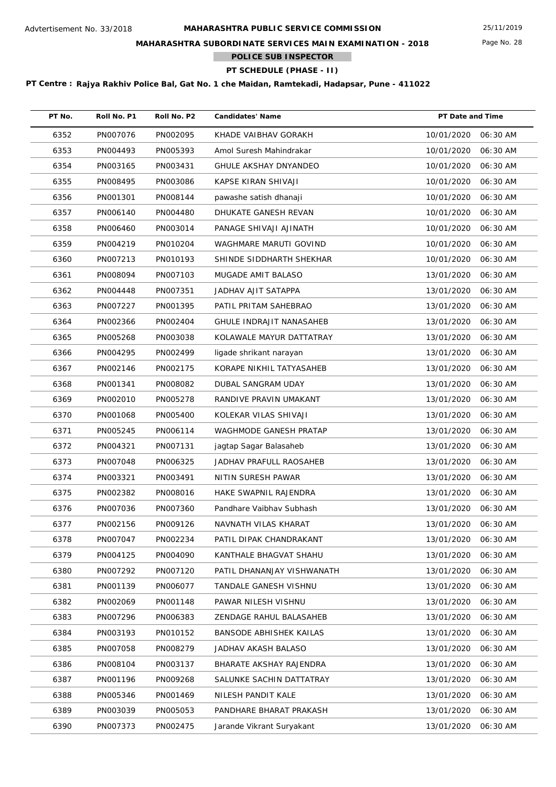## **MAHARASHTRA SUBORDINATE SERVICES MAIN EXAMINATION - 2018**

**POLICE SUB INSPECTOR**

# **PT SCHEDULE (PHASE - II)**

| PT No. | Roll No. P1 | Roll No. P2 | <b>Candidates' Name</b>        | PT Date and Time       |
|--------|-------------|-------------|--------------------------------|------------------------|
| 6352   | PN007076    | PN002095    | KHADE VAIBHAV GORAKH           | 10/01/2020<br>06:30 AM |
| 6353   | PN004493    | PN005393    | Amol Suresh Mahindrakar        | 10/01/2020<br>06:30 AM |
| 6354   | PN003165    | PN003431    | <b>GHULE AKSHAY DNYANDEO</b>   | 10/01/2020<br>06:30 AM |
| 6355   | PN008495    | PN003086    | KAPSE KIRAN SHIVAJI            | 10/01/2020<br>06:30 AM |
| 6356   | PN001301    | PN008144    | pawashe satish dhanaji         | 10/01/2020<br>06:30 AM |
| 6357   | PN006140    | PN004480    | DHUKATE GANESH REVAN           | 10/01/2020<br>06:30 AM |
| 6358   | PN006460    | PN003014    | PANAGE SHIVAJI AJINATH         | 10/01/2020<br>06:30 AM |
| 6359   | PN004219    | PN010204    | WAGHMARE MARUTI GOVIND         | 10/01/2020<br>06:30 AM |
| 6360   | PN007213    | PN010193    | SHINDE SIDDHARTH SHEKHAR       | 10/01/2020<br>06:30 AM |
| 6361   | PN008094    | PN007103    | MUGADE AMIT BALASO             | 13/01/2020<br>06:30 AM |
| 6362   | PN004448    | PN007351    | JADHAV AJIT SATAPPA            | 13/01/2020<br>06:30 AM |
| 6363   | PN007227    | PN001395    | PATIL PRITAM SAHEBRAO          | 13/01/2020<br>06:30 AM |
| 6364   | PN002366    | PN002404    | GHULE INDRAJIT NANASAHEB       | 13/01/2020<br>06:30 AM |
| 6365   | PN005268    | PN003038    | KOLAWALE MAYUR DATTATRAY       | 13/01/2020<br>06:30 AM |
| 6366   | PN004295    | PN002499    | ligade shrikant narayan        | 13/01/2020<br>06:30 AM |
| 6367   | PN002146    | PN002175    | KORAPE NIKHIL TATYASAHEB       | 13/01/2020<br>06:30 AM |
| 6368   | PN001341    | PN008082    | DUBAL SANGRAM UDAY             | 13/01/2020<br>06:30 AM |
| 6369   | PN002010    | PN005278    | RANDIVE PRAVIN UMAKANT         | 13/01/2020<br>06:30 AM |
| 6370   | PN001068    | PN005400    | KOLEKAR VILAS SHIVAJI          | 13/01/2020<br>06:30 AM |
| 6371   | PN005245    | PN006114    | WAGHMODE GANESH PRATAP         | 13/01/2020<br>06:30 AM |
| 6372   | PN004321    | PN007131    | jagtap Sagar Balasaheb         | 13/01/2020<br>06:30 AM |
| 6373   | PN007048    | PN006325    | JADHAV PRAFULL RAOSAHEB        | 13/01/2020<br>06:30 AM |
| 6374   | PN003321    | PN003491    | NITIN SURESH PAWAR             | 13/01/2020<br>06:30 AM |
| 6375   | PN002382    | PN008016    | HAKE SWAPNIL RAJENDRA          | 13/01/2020<br>06:30 AM |
| 6376   | PN007036    | PN007360    | Pandhare Vaibhav Subhash       | 13/01/2020<br>06:30 AM |
| 6377   | PN002156    | PN009126    | NAVNATH VILAS KHARAT           | 13/01/2020<br>06:30 AM |
| 6378   | PN007047    | PN002234    | PATIL DIPAK CHANDRAKANT        | 13/01/2020<br>06:30 AM |
| 6379   | PN004125    | PN004090    | KANTHALE BHAGVAT SHAHU         | 13/01/2020<br>06:30 AM |
| 6380   | PN007292    | PN007120    | PATIL DHANANJAY VISHWANATH     | 13/01/2020<br>06:30 AM |
| 6381   | PN001139    | PN006077    | TANDALE GANESH VISHNU          | 13/01/2020<br>06:30 AM |
| 6382   | PN002069    | PN001148    | PAWAR NILESH VISHNU            | 13/01/2020<br>06:30 AM |
| 6383   | PN007296    | PN006383    | ZENDAGE RAHUL BALASAHEB        | 13/01/2020<br>06:30 AM |
| 6384   | PN003193    | PN010152    | <b>BANSODE ABHISHEK KAILAS</b> | 13/01/2020<br>06:30 AM |
| 6385   | PN007058    | PN008279    | JADHAV AKASH BALASO            | 13/01/2020<br>06:30 AM |
| 6386   | PN008104    | PN003137    | <b>BHARATE AKSHAY RAJENDRA</b> | 13/01/2020<br>06:30 AM |
| 6387   | PN001196    | PN009268    | SALUNKE SACHIN DATTATRAY       | 13/01/2020<br>06:30 AM |
| 6388   | PN005346    | PN001469    | NILESH PANDIT KALE             | 13/01/2020<br>06:30 AM |
| 6389   | PN003039    | PN005053    | PANDHARE BHARAT PRAKASH        | 13/01/2020<br>06:30 AM |
| 6390   | PN007373    | PN002475    | Jarande Vikrant Suryakant      | 13/01/2020<br>06:30 AM |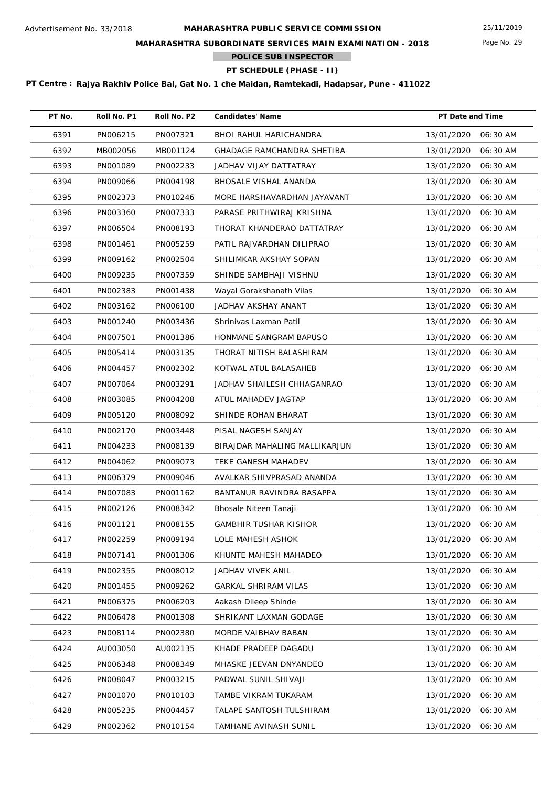## **MAHARASHTRA SUBORDINATE SERVICES MAIN EXAMINATION - 2018**

**POLICE SUB INSPECTOR**

# **PT SCHEDULE (PHASE - II)**

| PT No. | Roll No. P1 | Roll No. P2 | <b>Candidates' Name</b>           | PT Date and Time       |
|--------|-------------|-------------|-----------------------------------|------------------------|
| 6391   | PN006215    | PN007321    | BHOI RAHUL HARICHANDRA            | 13/01/2020<br>06:30 AM |
| 6392   | MB002056    | MB001124    | <b>GHADAGE RAMCHANDRA SHETIBA</b> | 13/01/2020<br>06:30 AM |
| 6393   | PN001089    | PN002233    | JADHAV VIJAY DATTATRAY            | 13/01/2020<br>06:30 AM |
| 6394   | PN009066    | PN004198    | BHOSALE VISHAL ANANDA             | 13/01/2020<br>06:30 AM |
| 6395   | PN002373    | PN010246    | MORE HARSHAVARDHAN JAYAVANT       | 13/01/2020<br>06:30 AM |
| 6396   | PN003360    | PN007333    | PARASE PRITHWIRAJ KRISHNA         | 13/01/2020<br>06:30 AM |
| 6397   | PN006504    | PN008193    | THORAT KHANDERAO DATTATRAY        | 13/01/2020<br>06:30 AM |
| 6398   | PN001461    | PN005259    | PATIL RAJVARDHAN DILIPRAO         | 13/01/2020<br>06:30 AM |
| 6399   | PN009162    | PN002504    | SHILIMKAR AKSHAY SOPAN            | 13/01/2020<br>06:30 AM |
| 6400   | PN009235    | PN007359    | SHINDE SAMBHAJI VISHNU            | 13/01/2020<br>06:30 AM |
| 6401   | PN002383    | PN001438    | Wayal Gorakshanath Vilas          | 13/01/2020<br>06:30 AM |
| 6402   | PN003162    | PN006100    | JADHAV AKSHAY ANANT               | 13/01/2020<br>06:30 AM |
| 6403   | PN001240    | PN003436    | Shrinivas Laxman Patil            | 13/01/2020<br>06:30 AM |
| 6404   | PN007501    | PN001386    | HONMANE SANGRAM BAPUSO            | 13/01/2020<br>06:30 AM |
| 6405   | PN005414    | PN003135    | THORAT NITISH BALASHIRAM          | 13/01/2020<br>06:30 AM |
| 6406   | PN004457    | PN002302    | KOTWAL ATUL BALASAHEB             | 13/01/2020<br>06:30 AM |
| 6407   | PN007064    | PN003291    | JADHAV SHAILESH CHHAGANRAO        | 13/01/2020<br>06:30 AM |
| 6408   | PN003085    | PN004208    | ATUL MAHADEV JAGTAP               | 13/01/2020<br>06:30 AM |
| 6409   | PN005120    | PN008092    | SHINDE ROHAN BHARAT               | 13/01/2020<br>06:30 AM |
| 6410   | PN002170    | PN003448    | PISAL NAGESH SANJAY               | 13/01/2020<br>06:30 AM |
| 6411   | PN004233    | PN008139    | BIRAJDAR MAHALING MALLIKARJUN     | 13/01/2020<br>06:30 AM |
| 6412   | PN004062    | PN009073    | TEKE GANESH MAHADEV               | 13/01/2020<br>06:30 AM |
| 6413   | PN006379    | PN009046    | AVALKAR SHIVPRASAD ANANDA         | 06:30 AM<br>13/01/2020 |
| 6414   | PN007083    | PN001162    | BANTANUR RAVINDRA BASAPPA         | 13/01/2020<br>06:30 AM |
| 6415   | PN002126    | PN008342    | Bhosale Niteen Tanaji             | 13/01/2020<br>06:30 AM |
| 6416   | PN001121    | PN008155    | GAMBHIR TUSHAR KISHOR             | 13/01/2020 06:30 AM    |
| 6417   | PN002259    | PN009194    | LOLE MAHESH ASHOK                 | 13/01/2020<br>06:30 AM |
| 6418   | PN007141    | PN001306    | KHUNTE MAHESH MAHADEO             | 13/01/2020<br>06:30 AM |
| 6419   | PN002355    | PN008012    | JADHAV VIVEK ANIL                 | 13/01/2020<br>06:30 AM |
| 6420   | PN001455    | PN009262    | <b>GARKAL SHRIRAM VILAS</b>       | 13/01/2020<br>06:30 AM |
| 6421   | PN006375    | PN006203    | Aakash Dileep Shinde              | 13/01/2020<br>06:30 AM |
| 6422   | PN006478    | PN001308    | SHRIKANT LAXMAN GODAGE            | 13/01/2020<br>06:30 AM |
| 6423   | PN008114    | PN002380    | MORDE VAIBHAV BABAN               | 13/01/2020<br>06:30 AM |
| 6424   | AU003050    | AU002135    | KHADE PRADEEP DAGADU              | 13/01/2020<br>06:30 AM |
| 6425   | PN006348    | PN008349    | MHASKE JEEVAN DNYANDEO            | 13/01/2020<br>06:30 AM |
| 6426   | PN008047    | PN003215    | PADWAL SUNIL SHIVAJI              | 13/01/2020<br>06:30 AM |
| 6427   | PN001070    | PN010103    | TAMBE VIKRAM TUKARAM              | 13/01/2020<br>06:30 AM |
| 6428   | PN005235    | PN004457    | TALAPE SANTOSH TULSHIRAM          | 13/01/2020<br>06:30 AM |
| 6429   | PN002362    | PN010154    | TAMHANE AVINASH SUNIL             | 13/01/2020<br>06:30 AM |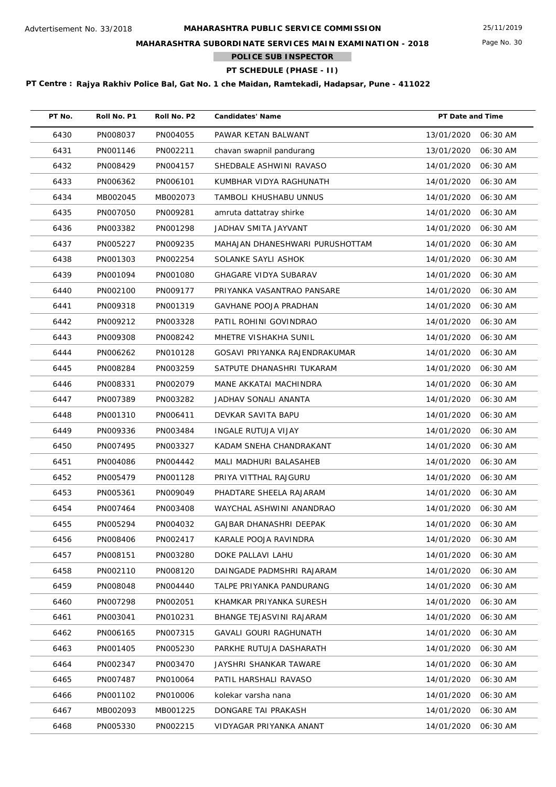## **MAHARASHTRA SUBORDINATE SERVICES MAIN EXAMINATION - 2018**

**POLICE SUB INSPECTOR**

# **PT SCHEDULE (PHASE - II)**

| PT No. | Roll No. P1 | Roll No. P2 | <b>Candidates' Name</b>         | PT Date and Time    |          |
|--------|-------------|-------------|---------------------------------|---------------------|----------|
| 6430   | PN008037    | PN004055    | PAWAR KETAN BALWANT             | 13/01/2020          | 06:30 AM |
| 6431   | PN001146    | PN002211    | chavan swapnil pandurang        | 13/01/2020          | 06:30 AM |
| 6432   | PN008429    | PN004157    | SHEDBALE ASHWINI RAVASO         | 14/01/2020          | 06:30 AM |
| 6433   | PN006362    | PN006101    | KUMBHAR VIDYA RAGHUNATH         | 14/01/2020          | 06:30 AM |
| 6434   | MB002045    | MB002073    | TAMBOLI KHUSHABU UNNUS          | 14/01/2020          | 06:30 AM |
| 6435   | PN007050    | PN009281    | amruta dattatray shirke         | 14/01/2020          | 06:30 AM |
| 6436   | PN003382    | PN001298    | JADHAV SMITA JAYVANT            | 14/01/2020          | 06:30 AM |
| 6437   | PN005227    | PN009235    | MAHAJAN DHANESHWARI PURUSHOTTAM | 14/01/2020          | 06:30 AM |
| 6438   | PN001303    | PN002254    | SOLANKE SAYLI ASHOK             | 14/01/2020          | 06:30 AM |
| 6439   | PN001094    | PN001080    | <b>GHAGARE VIDYA SUBARAV</b>    | 14/01/2020          | 06:30 AM |
| 6440   | PN002100    | PN009177    | PRIYANKA VASANTRAO PANSARE      | 14/01/2020          | 06:30 AM |
| 6441   | PN009318    | PN001319    | <b>GAVHANE POOJA PRADHAN</b>    | 14/01/2020          | 06:30 AM |
| 6442   | PN009212    | PN003328    | PATIL ROHINI GOVINDRAO          | 14/01/2020          | 06:30 AM |
| 6443   | PN009308    | PN008242    | MHETRE VISHAKHA SUNIL           | 14/01/2020          | 06:30 AM |
| 6444   | PN006262    | PN010128    | GOSAVI PRIYANKA RAJENDRAKUMAR   | 14/01/2020          | 06:30 AM |
| 6445   | PN008284    | PN003259    | SATPUTE DHANASHRI TUKARAM       | 14/01/2020          | 06:30 AM |
| 6446   | PN008331    | PN002079    | MANE AKKATAI MACHINDRA          | 14/01/2020          | 06:30 AM |
| 6447   | PN007389    | PN003282    | JADHAV SONALI ANANTA            | 14/01/2020          | 06:30 AM |
| 6448   | PN001310    | PN006411    | DEVKAR SAVITA BAPU              | 14/01/2020          | 06:30 AM |
| 6449   | PN009336    | PN003484    | INGALE RUTUJA VIJAY             | 14/01/2020          | 06:30 AM |
| 6450   | PN007495    | PN003327    | KADAM SNEHA CHANDRAKANT         | 14/01/2020          | 06:30 AM |
| 6451   | PN004086    | PN004442    | MALI MADHURI BALASAHEB          | 14/01/2020          | 06:30 AM |
| 6452   | PN005479    | PN001128    | PRIYA VITTHAL RAJGURU           | 14/01/2020          | 06:30 AM |
| 6453   | PN005361    | PN009049    | PHADTARE SHEELA RAJARAM         | 14/01/2020          | 06:30 AM |
| 6454   | PN007464    | PN003408    | WAYCHAL ASHWINI ANANDRAO        | 14/01/2020          | 06:30 AM |
| 6455   | PN005294    | PN004032    | GAJBAR DHANASHRI DEEPAK         | 14/01/2020 06:30 AM |          |
| 6456   | PN008406    | PN002417    | KARALE POOJA RAVINDRA           | 14/01/2020          | 06:30 AM |
| 6457   | PN008151    | PN003280    | DOKE PALLAVI LAHU               | 14/01/2020          | 06:30 AM |
| 6458   | PN002110    | PN008120    | DAINGADE PADMSHRI RAJARAM       | 14/01/2020          | 06:30 AM |
| 6459   | PN008048    | PN004440    | TALPE PRIYANKA PANDURANG        | 14/01/2020          | 06:30 AM |
| 6460   | PN007298    | PN002051    | KHAMKAR PRIYANKA SURESH         | 14/01/2020          | 06:30 AM |
| 6461   | PN003041    | PN010231    | BHANGE TEJASVINI RAJARAM        | 14/01/2020          | 06:30 AM |
| 6462   | PN006165    | PN007315    | GAVALI GOURI RAGHUNATH          | 14/01/2020          | 06:30 AM |
| 6463   | PN001405    | PN005230    | PARKHE RUTUJA DASHARATH         | 14/01/2020          | 06:30 AM |
| 6464   | PN002347    | PN003470    | JAYSHRI SHANKAR TAWARE          | 14/01/2020          | 06:30 AM |
| 6465   | PN007487    | PN010064    | PATIL HARSHALI RAVASO           | 14/01/2020          | 06:30 AM |
| 6466   | PN001102    | PN010006    | kolekar varsha nana             | 14/01/2020          | 06:30 AM |
| 6467   | MB002093    | MB001225    | DONGARE TAI PRAKASH             | 14/01/2020          | 06:30 AM |
| 6468   | PN005330    | PN002215    | VIDYAGAR PRIYANKA ANANT         | 14/01/2020          | 06:30 AM |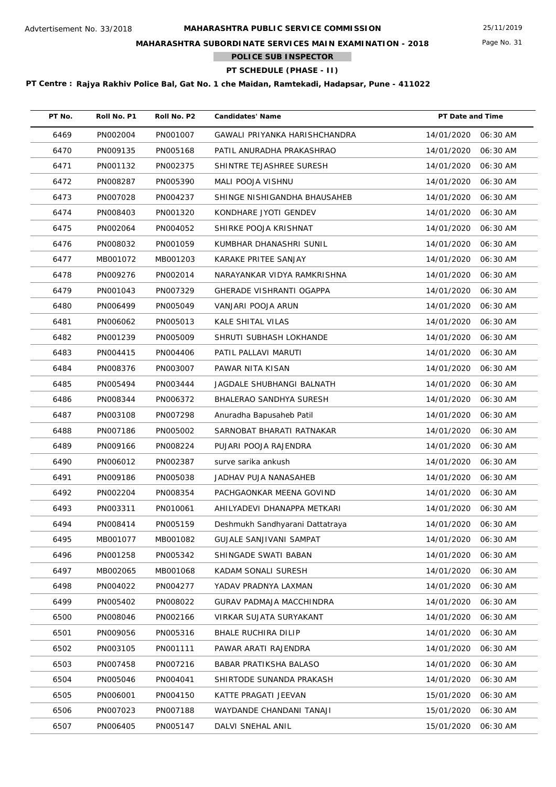## **MAHARASHTRA SUBORDINATE SERVICES MAIN EXAMINATION - 2018**

**POLICE SUB INSPECTOR**

# **PT SCHEDULE (PHASE - II)**

| PT No. | Roll No. P1 | Roll No. P2 | <b>Candidates' Name</b>         | PT Date and Time    |          |
|--------|-------------|-------------|---------------------------------|---------------------|----------|
| 6469   | PN002004    | PN001007    | GAWALI PRIYANKA HARISHCHANDRA   | 14/01/2020 06:30 AM |          |
| 6470   | PN009135    | PN005168    | PATIL ANURADHA PRAKASHRAO       | 14/01/2020          | 06:30 AM |
| 6471   | PN001132    | PN002375    | SHINTRE TEJASHREE SURESH        | 14/01/2020          | 06:30 AM |
| 6472   | PN008287    | PN005390    | MALI POOJA VISHNU               | 14/01/2020          | 06:30 AM |
| 6473   | PN007028    | PN004237    | SHINGE NISHIGANDHA BHAUSAHEB    | 14/01/2020          | 06:30 AM |
| 6474   | PN008403    | PN001320    | KONDHARE JYOTI GENDEV           | 14/01/2020          | 06:30 AM |
| 6475   | PN002064    | PN004052    | SHIRKE POOJA KRISHNAT           | 14/01/2020          | 06:30 AM |
| 6476   | PN008032    | PN001059    | KUMBHAR DHANASHRI SUNIL         | 14/01/2020          | 06:30 AM |
| 6477   | MB001072    | MB001203    | KARAKE PRITEE SANJAY            | 14/01/2020          | 06:30 AM |
| 6478   | PN009276    | PN002014    | NARAYANKAR VIDYA RAMKRISHNA     | 14/01/2020          | 06:30 AM |
| 6479   | PN001043    | PN007329    | GHERADE VISHRANTI OGAPPA        | 14/01/2020          | 06:30 AM |
| 6480   | PN006499    | PN005049    | VANJARI POOJA ARUN              | 14/01/2020          | 06:30 AM |
| 6481   | PN006062    | PN005013    | KALE SHITAL VILAS               | 14/01/2020          | 06:30 AM |
| 6482   | PN001239    | PN005009    | SHRUTI SUBHASH LOKHANDE         | 14/01/2020          | 06:30 AM |
| 6483   | PN004415    | PN004406    | PATIL PALLAVI MARUTI            | 14/01/2020          | 06:30 AM |
| 6484   | PN008376    | PN003007    | PAWAR NITA KISAN                | 14/01/2020          | 06:30 AM |
| 6485   | PN005494    | PN003444    | JAGDALE SHUBHANGI BALNATH       | 14/01/2020          | 06:30 AM |
| 6486   | PN008344    | PN006372    | BHALERAO SANDHYA SURESH         | 14/01/2020          | 06:30 AM |
| 6487   | PN003108    | PN007298    | Anuradha Bapusaheb Patil        | 14/01/2020          | 06:30 AM |
| 6488   | PN007186    | PN005002    | SARNOBAT BHARATI RATNAKAR       | 14/01/2020          | 06:30 AM |
| 6489   | PN009166    | PN008224    | PUJARI POOJA RAJENDRA           | 14/01/2020          | 06:30 AM |
| 6490   | PN006012    | PN002387    | surve sarika ankush             | 14/01/2020          | 06:30 AM |
| 6491   | PN009186    | PN005038    | JADHAV PUJA NANASAHEB           | 14/01/2020          | 06:30 AM |
| 6492   | PN002204    | PN008354    | PACHGAONKAR MEENA GOVIND        | 14/01/2020          | 06:30 AM |
| 6493   | PN003311    | PN010061    | AHILYADEVI DHANAPPA METKARI     | 14/01/2020          | 06:30 AM |
| 6494   | PN008414    | PN005159    | Deshmukh Sandhyarani Dattatraya | 14/01/2020 06:30 AM |          |
| 6495   | MB001077    | MB001082    | <b>GUJALE SANJIVANI SAMPAT</b>  | 14/01/2020          | 06:30 AM |
| 6496   | PN001258    | PN005342    | SHINGADE SWATI BABAN            | 14/01/2020          | 06:30 AM |
| 6497   | MB002065    | MB001068    | KADAM SONALI SURESH             | 14/01/2020          | 06:30 AM |
| 6498   | PN004022    | PN004277    | YADAV PRADNYA LAXMAN            | 14/01/2020          | 06:30 AM |
| 6499   | PN005402    | PN008022    | GURAV PADMAJA MACCHINDRA        | 14/01/2020          | 06:30 AM |
| 6500   | PN008046    | PN002166    | <b>VIRKAR SUJATA SURYAKANT</b>  | 14/01/2020          | 06:30 AM |
| 6501   | PN009056    | PN005316    | BHALE RUCHIRA DILIP             | 14/01/2020          | 06:30 AM |
| 6502   | PN003105    | PN001111    | PAWAR ARATI RAJENDRA            | 14/01/2020          | 06:30 AM |
| 6503   | PN007458    | PN007216    | <b>BABAR PRATIKSHA BALASO</b>   | 14/01/2020          | 06:30 AM |
| 6504   | PN005046    | PN004041    | SHIRTODE SUNANDA PRAKASH        | 14/01/2020          | 06:30 AM |
| 6505   | PN006001    | PN004150    | KATTE PRAGATI JEEVAN            | 15/01/2020          | 06:30 AM |
| 6506   | PN007023    | PN007188    | WAYDANDE CHANDANI TANAJI        | 15/01/2020          | 06:30 AM |
| 6507   | PN006405    | PN005147    | DALVI SNEHAL ANIL               | 15/01/2020          | 06:30 AM |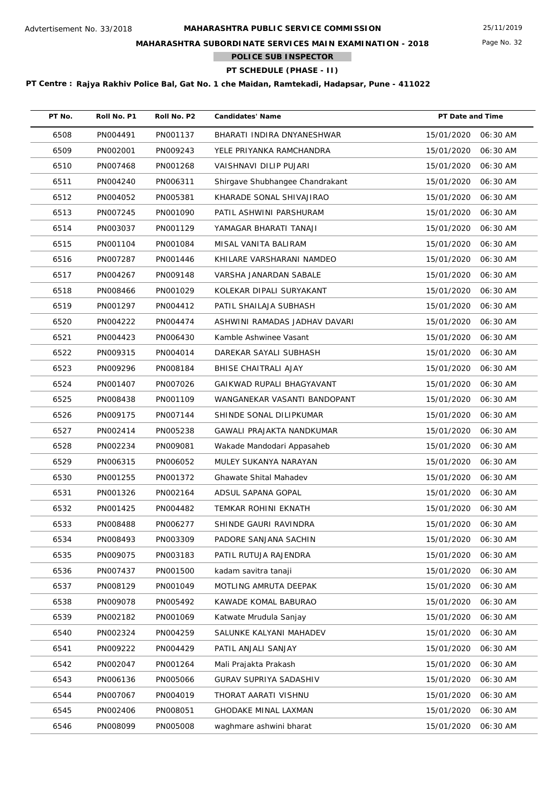## **MAHARASHTRA SUBORDINATE SERVICES MAIN EXAMINATION - 2018**

**POLICE SUB INSPECTOR**

# **PT SCHEDULE (PHASE - II)**

| PT No. | Roll No. P1 | Roll No. P2 | <b>Candidates' Name</b>         | PT Date and Time    |          |
|--------|-------------|-------------|---------------------------------|---------------------|----------|
| 6508   | PN004491    | PN001137    | BHARATI INDIRA DNYANESHWAR      | 15/01/2020          | 06:30 AM |
| 6509   | PN002001    | PN009243    | YELE PRIYANKA RAMCHANDRA        | 15/01/2020          | 06:30 AM |
| 6510   | PN007468    | PN001268    | VAISHNAVI DILIP PUJARI          | 15/01/2020          | 06:30 AM |
| 6511   | PN004240    | PN006311    | Shirgave Shubhangee Chandrakant | 15/01/2020          | 06:30 AM |
| 6512   | PN004052    | PN005381    | KHARADE SONAL SHIVAJIRAO        | 15/01/2020          | 06:30 AM |
| 6513   | PN007245    | PN001090    | PATIL ASHWINI PARSHURAM         | 15/01/2020          | 06:30 AM |
| 6514   | PN003037    | PN001129    | YAMAGAR BHARATI TANAJI          | 15/01/2020          | 06:30 AM |
| 6515   | PN001104    | PN001084    | MISAL VANITA BALIRAM            | 15/01/2020          | 06:30 AM |
| 6516   | PN007287    | PN001446    | KHILARE VARSHARANI NAMDEO       | 15/01/2020          | 06:30 AM |
| 6517   | PN004267    | PN009148    | VARSHA JANARDAN SABALE          | 15/01/2020          | 06:30 AM |
| 6518   | PN008466    | PN001029    | KOLEKAR DIPALI SURYAKANT        | 15/01/2020          | 06:30 AM |
| 6519   | PN001297    | PN004412    | PATIL SHAILAJA SUBHASH          | 15/01/2020          | 06:30 AM |
| 6520   | PN004222    | PN004474    | ASHWINI RAMADAS JADHAV DAVARI   | 15/01/2020          | 06:30 AM |
| 6521   | PN004423    | PN006430    | Kamble Ashwinee Vasant          | 15/01/2020          | 06:30 AM |
| 6522   | PN009315    | PN004014    | DAREKAR SAYALI SUBHASH          | 15/01/2020          | 06:30 AM |
| 6523   | PN009296    | PN008184    | BHISE CHAITRALI AJAY            | 15/01/2020          | 06:30 AM |
| 6524   | PN001407    | PN007026    | GAIKWAD RUPALI BHAGYAVANT       | 15/01/2020          | 06:30 AM |
| 6525   | PN008438    | PN001109    | WANGANEKAR VASANTI BANDOPANT    | 15/01/2020          | 06:30 AM |
| 6526   | PN009175    | PN007144    | SHINDE SONAL DILIPKUMAR         | 15/01/2020          | 06:30 AM |
| 6527   | PN002414    | PN005238    | GAWALI PRAJAKTA NANDKUMAR       | 15/01/2020          | 06:30 AM |
| 6528   | PN002234    | PN009081    | Wakade Mandodari Appasaheb      | 15/01/2020          | 06:30 AM |
| 6529   | PN006315    | PN006052    | MULEY SUKANYA NARAYAN           | 15/01/2020          | 06:30 AM |
| 6530   | PN001255    | PN001372    | Ghawate Shital Mahadev          | 15/01/2020          | 06:30 AM |
| 6531   | PN001326    | PN002164    | ADSUL SAPANA GOPAL              | 15/01/2020          | 06:30 AM |
| 6532   | PN001425    | PN004482    | TEMKAR ROHINI EKNATH            | 15/01/2020          | 06:30 AM |
| 6533   | PN008488    | PN006277    | SHINDE GAURI RAVINDRA           | 15/01/2020 06:30 AM |          |
| 6534   | PN008493    | PN003309    | PADORE SANJANA SACHIN           | 15/01/2020          | 06:30 AM |
| 6535   | PN009075    | PN003183    | PATIL RUTUJA RAJENDRA           | 15/01/2020          | 06:30 AM |
| 6536   | PN007437    | PN001500    | kadam savitra tanaji            | 15/01/2020          | 06:30 AM |
| 6537   | PN008129    | PN001049    | MOTLING AMRUTA DEEPAK           | 15/01/2020          | 06:30 AM |
| 6538   | PN009078    | PN005492    | KAWADE KOMAL BABURAO            | 15/01/2020          | 06:30 AM |
| 6539   | PN002182    | PN001069    | Katwate Mrudula Sanjay          | 15/01/2020          | 06:30 AM |
| 6540   | PN002324    | PN004259    | SALUNKE KALYANI MAHADEV         | 15/01/2020          | 06:30 AM |
| 6541   | PN009222    | PN004429    | PATIL ANJALI SANJAY             | 15/01/2020          | 06:30 AM |
| 6542   | PN002047    | PN001264    | Mali Prajakta Prakash           | 15/01/2020          | 06:30 AM |
| 6543   | PN006136    | PN005066    | GURAV SUPRIYA SADASHIV          | 15/01/2020          | 06:30 AM |
| 6544   | PN007067    | PN004019    | THORAT AARATI VISHNU            | 15/01/2020          | 06:30 AM |
| 6545   | PN002406    | PN008051    | <b>GHODAKE MINAL LAXMAN</b>     | 15/01/2020          | 06:30 AM |
| 6546   | PN008099    | PN005008    | waghmare ashwini bharat         | 15/01/2020          | 06:30 AM |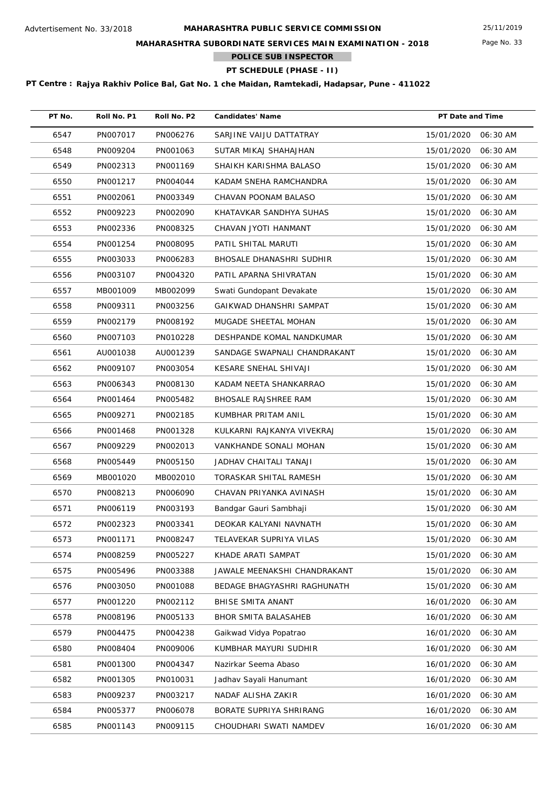## **MAHARASHTRA SUBORDINATE SERVICES MAIN EXAMINATION - 2018**

**POLICE SUB INSPECTOR**

# **PT SCHEDULE (PHASE - II)**

| PT No. | Roll No. P1 | Roll No. P2 | <b>Candidates' Name</b>      | PT Date and Time       |
|--------|-------------|-------------|------------------------------|------------------------|
| 6547   | PN007017    | PN006276    | SARJINE VAIJU DATTATRAY      | 15/01/2020<br>06:30 AM |
| 6548   | PN009204    | PN001063    | SUTAR MIKAJ SHAHAJHAN        | 15/01/2020<br>06:30 AM |
| 6549   | PN002313    | PN001169    | SHAIKH KARISHMA BALASO       | 15/01/2020<br>06:30 AM |
| 6550   | PN001217    | PN004044    | KADAM SNEHA RAMCHANDRA       | 15/01/2020<br>06:30 AM |
| 6551   | PN002061    | PN003349    | CHAVAN POONAM BALASO         | 15/01/2020<br>06:30 AM |
| 6552   | PN009223    | PN002090    | KHATAVKAR SANDHYA SUHAS      | 15/01/2020<br>06:30 AM |
| 6553   | PN002336    | PN008325    | CHAVAN JYOTI HANMANT         | 15/01/2020<br>06:30 AM |
| 6554   | PN001254    | PN008095    | PATIL SHITAL MARUTI          | 15/01/2020<br>06:30 AM |
| 6555   | PN003033    | PN006283    | BHOSALE DHANASHRI SUDHIR     | 15/01/2020<br>06:30 AM |
| 6556   | PN003107    | PN004320    | PATIL APARNA SHIVRATAN       | 15/01/2020<br>06:30 AM |
| 6557   | MB001009    | MB002099    | Swati Gundopant Devakate     | 15/01/2020<br>06:30 AM |
| 6558   | PN009311    | PN003256    | GAIKWAD DHANSHRI SAMPAT      | 15/01/2020<br>06:30 AM |
| 6559   | PN002179    | PN008192    | MUGADE SHEETAL MOHAN         | 15/01/2020<br>06:30 AM |
| 6560   | PN007103    | PN010228    | DESHPANDE KOMAL NANDKUMAR    | 15/01/2020<br>06:30 AM |
| 6561   | AU001038    | AU001239    | SANDAGE SWAPNALI CHANDRAKANT | 15/01/2020<br>06:30 AM |
| 6562   | PN009107    | PN003054    | KESARE SNEHAL SHIVAJI        | 15/01/2020<br>06:30 AM |
| 6563   | PN006343    | PN008130    | KADAM NEETA SHANKARRAO       | 15/01/2020<br>06:30 AM |
| 6564   | PN001464    | PN005482    | <b>BHOSALE RAJSHREE RAM</b>  | 15/01/2020<br>06:30 AM |
| 6565   | PN009271    | PN002185    | KUMBHAR PRITAM ANIL          | 15/01/2020<br>06:30 AM |
| 6566   | PN001468    | PN001328    | KULKARNI RAJKANYA VIVEKRAJ   | 15/01/2020<br>06:30 AM |
| 6567   | PN009229    | PN002013    | VANKHANDE SONALI MOHAN       | 15/01/2020<br>06:30 AM |
| 6568   | PN005449    | PN005150    | JADHAV CHAITALI TANAJI       | 15/01/2020<br>06:30 AM |
| 6569   | MB001020    | MB002010    | TORASKAR SHITAL RAMESH       | 15/01/2020<br>06:30 AM |
| 6570   | PN008213    | PN006090    | CHAVAN PRIYANKA AVINASH      | 15/01/2020<br>06:30 AM |
| 6571   | PN006119    | PN003193    | Bandgar Gauri Sambhaji       | 15/01/2020<br>06:30 AM |
| 6572   | PN002323    | PN003341    | DEOKAR KALYANI NAVNATH       | 15/01/2020<br>06:30 AM |
| 6573   | PN001171    | PN008247    | TELAVEKAR SUPRIYA VILAS      | 15/01/2020<br>06:30 AM |
| 6574   | PN008259    | PN005227    | KHADE ARATI SAMPAT           | 15/01/2020<br>06:30 AM |
| 6575   | PN005496    | PN003388    | JAWALE MEENAKSHI CHANDRAKANT | 15/01/2020<br>06:30 AM |
| 6576   | PN003050    | PN001088    | BEDAGE BHAGYASHRI RAGHUNATH  | 15/01/2020<br>06:30 AM |
| 6577   | PN001220    | PN002112    | BHISE SMITA ANANT            | 16/01/2020<br>06:30 AM |
| 6578   | PN008196    | PN005133    | <b>BHOR SMITA BALASAHEB</b>  | 16/01/2020<br>06:30 AM |
| 6579   | PN004475    | PN004238    | Gaikwad Vidya Popatrao       | 16/01/2020<br>06:30 AM |
| 6580   | PN008404    | PN009006    | KUMBHAR MAYURI SUDHIR        | 16/01/2020<br>06:30 AM |
| 6581   | PN001300    | PN004347    | Nazirkar Seema Abaso         | 16/01/2020<br>06:30 AM |
| 6582   | PN001305    | PN010031    | Jadhav Sayali Hanumant       | 16/01/2020<br>06:30 AM |
| 6583   | PN009237    | PN003217    | NADAF ALISHA ZAKIR           | 16/01/2020<br>06:30 AM |
| 6584   | PN005377    | PN006078    | BORATE SUPRIYA SHRIRANG      | 16/01/2020<br>06:30 AM |
| 6585   | PN001143    | PN009115    | CHOUDHARI SWATI NAMDEV       | 16/01/2020<br>06:30 AM |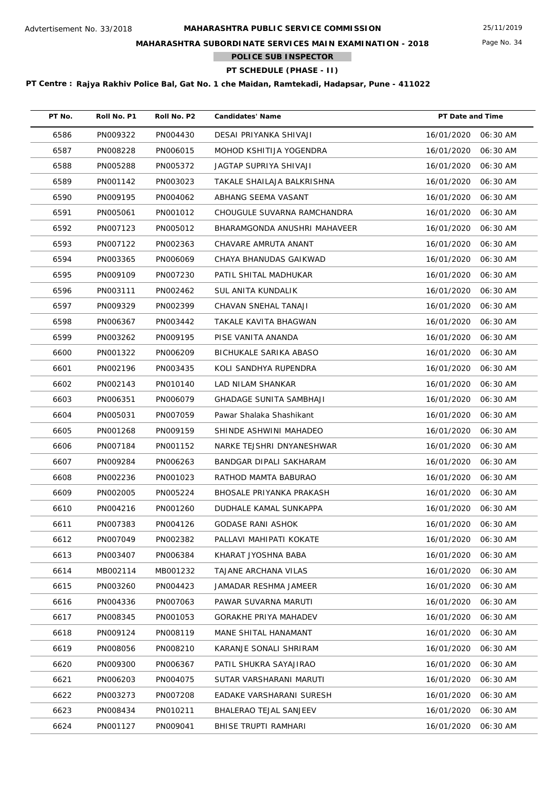## **MAHARASHTRA SUBORDINATE SERVICES MAIN EXAMINATION - 2018**

**POLICE SUB INSPECTOR**

# **PT SCHEDULE (PHASE - II)**

| PT No. | Roll No. P1 | Roll No. P2 | <b>Candidates' Name</b>       | PT Date and Time       |
|--------|-------------|-------------|-------------------------------|------------------------|
| 6586   | PN009322    | PN004430    | DESAI PRIYANKA SHIVAJI        | 16/01/2020 06:30 AM    |
| 6587   | PN008228    | PN006015    | MOHOD KSHITIJA YOGENDRA       | 16/01/2020<br>06:30 AM |
| 6588   | PN005288    | PN005372    | JAGTAP SUPRIYA SHIVAJI        | 16/01/2020<br>06:30 AM |
| 6589   | PN001142    | PN003023    | TAKALE SHAILAJA BALKRISHNA    | 16/01/2020<br>06:30 AM |
| 6590   | PN009195    | PN004062    | ABHANG SEEMA VASANT           | 16/01/2020<br>06:30 AM |
| 6591   | PN005061    | PN001012    | CHOUGULE SUVARNA RAMCHANDRA   | 16/01/2020<br>06:30 AM |
| 6592   | PN007123    | PN005012    | BHARAMGONDA ANUSHRI MAHAVEER  | 16/01/2020<br>06:30 AM |
| 6593   | PN007122    | PN002363    | CHAVARE AMRUTA ANANT          | 16/01/2020<br>06:30 AM |
| 6594   | PN003365    | PN006069    | CHAYA BHANUDAS GAIKWAD        | 16/01/2020<br>06:30 AM |
| 6595   | PN009109    | PN007230    | PATIL SHITAL MADHUKAR         | 16/01/2020<br>06:30 AM |
| 6596   | PN003111    | PN002462    | SUL ANITA KUNDALIK            | 16/01/2020<br>06:30 AM |
| 6597   | PN009329    | PN002399    | CHAVAN SNEHAL TANAJI          | 16/01/2020<br>06:30 AM |
| 6598   | PN006367    | PN003442    | TAKALE KAVITA BHAGWAN         | 16/01/2020<br>06:30 AM |
| 6599   | PN003262    | PN009195    | PISE VANITA ANANDA            | 16/01/2020<br>06:30 AM |
| 6600   | PN001322    | PN006209    | BICHUKALE SARIKA ABASO        | 16/01/2020<br>06:30 AM |
| 6601   | PN002196    | PN003435    | KOLI SANDHYA RUPENDRA         | 16/01/2020<br>06:30 AM |
| 6602   | PN002143    | PN010140    | LAD NILAM SHANKAR             | 16/01/2020<br>06:30 AM |
| 6603   | PN006351    | PN006079    | GHADAGE SUNITA SAMBHAJI       | 16/01/2020<br>06:30 AM |
| 6604   | PN005031    | PN007059    | Pawar Shalaka Shashikant      | 16/01/2020<br>06:30 AM |
| 6605   | PN001268    | PN009159    | SHINDE ASHWINI MAHADEO        | 16/01/2020<br>06:30 AM |
| 6606   | PN007184    | PN001152    | NARKE TEJSHRI DNYANESHWAR     | 16/01/2020<br>06:30 AM |
| 6607   | PN009284    | PN006263    | BANDGAR DIPALI SAKHARAM       | 16/01/2020<br>06:30 AM |
| 6608   | PN002236    | PN001023    | RATHOD MAMTA BABURAO          | 16/01/2020<br>06:30 AM |
| 6609   | PN002005    | PN005224    | BHOSALE PRIYANKA PRAKASH      | 16/01/2020<br>06:30 AM |
| 6610   | PN004216    | PN001260    | DUDHALE KAMAL SUNKAPPA        | 16/01/2020<br>06:30 AM |
| 6611   | PN007383    | PN004126    | GODASE RANI ASHOK             | 16/01/2020 06:30 AM    |
| 6612   | PN007049    | PN002382    | PALLAVI MAHIPATI KOKATE       | 16/01/2020<br>06:30 AM |
| 6613   | PN003407    | PN006384    | KHARAT JYOSHNA BABA           | 16/01/2020<br>06:30 AM |
| 6614   | MB002114    | MB001232    | TAJANE ARCHANA VILAS          | 16/01/2020<br>06:30 AM |
| 6615   | PN003260    | PN004423    | JAMADAR RESHMA JAMEER         | 16/01/2020<br>06:30 AM |
| 6616   | PN004336    | PN007063    | PAWAR SUVARNA MARUTI          | 16/01/2020<br>06:30 AM |
| 6617   | PN008345    | PN001053    | <b>GORAKHE PRIYA MAHADEV</b>  | 16/01/2020<br>06:30 AM |
| 6618   | PN009124    | PN008119    | MANE SHITAL HANAMANT          | 16/01/2020<br>06:30 AM |
| 6619   | PN008056    | PN008210    | KARANJE SONALI SHRIRAM        | 16/01/2020<br>06:30 AM |
| 6620   | PN009300    | PN006367    | PATIL SHUKRA SAYAJIRAO        | 16/01/2020<br>06:30 AM |
| 6621   | PN006203    | PN004075    | SUTAR VARSHARANI MARUTI       | 16/01/2020<br>06:30 AM |
| 6622   | PN003273    | PN007208    | EADAKE VARSHARANI SURESH      | 16/01/2020<br>06:30 AM |
| 6623   | PN008434    | PN010211    | <b>BHALERAO TEJAL SANJEEV</b> | 16/01/2020<br>06:30 AM |
| 6624   | PN001127    | PN009041    | BHISE TRUPTI RAMHARI          | 16/01/2020<br>06:30 AM |